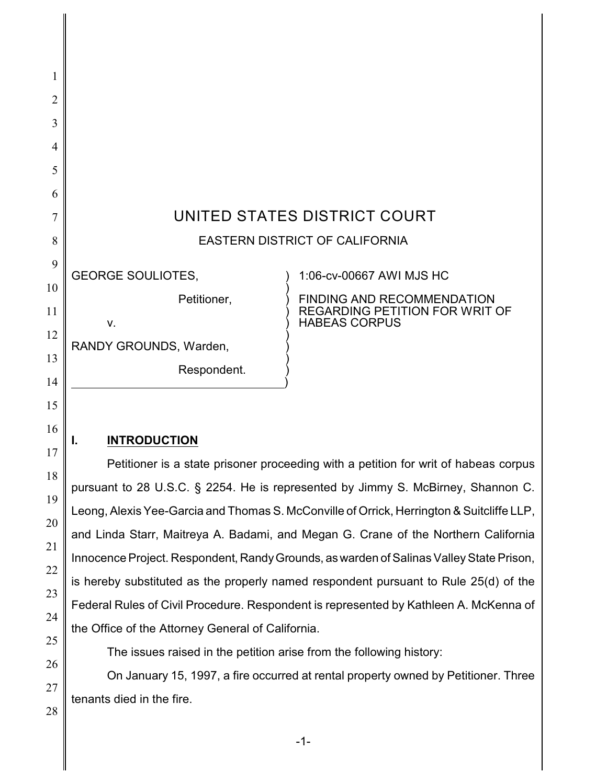| 1              |                                |                                                                                                    |  |
|----------------|--------------------------------|----------------------------------------------------------------------------------------------------|--|
| $\overline{2}$ |                                |                                                                                                    |  |
| 3              |                                |                                                                                                    |  |
| $\overline{4}$ |                                |                                                                                                    |  |
| 5              |                                |                                                                                                    |  |
| 6              |                                |                                                                                                    |  |
| 7              | UNITED STATES DISTRICT COURT   |                                                                                                    |  |
| 8              | EASTERN DISTRICT OF CALIFORNIA |                                                                                                    |  |
| 9              | <b>GEORGE SOULIOTES,</b>       | 1:06-cv-00667 AWI MJS HC                                                                           |  |
| 10<br>11       | Petitioner,<br>V.              | <b>FINDING AND RECOMMENDATION</b><br><b>REGARDING PETITION FOR WRIT OF</b><br><b>HABEAS CORPUS</b> |  |
| 12             | RANDY GROUNDS, Warden,         |                                                                                                    |  |
| 13<br>14       | Respondent.                    |                                                                                                    |  |
| 15             |                                |                                                                                                    |  |

## **I. INTRODUCTION**

Petitioner is a state prisoner proceeding with a petition for writ of habeas corpus pursuant to 28 U.S.C. § 2254. He is represented by Jimmy S. McBirney, Shannon C. Leong, Alexis Yee-Garcia and Thomas S. McConville of Orrick, Herrington & Suitcliffe LLP, and Linda Starr, Maitreya A. Badami, and Megan G. Crane of the Northern California Innocence Project. Respondent, Randy Grounds, as warden of Salinas Valley State Prison, is hereby substituted as the properly named respondent pursuant to Rule 25(d) of the Federal Rules of Civil Procedure. Respondent is represented by Kathleen A. McKenna of the Office of the Attorney General of California.

The issues raised in the petition arise from the following history:

On January 15, 1997, a fire occurred at rental property owned by Petitioner. Three tenants died in the fire.

28

16

17

18

19

20

21

22

23

24

25

26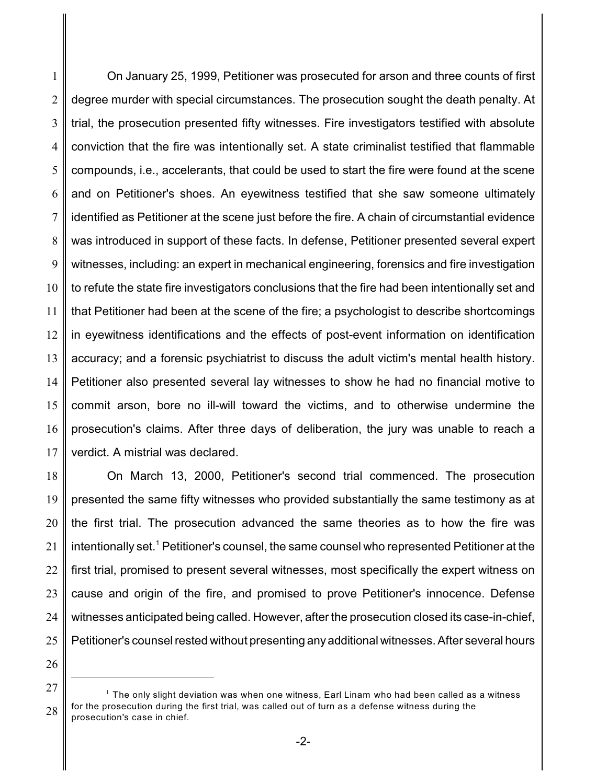1 2 3 4 5 6 7 8 9 10 11 12 13 14 15 16 17 On January 25, 1999, Petitioner was prosecuted for arson and three counts of first degree murder with special circumstances. The prosecution sought the death penalty. At trial, the prosecution presented fifty witnesses. Fire investigators testified with absolute conviction that the fire was intentionally set. A state criminalist testified that flammable compounds, i.e., accelerants, that could be used to start the fire were found at the scene and on Petitioner's shoes. An eyewitness testified that she saw someone ultimately identified as Petitioner at the scene just before the fire. A chain of circumstantial evidence was introduced in support of these facts. In defense, Petitioner presented several expert witnesses, including: an expert in mechanical engineering, forensics and fire investigation to refute the state fire investigators conclusions that the fire had been intentionally set and that Petitioner had been at the scene of the fire; a psychologist to describe shortcomings in eyewitness identifications and the effects of post-event information on identification accuracy; and a forensic psychiatrist to discuss the adult victim's mental health history. Petitioner also presented several lay witnesses to show he had no financial motive to commit arson, bore no ill-will toward the victims, and to otherwise undermine the prosecution's claims. After three days of deliberation, the jury was unable to reach a verdict. A mistrial was declared.

18 19 20 21 22 23 24 25 On March 13, 2000, Petitioner's second trial commenced. The prosecution presented the same fifty witnesses who provided substantially the same testimony as at the first trial. The prosecution advanced the same theories as to how the fire was intentionally set.<sup>1</sup> Petitioner's counsel, the same counsel who represented Petitioner at the first trial, promised to present several witnesses, most specifically the expert witness on cause and origin of the fire, and promised to prove Petitioner's innocence. Defense witnesses anticipated being called. However, after the prosecution closed its case-in-chief, Petitioner's counsel rested without presenting any additional witnesses. After several hours

<sup>27</sup> 28  $^1$  The only slight deviation was when one witness, Earl Linam who had been called as a witness for the prosecution during the first trial, was called out of turn as a defense witness during the prosecution's case in chief.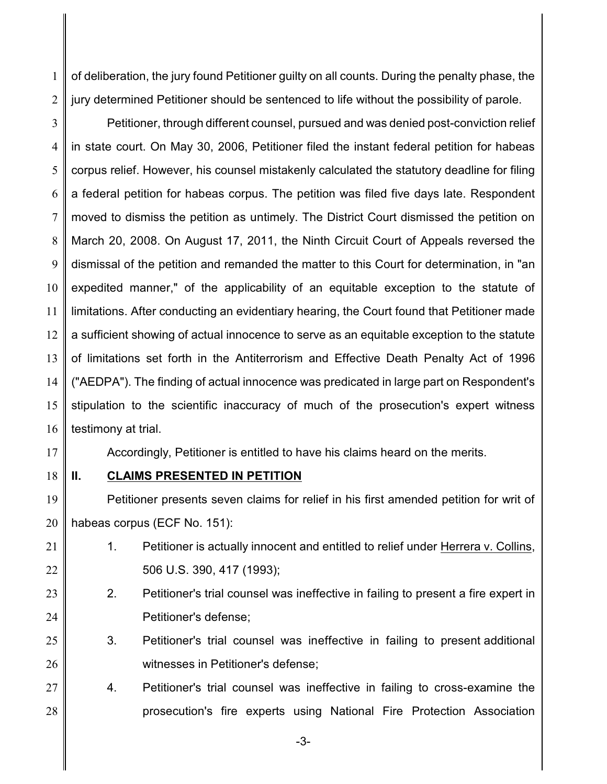1 2 of deliberation, the jury found Petitioner guilty on all counts. During the penalty phase, the jury determined Petitioner should be sentenced to life without the possibility of parole.

3 4 5 6 7 8 9 10 11 12 13 14 15 16 Petitioner, through different counsel, pursued and was denied post-conviction relief in state court. On May 30, 2006, Petitioner filed the instant federal petition for habeas corpus relief. However, his counsel mistakenly calculated the statutory deadline for filing a federal petition for habeas corpus. The petition was filed five days late. Respondent moved to dismiss the petition as untimely. The District Court dismissed the petition on March 20, 2008. On August 17, 2011, the Ninth Circuit Court of Appeals reversed the dismissal of the petition and remanded the matter to this Court for determination, in "an expedited manner," of the applicability of an equitable exception to the statute of limitations. After conducting an evidentiary hearing, the Court found that Petitioner made a sufficient showing of actual innocence to serve as an equitable exception to the statute of limitations set forth in the Antiterrorism and Effective Death Penalty Act of 1996 ("AEDPA"). The finding of actual innocence was predicated in large part on Respondent's stipulation to the scientific inaccuracy of much of the prosecution's expert witness testimony at trial.

17

Accordingly, Petitioner is entitled to have his claims heard on the merits.

18

## **II. CLAIMS PRESENTED IN PETITION**

19 20 Petitioner presents seven claims for relief in his first amended petition for writ of habeas corpus (ECF No. 151):

- 21 22 1. Petitioner is actually innocent and entitled to relief under Herrera v. Collins, 506 U.S. 390, 417 (1993);
- 23 24 2. Petitioner's trial counsel was ineffective in failing to present a fire expert in Petitioner's defense;
- 25 26 3. Petitioner's trial counsel was ineffective in failing to present additional witnesses in Petitioner's defense;
- 27 28 4. Petitioner's trial counsel was ineffective in failing to cross-examine the prosecution's fire experts using National Fire Protection Association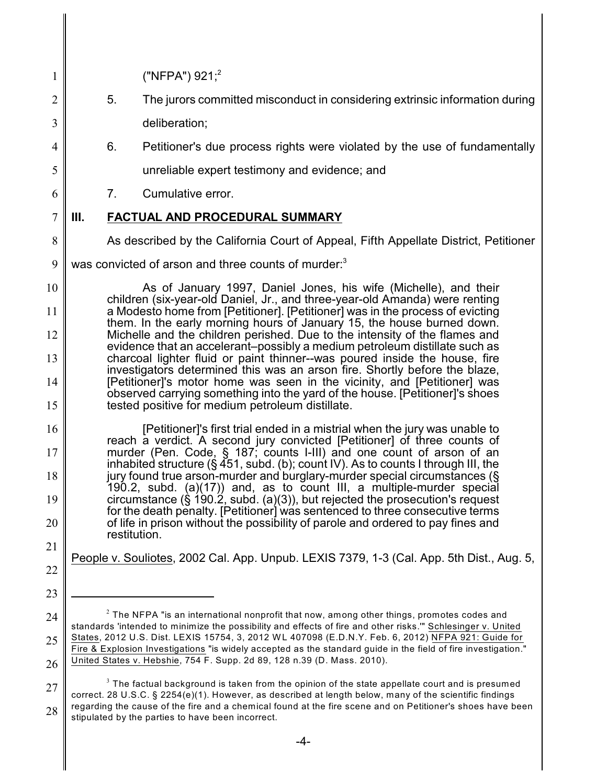| $\mathbf{1}$   |                                                                                                                                                              | ("NFPA") $921;^{2}$                                                                                                                                                          |  |  |  |
|----------------|--------------------------------------------------------------------------------------------------------------------------------------------------------------|------------------------------------------------------------------------------------------------------------------------------------------------------------------------------|--|--|--|
| $\mathbf{2}$   | 5.                                                                                                                                                           | The jurors committed misconduct in considering extrinsic information during                                                                                                  |  |  |  |
| 3              |                                                                                                                                                              | deliberation;                                                                                                                                                                |  |  |  |
| 4              | 6.                                                                                                                                                           | Petitioner's due process rights were violated by the use of fundamentally                                                                                                    |  |  |  |
| 5              |                                                                                                                                                              | unreliable expert testimony and evidence; and                                                                                                                                |  |  |  |
| 6              | 7.                                                                                                                                                           | Cumulative error.                                                                                                                                                            |  |  |  |
| $\overline{7}$ | Ш.                                                                                                                                                           | <b>FACTUAL AND PROCEDURAL SUMMARY</b>                                                                                                                                        |  |  |  |
| 8              |                                                                                                                                                              | As described by the California Court of Appeal, Fifth Appellate District, Petitioner                                                                                         |  |  |  |
| 9              | was convicted of arson and three counts of murder: <sup>3</sup>                                                                                              |                                                                                                                                                                              |  |  |  |
| 10             | As of January 1997, Daniel Jones, his wife (Michelle), and their                                                                                             |                                                                                                                                                                              |  |  |  |
| 11             | children (six-year-old Daniel, Jr., and three-year-old Amanda) were renting<br>a Modesto home from [Petitioner]. [Petitioner] was in the process of evicting |                                                                                                                                                                              |  |  |  |
| 12             | them. In the early morning hours of January 15, the house burned down.<br>Michelle and the children perished. Due to the intensity of the flames and         |                                                                                                                                                                              |  |  |  |
| 13             | evidence that an accelerant-possibly a medium petroleum distillate such as<br>charcoal lighter fluid or paint thinner--was poured inside the house, fire     |                                                                                                                                                                              |  |  |  |
| 14             | investigators determined this was an arson fire. Shortly before the blaze,<br>[Petitioner]'s motor home was seen in the vicinity, and [Petitioner] was       |                                                                                                                                                                              |  |  |  |
| 15             |                                                                                                                                                              | observed carrying something into the yard of the house. [Petitioner]'s shoes<br>tested positive for medium petroleum distillate.                                             |  |  |  |
| 16             |                                                                                                                                                              | [Petitioner]'s first trial ended in a mistrial when the jury was unable to                                                                                                   |  |  |  |
| 17             |                                                                                                                                                              | reach a verdict. A second jury convicted [Petitioner] of three counts of<br>murder (Pen. Code, § 187; counts I-III) and one count of arson of an                             |  |  |  |
| 18             |                                                                                                                                                              | inhabited structure (§ $\overline{451}$ , subd. (b); count IV). As to counts I through III, the<br>jury found true arson-murder and burglary-murder special circumstances (§ |  |  |  |
| 19             |                                                                                                                                                              | 190.2, subd. (a)(17)) and, as to count III, a multiple-murder special<br>circumstance $(\S 190.2, \text{subd.} (a)(3))$ , but rejected the prosecution's request             |  |  |  |
| 20             |                                                                                                                                                              | for the death penalty. [Petitioner] was sentenced to three consecutive terms<br>of life in prison without the possibility of parole and ordered to pay fines and             |  |  |  |
| 21             | restitution.                                                                                                                                                 |                                                                                                                                                                              |  |  |  |
| 22             |                                                                                                                                                              | People v. Souliotes, 2002 Cal. App. Unpub. LEXIS 7379, 1-3 (Cal. App. 5th Dist., Aug. 5,                                                                                     |  |  |  |
| 23             |                                                                                                                                                              |                                                                                                                                                                              |  |  |  |
| 24             |                                                                                                                                                              | $2$ The NFPA "is an international nonprofit that now, among other things, promotes codes and                                                                                 |  |  |  |

<sup>25</sup> 26 standards 'intended to minimize the possibility and effects of fire and other risks.'" Schlesinger v. United States, 2012 U.S. Dist. LEXIS 15754, 3, 2012 W L 407098 (E.D.N.Y. Feb. 6, 2012) NFPA 921: Guide for Fire & Explosion Investigations "is widely accepted as the standard guide in the field of fire investigation." United States v. Hebshie, 754 F. Supp. 2d 89, 128 n.39 (D. Mass. 2010).

<sup>27</sup> 28  $^3$  The factual background is taken from the opinion of the state appellate court and is presumed correct. 28 U.S.C. § 2254(e)(1). However, as described at length below, many of the scientific findings regarding the cause of the fire and a chemical found at the fire scene and on Petitioner's shoes have been stipulated by the parties to have been incorrect.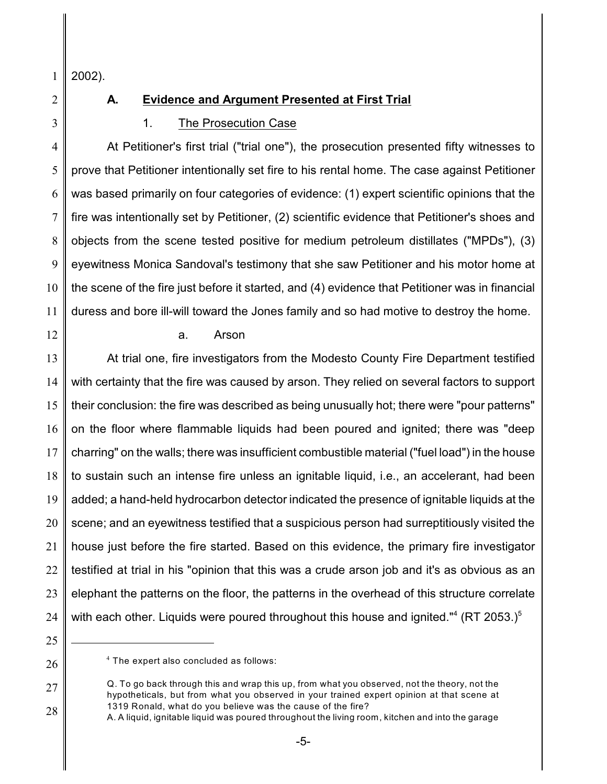1 2002).

2

3

# **A. Evidence and Argument Presented at First Trial**

## 1. The Prosecution Case

4 5 6 7 8 9 10 11 At Petitioner's first trial ("trial one"), the prosecution presented fifty witnesses to prove that Petitioner intentionally set fire to his rental home. The case against Petitioner was based primarily on four categories of evidence: (1) expert scientific opinions that the fire was intentionally set by Petitioner, (2) scientific evidence that Petitioner's shoes and objects from the scene tested positive for medium petroleum distillates ("MPDs"), (3) eyewitness Monica Sandoval's testimony that she saw Petitioner and his motor home at the scene of the fire just before it started, and (4) evidence that Petitioner was in financial duress and bore ill-will toward the Jones family and so had motive to destroy the home.

12

#### a. Arson

13 14 15 16 17 18 19 20 21 22 23 24 At trial one, fire investigators from the Modesto County Fire Department testified with certainty that the fire was caused by arson. They relied on several factors to support their conclusion: the fire was described as being unusually hot; there were "pour patterns" on the floor where flammable liquids had been poured and ignited; there was "deep charring" on the walls; there was insufficient combustible material ("fuel load") in the house to sustain such an intense fire unless an ignitable liquid, i.e., an accelerant, had been added; a hand-held hydrocarbon detector indicated the presence of ignitable liquids at the scene; and an eyewitness testified that a suspicious person had surreptitiously visited the house just before the fire started. Based on this evidence, the primary fire investigator testified at trial in his "opinion that this was a crude arson job and it's as obvious as an elephant the patterns on the floor, the patterns in the overhead of this structure correlate with each other. Liquids were poured throughout this house and ignited." $4$  (RT 2053.)<sup>5</sup>

 $4$  The expert also concluded as follows:

<sup>27</sup> 28 Q. To go back through this and wrap this up, from what you observed, not the theory, not the hypotheticals, but from what you observed in your trained expert opinion at that scene at 1319 Ronald, what do you believe was the cause of the fire?

A. A liquid, ignitable liquid was poured throughout the living room, kitchen and into the garage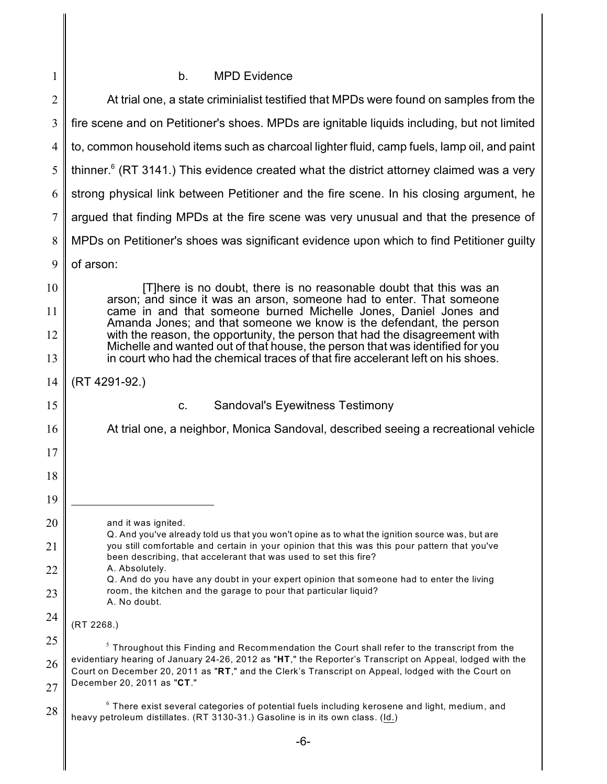# b. MPD Evidence

| $\mathfrak{2}$ | At trial one, a state criminialist testified that MPDs were found on samples from the                                                                                                                                                                                                                                                                                                                    |  |
|----------------|----------------------------------------------------------------------------------------------------------------------------------------------------------------------------------------------------------------------------------------------------------------------------------------------------------------------------------------------------------------------------------------------------------|--|
| 3              | fire scene and on Petitioner's shoes. MPDs are ignitable liquids including, but not limited                                                                                                                                                                                                                                                                                                              |  |
| $\overline{4}$ | to, common household items such as charcoal lighter fluid, camp fuels, lamp oil, and paint                                                                                                                                                                                                                                                                                                               |  |
| 5              | thinner. <sup>6</sup> (RT 3141.) This evidence created what the district attorney claimed was a very                                                                                                                                                                                                                                                                                                     |  |
| 6              | strong physical link between Petitioner and the fire scene. In his closing argument, he                                                                                                                                                                                                                                                                                                                  |  |
| $\overline{7}$ | argued that finding MPDs at the fire scene was very unusual and that the presence of                                                                                                                                                                                                                                                                                                                     |  |
| 8              | MPDs on Petitioner's shoes was significant evidence upon which to find Petitioner guilty                                                                                                                                                                                                                                                                                                                 |  |
| 9              | of arson:                                                                                                                                                                                                                                                                                                                                                                                                |  |
| 10             | [T]here is no doubt, there is no reasonable doubt that this was an<br>arson; and since it was an arson, someone had to enter. That someone<br>came in and that someone burned Michelle Jones, Daniel Jones and<br>Amanda Jones; and that someone we know is the defendant, the person                                                                                                                    |  |
| 11             |                                                                                                                                                                                                                                                                                                                                                                                                          |  |
| 12             | with the reason, the opportunity, the person that had the disagreement with<br>Michelle and wanted out of that house, the person that was identified for you                                                                                                                                                                                                                                             |  |
| 13             | in court who had the chemical traces of that fire accelerant left on his shoes.                                                                                                                                                                                                                                                                                                                          |  |
| 14             | (RT 4291-92.)                                                                                                                                                                                                                                                                                                                                                                                            |  |
| 15             | <b>Sandoval's Eyewitness Testimony</b><br>C.                                                                                                                                                                                                                                                                                                                                                             |  |
| 16             | At trial one, a neighbor, Monica Sandoval, described seeing a recreational vehicle                                                                                                                                                                                                                                                                                                                       |  |
| 17             |                                                                                                                                                                                                                                                                                                                                                                                                          |  |
| 18             |                                                                                                                                                                                                                                                                                                                                                                                                          |  |
| 19             |                                                                                                                                                                                                                                                                                                                                                                                                          |  |
| 20             | and it was ignited.<br>Q. And you've already told us that you won't opine as to what the ignition source was, but are<br>you still comfortable and certain in your opinion that this was this pour pattern that you've<br>been describing, that accelerant that was used to set this fire?<br>A. Absolutely.<br>Q. And do you have any doubt in your expert opinion that someone had to enter the living |  |
| 21             |                                                                                                                                                                                                                                                                                                                                                                                                          |  |
| 22             |                                                                                                                                                                                                                                                                                                                                                                                                          |  |
| 23             | room, the kitchen and the garage to pour that particular liquid?<br>A. No doubt.                                                                                                                                                                                                                                                                                                                         |  |
| 24             | (RT 2268.)                                                                                                                                                                                                                                                                                                                                                                                               |  |
| 25             | <sup>5</sup> Throughout this Finding and Recommendation the Court shall refer to the transcript from the<br>evidentiary hearing of January 24-26, 2012 as "HT," the Reporter's Transcript on Appeal, lodged with the<br>Court on December 20, 2011 as "RT," and the Clerk's Transcript on Appeal, lodged with the Court on<br>December 20, 2011 as "CT."                                                 |  |
| 26<br>27       |                                                                                                                                                                                                                                                                                                                                                                                                          |  |
| 28             | $6$ There exist several categories of potential fuels including kerosene and light, medium, and<br>heavy petroleum distillates. (RT 3130-31.) Gasoline is in its own class. (Id.)                                                                                                                                                                                                                        |  |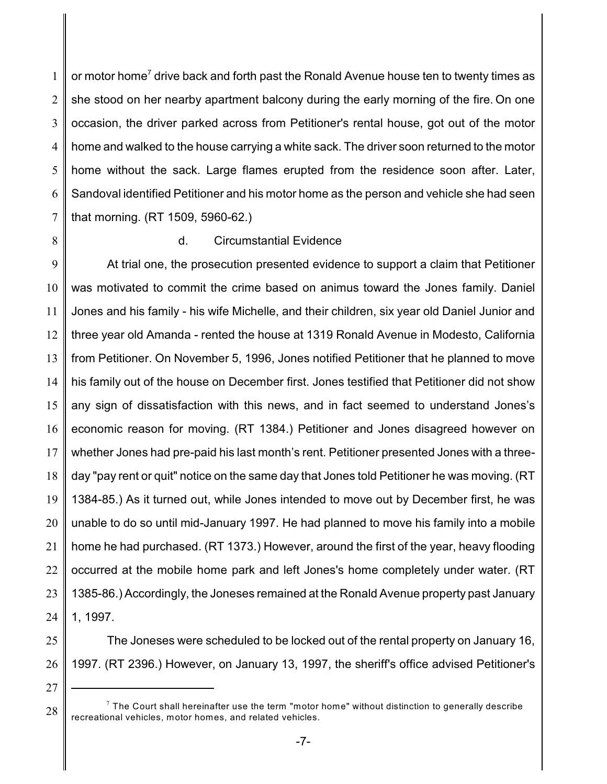1 2 3 4 5 6 7 or motor home<sup>7</sup> drive back and forth past the Ronald Avenue house ten to twenty times as she stood on her nearby apartment balcony during the early morning of the fire. On one occasion, the driver parked across from Petitioner's rental house, got out of the motor home and walked to the house carrying a white sack. The driver soon returned to the motor home without the sack. Large flames erupted from the residence soon after. Later, Sandoval identified Petitioner and his motor home as the person and vehicle she had seen that morning. (RT 1509, 5960-62.)

8

#### d. Circumstantial Evidence

9 10 11 12 13 14 15 16 17 18 19 20 21 22 23 24 At trial one, the prosecution presented evidence to support a claim that Petitioner was motivated to commit the crime based on animus toward the Jones family. Daniel Jones and his family - his wife Michelle, and their children, six year old Daniel Junior and three year old Amanda - rented the house at 1319 Ronald Avenue in Modesto, California from Petitioner. On November 5, 1996, Jones notified Petitioner that he planned to move his family out of the house on December first. Jones testified that Petitioner did not show any sign of dissatisfaction with this news, and in fact seemed to understand Jones's economic reason for moving. (RT 1384.) Petitioner and Jones disagreed however on whether Jones had pre-paid his last month's rent. Petitioner presented Jones with a threeday "pay rent or quit" notice on the same day that Jones told Petitioner he was moving. (RT 1384-85.) As it turned out, while Jones intended to move out by December first, he was unable to do so until mid-January 1997. He had planned to move his family into a mobile home he had purchased. (RT 1373.) However, around the first of the year, heavy flooding occurred at the mobile home park and left Jones's home completely under water. (RT 1385-86.) Accordingly, the Joneses remained at the Ronald Avenue property past January 1, 1997.

- 25
- 26

The Joneses were scheduled to be locked out of the rental property on January 16, 1997. (RT 2396.) However, on January 13, 1997, the sheriff's office advised Petitioner's

27

 $^7$  The Court shall hereinafter use the term "motor home" without distinction to generally describe recreational vehicles, motor homes, and related vehicles.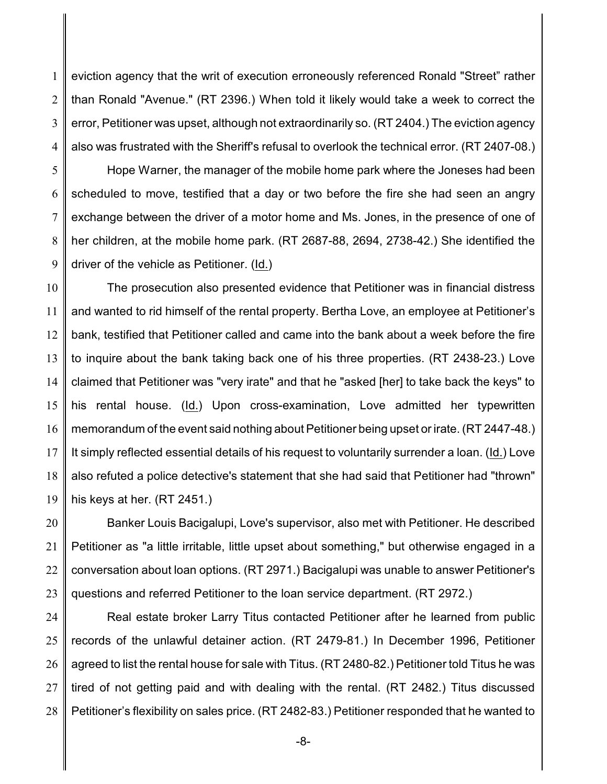1 2 3 4 eviction agency that the writ of execution erroneously referenced Ronald "Street" rather than Ronald "Avenue." (RT 2396.) When told it likely would take a week to correct the error, Petitioner was upset, although not extraordinarily so. (RT 2404.) The eviction agency also was frustrated with the Sheriff's refusal to overlook the technical error. (RT 2407-08.)

5 6 7 8 9 Hope Warner, the manager of the mobile home park where the Joneses had been scheduled to move, testified that a day or two before the fire she had seen an angry exchange between the driver of a motor home and Ms. Jones, in the presence of one of her children, at the mobile home park. (RT 2687-88, 2694, 2738-42.) She identified the driver of the vehicle as Petitioner. (Id.)

10 11 12 13 14 15 16 17 18 19 The prosecution also presented evidence that Petitioner was in financial distress and wanted to rid himself of the rental property. Bertha Love, an employee at Petitioner's bank, testified that Petitioner called and came into the bank about a week before the fire to inquire about the bank taking back one of his three properties. (RT 2438-23.) Love claimed that Petitioner was "very irate" and that he "asked [her] to take back the keys" to his rental house. (Id.) Upon cross-examination, Love admitted her typewritten memorandum of the event said nothing about Petitioner being upset or irate. (RT 2447-48.) It simply reflected essential details of his request to voluntarily surrender a loan. (Id.) Love also refuted a police detective's statement that she had said that Petitioner had "thrown" his keys at her. (RT 2451.)

20 21 22 23 Banker Louis Bacigalupi, Love's supervisor, also met with Petitioner. He described Petitioner as "a little irritable, little upset about something," but otherwise engaged in a conversation about loan options. (RT 2971.) Bacigalupi was unable to answer Petitioner's questions and referred Petitioner to the loan service department. (RT 2972.)

24 25 26 27 28 Real estate broker Larry Titus contacted Petitioner after he learned from public records of the unlawful detainer action. (RT 2479-81.) In December 1996, Petitioner agreed to list the rental house for sale with Titus. (RT 2480-82.) Petitioner told Titus he was tired of not getting paid and with dealing with the rental. (RT 2482.) Titus discussed Petitioner's flexibility on sales price. (RT 2482-83.) Petitioner responded that he wanted to

-8-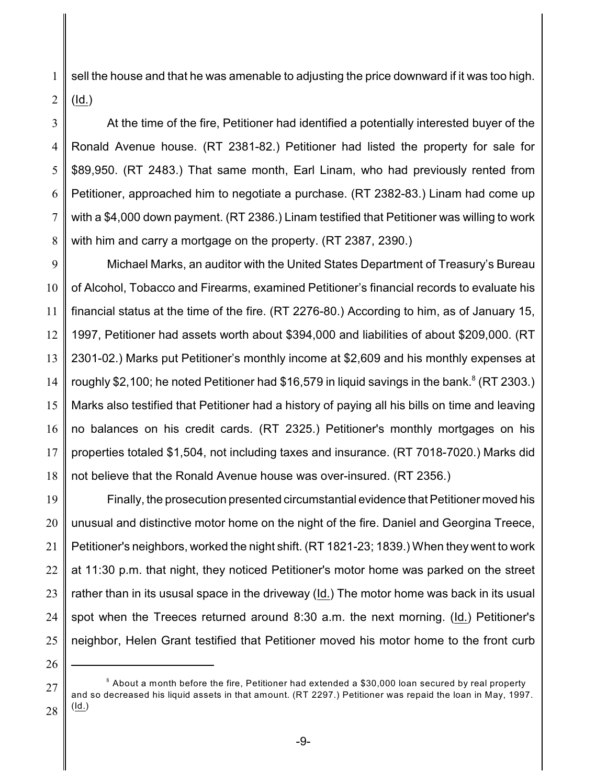1 2 sell the house and that he was amenable to adjusting the price downward if it was too high. (Id.)

3 4 5 6 7 8 At the time of the fire, Petitioner had identified a potentially interested buyer of the Ronald Avenue house. (RT 2381-82.) Petitioner had listed the property for sale for \$89,950. (RT 2483.) That same month, Earl Linam, who had previously rented from Petitioner, approached him to negotiate a purchase. (RT 2382-83.) Linam had come up with a \$4,000 down payment. (RT 2386.) Linam testified that Petitioner was willing to work with him and carry a mortgage on the property. (RT 2387, 2390.)

9 10 11 12 13 14 15 16 17 18 Michael Marks, an auditor with the United States Department of Treasury's Bureau of Alcohol, Tobacco and Firearms, examined Petitioner's financial records to evaluate his financial status at the time of the fire. (RT 2276-80.) According to him, as of January 15, 1997, Petitioner had assets worth about \$394,000 and liabilities of about \$209,000. (RT 2301-02.) Marks put Petitioner's monthly income at \$2,609 and his monthly expenses at roughly \$2,100; he noted Petitioner had \$16,579 in liquid savings in the bank.<sup>8</sup> (RT 2303.) Marks also testified that Petitioner had a history of paying all his bills on time and leaving no balances on his credit cards. (RT 2325.) Petitioner's monthly mortgages on his properties totaled \$1,504, not including taxes and insurance. (RT 7018-7020.) Marks did not believe that the Ronald Avenue house was over-insured. (RT 2356.)

19 20 21 22 23 24 25 Finally, the prosecution presented circumstantial evidence that Petitioner moved his unusual and distinctive motor home on the night of the fire. Daniel and Georgina Treece, Petitioner's neighbors, worked the night shift. (RT 1821-23; 1839.) When they went to work at 11:30 p.m. that night, they noticed Petitioner's motor home was parked on the street rather than in its ususal space in the driveway (Id.) The motor home was back in its usual spot when the Treeces returned around 8:30 a.m. the next morning. (Id.) Petitioner's neighbor, Helen Grant testified that Petitioner moved his motor home to the front curb

26

27

 $^8$  About a month before the fire, Petitioner had extended a \$30,000 loan secured by real property and so decreased his liquid assets in that amount. (RT 2297.) Petitioner was repaid the loan in May, 1997.  $(\underline{\mathsf{Id}})$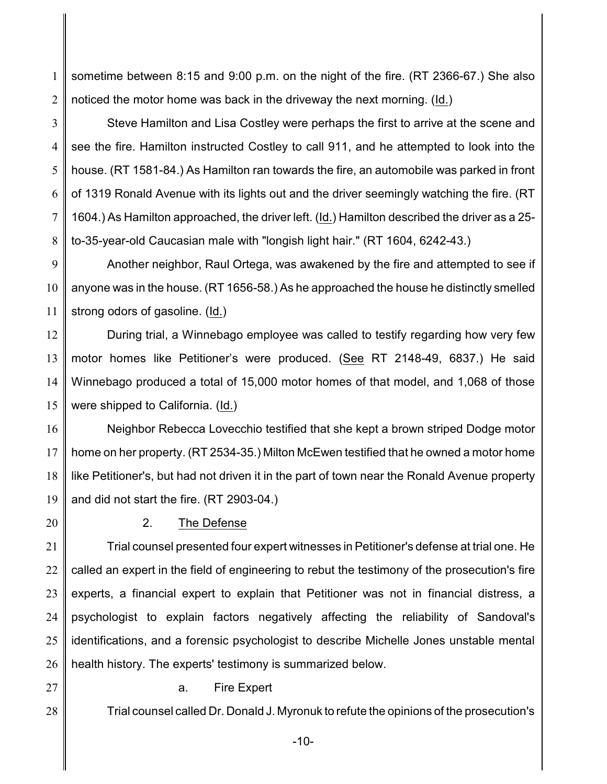1 2 sometime between 8:15 and 9:00 p.m. on the night of the fire. (RT 2366-67.) She also noticed the motor home was back in the driveway the next morning. (Id.)

3 4 5 6 7 8 Steve Hamilton and Lisa Costley were perhaps the first to arrive at the scene and see the fire. Hamilton instructed Costley to call 911, and he attempted to look into the house. (RT 1581-84.) As Hamilton ran towards the fire, an automobile was parked in front of 1319 Ronald Avenue with its lights out and the driver seemingly watching the fire. (RT 1604.) As Hamilton approached, the driver left. (Id.) Hamilton described the driver as a 25 to-35-year-old Caucasian male with "longish light hair." (RT 1604, 6242-43.)

9 10 11 Another neighbor, Raul Ortega, was awakened by the fire and attempted to see if anyone was in the house. (RT 1656-58.) As he approached the house he distinctly smelled strong odors of gasoline. (Id.)

12 13 14 15 During trial, a Winnebago employee was called to testify regarding how very few motor homes like Petitioner's were produced. (See RT 2148-49, 6837.) He said Winnebago produced a total of 15,000 motor homes of that model, and 1,068 of those were shipped to California. (Id.)

16 17 18 19 Neighbor Rebecca Lovecchio testified that she kept a brown striped Dodge motor home on her property. (RT 2534-35.) Milton McEwen testified that he owned a motor home like Petitioner's, but had not driven it in the part of town near the Ronald Avenue property and did not start the fire. (RT 2903-04.)

20

# 2. The Defense

21 22 23 24 25 26 Trial counsel presented four expert witnesses in Petitioner's defense at trial one. He called an expert in the field of engineering to rebut the testimony of the prosecution's fire experts, a financial expert to explain that Petitioner was not in financial distress, a psychologist to explain factors negatively affecting the reliability of Sandoval's identifications, and a forensic psychologist to describe Michelle Jones unstable mental health history. The experts' testimony is summarized below.

27

28

a. Fire Expert

Trial counsel called Dr. Donald J. Myronuk to refute the opinions of the prosecution's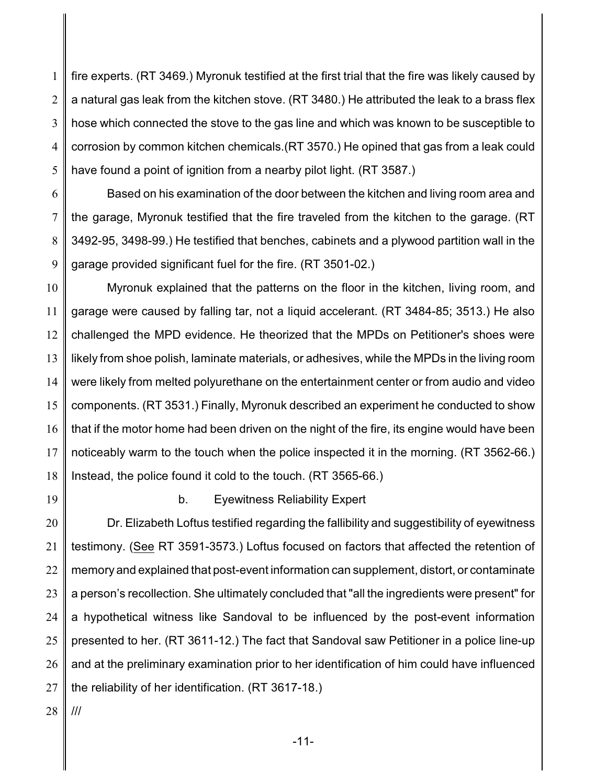1 2 3 4 5 fire experts. (RT 3469.) Myronuk testified at the first trial that the fire was likely caused by a natural gas leak from the kitchen stove. (RT 3480.) He attributed the leak to a brass flex hose which connected the stove to the gas line and which was known to be susceptible to corrosion by common kitchen chemicals.(RT 3570.) He opined that gas from a leak could have found a point of ignition from a nearby pilot light. (RT 3587.)

6 7 8 9 Based on his examination of the door between the kitchen and living room area and the garage, Myronuk testified that the fire traveled from the kitchen to the garage. (RT 3492-95, 3498-99.) He testified that benches, cabinets and a plywood partition wall in the garage provided significant fuel for the fire. (RT 3501-02.)

10 11 12 13 14 15 16 17 18 Myronuk explained that the patterns on the floor in the kitchen, living room, and garage were caused by falling tar, not a liquid accelerant. (RT 3484-85; 3513.) He also challenged the MPD evidence. He theorized that the MPDs on Petitioner's shoes were likely from shoe polish, laminate materials, or adhesives, while the MPDs in the living room were likely from melted polyurethane on the entertainment center or from audio and video components. (RT 3531.) Finally, Myronuk described an experiment he conducted to show that if the motor home had been driven on the night of the fire, its engine would have been noticeably warm to the touch when the police inspected it in the morning. (RT 3562-66.) Instead, the police found it cold to the touch. (RT 3565-66.)

19

#### b. Eyewitness Reliability Expert

20 21 22 23 24 25 26 27 Dr. Elizabeth Loftus testified regarding the fallibility and suggestibility of eyewitness testimony. (See RT 3591-3573.) Loftus focused on factors that affected the retention of memory and explained that post-event information can supplement, distort, or contaminate a person's recollection. She ultimately concluded that "all the ingredients were present" for a hypothetical witness like Sandoval to be influenced by the post-event information presented to her. (RT 3611-12.) The fact that Sandoval saw Petitioner in a police line-up and at the preliminary examination prior to her identification of him could have influenced the reliability of her identification. (RT 3617-18.)

28 ///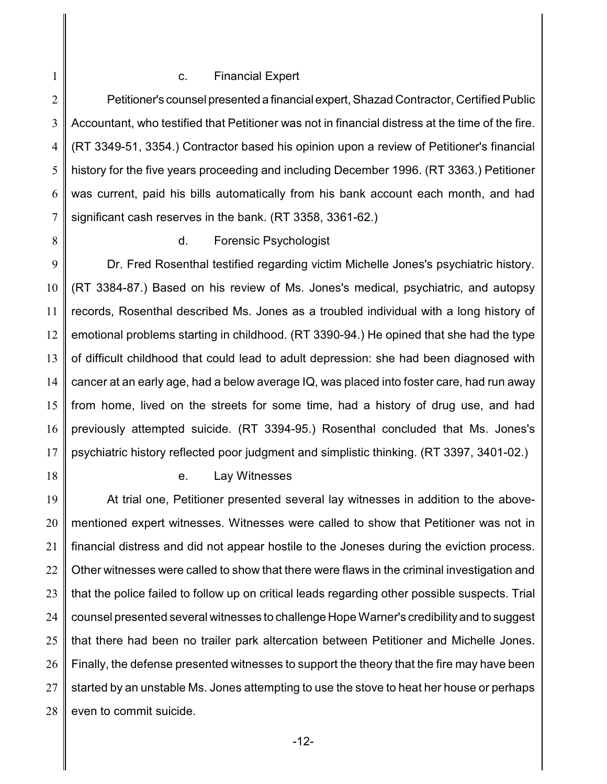#### c. Financial Expert

2 3 4 5 6 7 Petitioner's counsel presented a financial expert, Shazad Contractor, Certified Public Accountant, who testified that Petitioner was not in financial distress at the time of the fire. (RT 3349-51, 3354.) Contractor based his opinion upon a review of Petitioner's financial history for the five years proceeding and including December 1996. (RT 3363.) Petitioner was current, paid his bills automatically from his bank account each month, and had significant cash reserves in the bank. (RT 3358, 3361-62.)

8

1

#### d. Forensic Psychologist

9 10 11 12 13 14 15 16 17 Dr. Fred Rosenthal testified regarding victim Michelle Jones's psychiatric history. (RT 3384-87.) Based on his review of Ms. Jones's medical, psychiatric, and autopsy records, Rosenthal described Ms. Jones as a troubled individual with a long history of emotional problems starting in childhood. (RT 3390-94.) He opined that she had the type of difficult childhood that could lead to adult depression: she had been diagnosed with cancer at an early age, had a below average IQ, was placed into foster care, had run away from home, lived on the streets for some time, had a history of drug use, and had previously attempted suicide. (RT 3394-95.) Rosenthal concluded that Ms. Jones's psychiatric history reflected poor judgment and simplistic thinking. (RT 3397, 3401-02.)

18

#### e. Lay Witnesses

19 20 21 22 23 24 25 26 27 28 At trial one, Petitioner presented several lay witnesses in addition to the abovementioned expert witnesses. Witnesses were called to show that Petitioner was not in financial distress and did not appear hostile to the Joneses during the eviction process. Other witnesses were called to show that there were flaws in the criminal investigation and that the police failed to follow up on critical leads regarding other possible suspects. Trial counsel presented several witnesses to challenge Hope Warner's credibility and to suggest that there had been no trailer park altercation between Petitioner and Michelle Jones. Finally, the defense presented witnesses to support the theory that the fire may have been started by an unstable Ms. Jones attempting to use the stove to heat her house or perhaps even to commit suicide.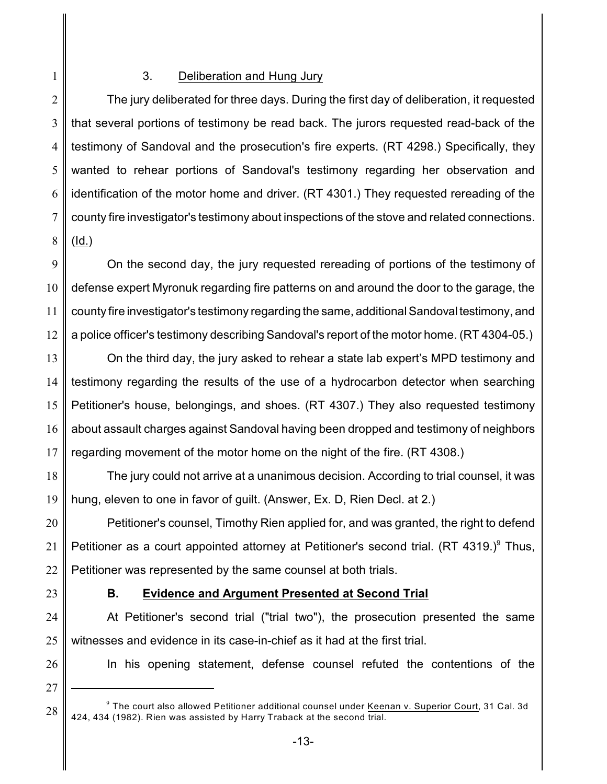## 3. Deliberation and Hung Jury

2 3 4 5 6 7 8 The jury deliberated for three days. During the first day of deliberation, it requested that several portions of testimony be read back. The jurors requested read-back of the testimony of Sandoval and the prosecution's fire experts. (RT 4298.) Specifically, they wanted to rehear portions of Sandoval's testimony regarding her observation and identification of the motor home and driver. (RT 4301.) They requested rereading of the county fire investigator's testimony about inspections of the stove and related connections. (Id.)

9 10 11 12 On the second day, the jury requested rereading of portions of the testimony of defense expert Myronuk regarding fire patterns on and around the door to the garage, the county fire investigator's testimony regarding the same, additional Sandoval testimony, and a police officer's testimony describing Sandoval's report of the motor home. (RT 4304-05.)

13 14 15 16 17 On the third day, the jury asked to rehear a state lab expert's MPD testimony and testimony regarding the results of the use of a hydrocarbon detector when searching Petitioner's house, belongings, and shoes. (RT 4307.) They also requested testimony about assault charges against Sandoval having been dropped and testimony of neighbors regarding movement of the motor home on the night of the fire. (RT 4308.)

18 19 The jury could not arrive at a unanimous decision. According to trial counsel, it was hung, eleven to one in favor of guilt. (Answer, Ex. D, Rien Decl. at 2.)

20 21 22 Petitioner's counsel, Timothy Rien applied for, and was granted, the right to defend Petitioner as a court appointed attorney at Petitioner's second trial. (RT 4319.) $9$  Thus, Petitioner was represented by the same counsel at both trials.

23

1

## **B. Evidence and Argument Presented at Second Trial**

24 25 At Petitioner's second trial ("trial two"), the prosecution presented the same witnesses and evidence in its case-in-chief as it had at the first trial.

26

In his opening statement, defense counsel refuted the contentions of the

27

 $^9$  The court also allowed Petitioner additional counsel under <u>Keenan v. Superior Court</u>, 31 Cal. 3d 424, 434 (1982). Rien was assisted by Harry Traback at the second trial.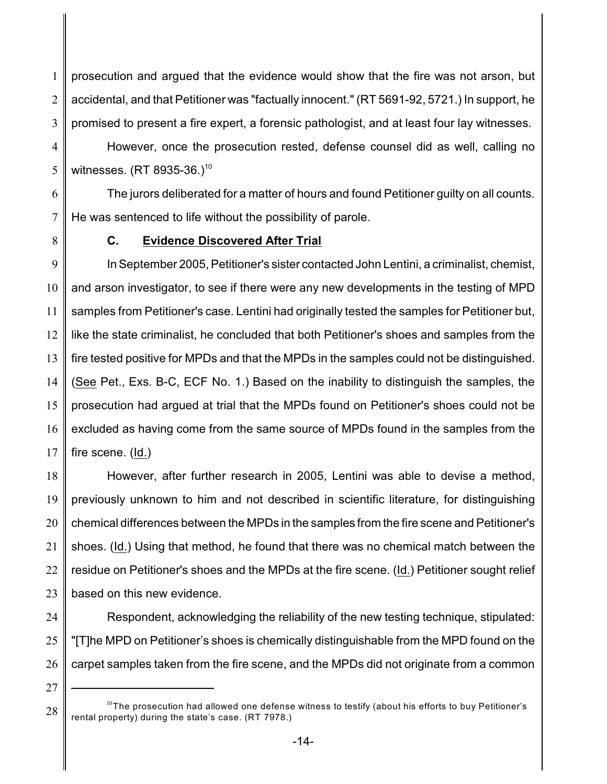1 2 3 prosecution and argued that the evidence would show that the fire was not arson, but accidental, and that Petitioner was "factually innocent." (RT 5691-92, 5721.) In support, he promised to present a fire expert, a forensic pathologist, and at least four lay witnesses.

4 5 However, once the prosecution rested, defense counsel did as well, calling no witnesses. (RT 8935-36.)<sup>10</sup>

6 7 The jurors deliberated for a matter of hours and found Petitioner guilty on all counts. He was sentenced to life without the possibility of parole.

8

# **C. Evidence Discovered After Trial**

9 10 11 12 13 14 15 16 17 In September 2005, Petitioner's sister contacted John Lentini, a criminalist, chemist, and arson investigator, to see if there were any new developments in the testing of MPD samples from Petitioner's case. Lentini had originally tested the samples for Petitioner but, like the state criminalist, he concluded that both Petitioner's shoes and samples from the fire tested positive for MPDs and that the MPDs in the samples could not be distinguished. (See Pet., Exs. B-C, ECF No. 1.) Based on the inability to distinguish the samples, the prosecution had argued at trial that the MPDs found on Petitioner's shoes could not be excluded as having come from the same source of MPDs found in the samples from the fire scene. (Id.)

18 19 20 21 22 23 However, after further research in 2005, Lentini was able to devise a method, previously unknown to him and not described in scientific literature, for distinguishing chemical differences between the MPDs in the samples from the fire scene and Petitioner's shoes. (Id.) Using that method, he found that there was no chemical match between the residue on Petitioner's shoes and the MPDs at the fire scene. (Id.) Petitioner sought relief based on this new evidence.

24

25 26 Respondent, acknowledging the reliability of the new testing technique, stipulated: "[T]he MPD on Petitioner's shoes is chemically distinguishable from the MPD found on the carpet samples taken from the fire scene, and the MPDs did not originate from a common

27

 $^{10}$ The prosecution had allowed one defense witness to testify (about his efforts to buy Petitioner's rental property) during the state's case. (RT 7978.)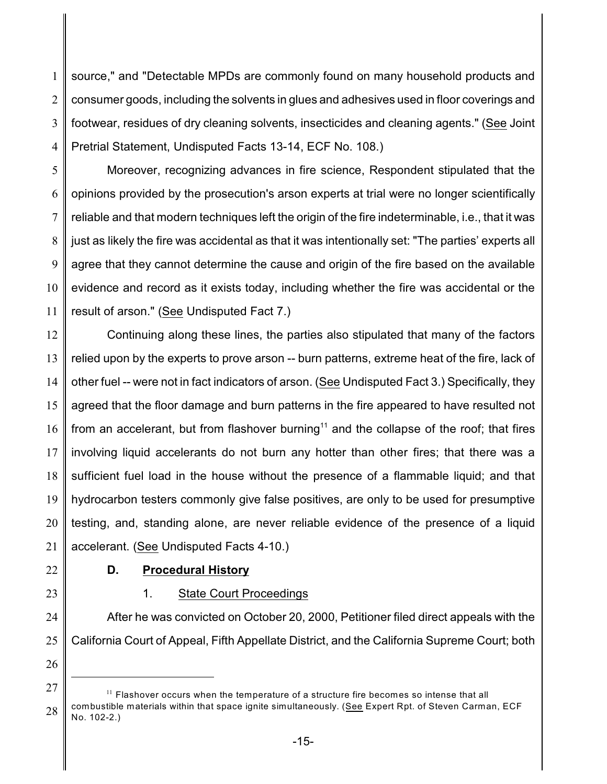1 2 3 4 source," and "Detectable MPDs are commonly found on many household products and consumer goods, including the solvents in glues and adhesives used in floor coverings and footwear, residues of dry cleaning solvents, insecticides and cleaning agents." (See Joint Pretrial Statement, Undisputed Facts 13-14, ECF No. 108.)

5 6 7 8 9 10 11 Moreover, recognizing advances in fire science, Respondent stipulated that the opinions provided by the prosecution's arson experts at trial were no longer scientifically reliable and that modern techniques left the origin of the fire indeterminable, i.e., that it was just as likely the fire was accidental as that it was intentionally set: "The parties' experts all agree that they cannot determine the cause and origin of the fire based on the available evidence and record as it exists today, including whether the fire was accidental or the result of arson." (See Undisputed Fact 7.)

12 13 14 15 16 17 18 19 20 21 Continuing along these lines, the parties also stipulated that many of the factors relied upon by the experts to prove arson -- burn patterns, extreme heat of the fire, lack of other fuel -- were not in fact indicators of arson. (See Undisputed Fact 3.) Specifically, they agreed that the floor damage and burn patterns in the fire appeared to have resulted not from an accelerant, but from flashover burning<sup>11</sup> and the collapse of the roof; that fires involving liquid accelerants do not burn any hotter than other fires; that there was a sufficient fuel load in the house without the presence of a flammable liquid; and that hydrocarbon testers commonly give false positives, are only to be used for presumptive testing, and, standing alone, are never reliable evidence of the presence of a liquid accelerant. (See Undisputed Facts 4-10.)

22

# **D. Procedural History**

23

# 1. State Court Proceedings

24 25 After he was convicted on October 20, 2000, Petitioner filed direct appeals with the California Court of Appeal, Fifth Appellate District, and the California Supreme Court; both

<sup>27</sup> 28  $11$  Flashover occurs when the temperature of a structure fire becomes so intense that all combustible materials within that space ignite simultaneously. (See Expert Rpt. of Steven Carman, ECF No. 102-2.)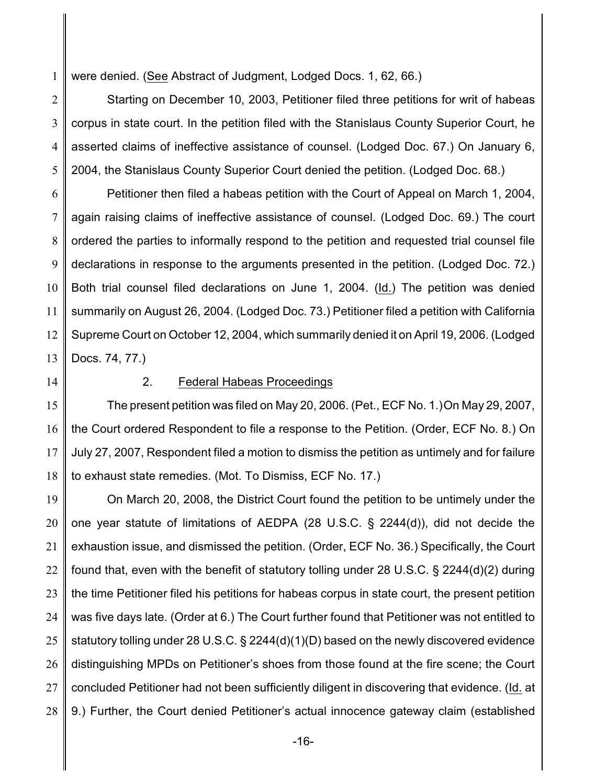1 were denied. (See Abstract of Judgment, Lodged Docs. 1, 62, 66.)

2 3 4 5 Starting on December 10, 2003, Petitioner filed three petitions for writ of habeas corpus in state court. In the petition filed with the Stanislaus County Superior Court, he asserted claims of ineffective assistance of counsel. (Lodged Doc. 67.) On January 6, 2004, the Stanislaus County Superior Court denied the petition. (Lodged Doc. 68.)

6 7 8 9 10 11 12 13 Petitioner then filed a habeas petition with the Court of Appeal on March 1, 2004, again raising claims of ineffective assistance of counsel. (Lodged Doc. 69.) The court ordered the parties to informally respond to the petition and requested trial counsel file declarations in response to the arguments presented in the petition. (Lodged Doc. 72.) Both trial counsel filed declarations on June 1, 2004. (Id.) The petition was denied summarily on August 26, 2004. (Lodged Doc. 73.) Petitioner filed a petition with California Supreme Court on October 12, 2004, which summarily denied it on April 19, 2006. (Lodged Docs. 74, 77.)

14

## 2. Federal Habeas Proceedings

15 16 17 18 The present petition was filed on May 20, 2006. (Pet., ECF No. 1.)On May 29, 2007, the Court ordered Respondent to file a response to the Petition. (Order, ECF No. 8.) On July 27, 2007, Respondent filed a motion to dismiss the petition as untimely and for failure to exhaust state remedies. (Mot. To Dismiss, ECF No. 17.)

19 20 21 22 23 24 25 26 27 28 On March 20, 2008, the District Court found the petition to be untimely under the one year statute of limitations of AEDPA (28 U.S.C. § 2244(d)), did not decide the exhaustion issue, and dismissed the petition. (Order, ECF No. 36.) Specifically, the Court found that, even with the benefit of statutory tolling under 28 U.S.C. § 2244(d)(2) during the time Petitioner filed his petitions for habeas corpus in state court, the present petition was five days late. (Order at 6.) The Court further found that Petitioner was not entitled to statutory tolling under 28 U.S.C. § 2244(d)(1)(D) based on the newly discovered evidence distinguishing MPDs on Petitioner's shoes from those found at the fire scene; the Court concluded Petitioner had not been sufficiently diligent in discovering that evidence. (Id. at 9.) Further, the Court denied Petitioner's actual innocence gateway claim (established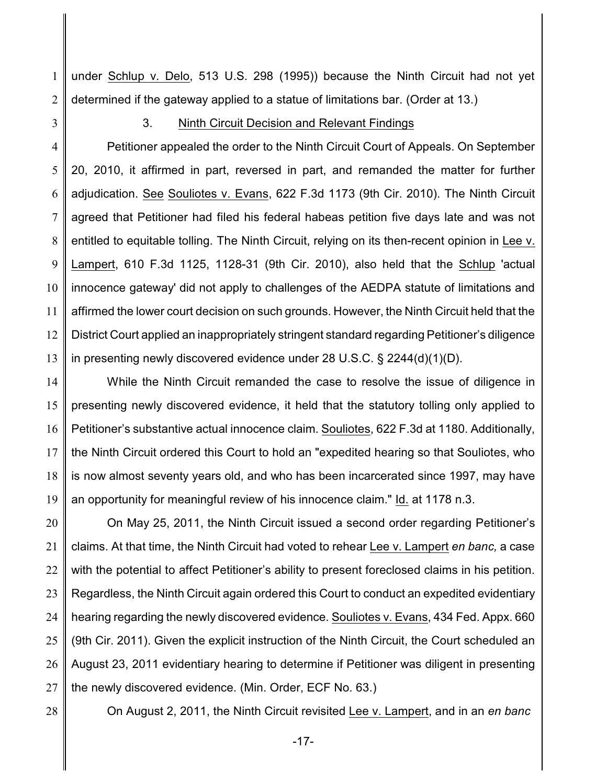1 2 under Schlup v. Delo, 513 U.S. 298 (1995)) because the Ninth Circuit had not yet determined if the gateway applied to a statue of limitations bar. (Order at 13.)

3

#### 3. Ninth Circuit Decision and Relevant Findings

4 5 6 7 8 9 10 11 12 13 Petitioner appealed the order to the Ninth Circuit Court of Appeals. On September 20, 2010, it affirmed in part, reversed in part, and remanded the matter for further adjudication. See Souliotes v. Evans, 622 F.3d 1173 (9th Cir. 2010). The Ninth Circuit agreed that Petitioner had filed his federal habeas petition five days late and was not entitled to equitable tolling. The Ninth Circuit, relying on its then-recent opinion in Lee v. Lampert, 610 F.3d 1125, 1128-31 (9th Cir. 2010), also held that the Schlup 'actual innocence gateway' did not apply to challenges of the AEDPA statute of limitations and affirmed the lower court decision on such grounds. However, the Ninth Circuit held that the District Court applied an inappropriately stringent standard regarding Petitioner's diligence in presenting newly discovered evidence under 28 U.S.C. § 2244(d)(1)(D).

14 15 16 17 18 19 While the Ninth Circuit remanded the case to resolve the issue of diligence in presenting newly discovered evidence, it held that the statutory tolling only applied to Petitioner's substantive actual innocence claim. Souliotes, 622 F.3d at 1180. Additionally, the Ninth Circuit ordered this Court to hold an "expedited hearing so that Souliotes, who is now almost seventy years old, and who has been incarcerated since 1997, may have an opportunity for meaningful review of his innocence claim." Id. at 1178 n.3.

20 21 22 23 24 25 26 27 On May 25, 2011, the Ninth Circuit issued a second order regarding Petitioner's claims. At that time, the Ninth Circuit had voted to rehear Lee v. Lampert *en banc,* a case with the potential to affect Petitioner's ability to present foreclosed claims in his petition. Regardless, the Ninth Circuit again ordered this Court to conduct an expedited evidentiary hearing regarding the newly discovered evidence. Souliotes v. Evans, 434 Fed. Appx. 660 (9th Cir. 2011). Given the explicit instruction of the Ninth Circuit, the Court scheduled an August 23, 2011 evidentiary hearing to determine if Petitioner was diligent in presenting the newly discovered evidence. (Min. Order, ECF No. 63.)

28

On August 2, 2011, the Ninth Circuit revisited Lee v. Lampert, and in an *en banc*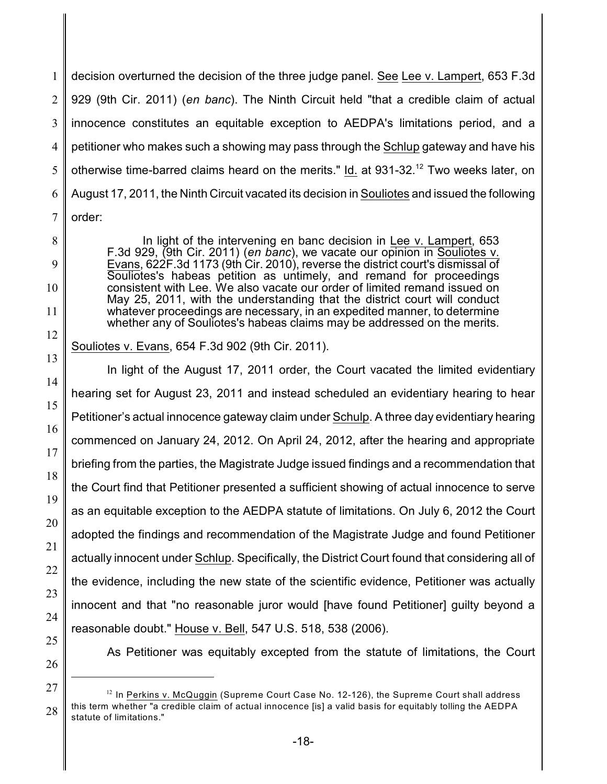1 2 3 4 5 6 7 decision overturned the decision of the three judge panel. See Lee v. Lampert, 653 F.3d 929 (9th Cir. 2011) (*en banc*). The Ninth Circuit held "that a credible claim of actual innocence constitutes an equitable exception to AEDPA's limitations period, and a petitioner who makes such a showing may pass through the Schlup gateway and have his otherwise time-barred claims heard on the merits." Id. at 931-32.<sup>12</sup> Two weeks later, on August 17, 2011, the Ninth Circuit vacated its decision in Souliotes and issued the following order:

In light of the intervening en banc decision in Lee v. Lampert, 653 F.3d 929, (9th Cir. 2011) (*en banc*), we vacate our opinion in Souliotes v. Evans, 622F.3d 1173 (9th Cir. 2010), reverse the district court's dismissal of Souliotes's habeas petition as untimely, and remand for proceedings consistent with Lee. We also vacate our order of limited remand issued on May 25, 2011, with the understanding that the district court will conduct whatever proceedings are necessary, in an expedited manner, to determine whether any of Souliotes's habeas claims may be addressed on the merits.

Souliotes v. Evans, 654 F.3d 902 (9th Cir. 2011).

In light of the August 17, 2011 order, the Court vacated the limited evidentiary hearing set for August 23, 2011 and instead scheduled an evidentiary hearing to hear Petitioner's actual innocence gateway claim under Schulp. A three day evidentiary hearing commenced on January 24, 2012. On April 24, 2012, after the hearing and appropriate briefing from the parties, the Magistrate Judge issued findings and a recommendation that the Court find that Petitioner presented a sufficient showing of actual innocence to serve as an equitable exception to the AEDPA statute of limitations. On July 6, 2012 the Court adopted the findings and recommendation of the Magistrate Judge and found Petitioner actually innocent under Schlup. Specifically, the District Court found that considering all of the evidence, including the new state of the scientific evidence, Petitioner was actually innocent and that "no reasonable juror would [have found Petitioner] guilty beyond a reasonable doubt." House v. Bell, 547 U.S. 518, 538 (2006).

25 26

8

9

10

11

12

13

14

15

16

17

18

19

20

21

22

23

24

As Petitioner was equitably excepted from the statute of limitations, the Court

<sup>27</sup> 28  $12$  In Perkins v. McQuggin (Supreme Court Case No. 12-126), the Supreme Court shall address this term whether "a credible claim of actual innocence [is] a valid basis for equitably tolling the AEDPA statute of limitations."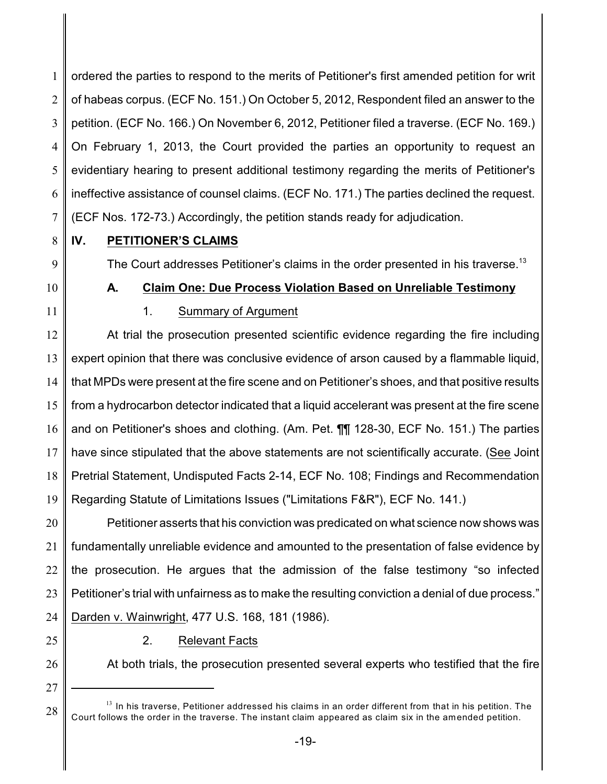1 2 3 4 5 6 7 ordered the parties to respond to the merits of Petitioner's first amended petition for writ of habeas corpus. (ECF No. 151.) On October 5, 2012, Respondent filed an answer to the petition. (ECF No. 166.) On November 6, 2012, Petitioner filed a traverse. (ECF No. 169.) On February 1, 2013, the Court provided the parties an opportunity to request an evidentiary hearing to present additional testimony regarding the merits of Petitioner's ineffective assistance of counsel claims. (ECF No. 171.) The parties declined the request. (ECF Nos. 172-73.) Accordingly, the petition stands ready for adjudication.

8 9

## **IV. PETITIONER'S CLAIMS**

The Court addresses Petitioner's claims in the order presented in his traverse.<sup>13</sup>

**A. Claim One: Due Process Violation Based on Unreliable Testimony**

10

# 11

# 1. Summary of Argument

12 13 14 15 16 17 18 19 At trial the prosecution presented scientific evidence regarding the fire including expert opinion that there was conclusive evidence of arson caused by a flammable liquid, that MPDs were present at the fire scene and on Petitioner's shoes, and that positive results from a hydrocarbon detector indicated that a liquid accelerant was present at the fire scene and on Petitioner's shoes and clothing. (Am. Pet. ¶¶ 128-30, ECF No. 151.) The parties have since stipulated that the above statements are not scientifically accurate. (See Joint Pretrial Statement, Undisputed Facts 2-14, ECF No. 108; Findings and Recommendation Regarding Statute of Limitations Issues ("Limitations F&R"), ECF No. 141.)

20 21 22 23 24 Petitioner asserts that his conviction was predicated on what science now shows was fundamentally unreliable evidence and amounted to the presentation of false evidence by the prosecution. He argues that the admission of the false testimony "so infected Petitioner's trial with unfairness as to make the resulting conviction a denial of due process." Darden v. Wainwright, 477 U.S. 168, 181 (1986).

25

## 2. Relevant Facts

26

At both trials, the prosecution presented several experts who testified that the fire

27

 $^{13}$  In his traverse, Petitioner addressed his claims in an order different from that in his petition. The Court follows the order in the traverse. The instant claim appeared as claim six in the amended petition.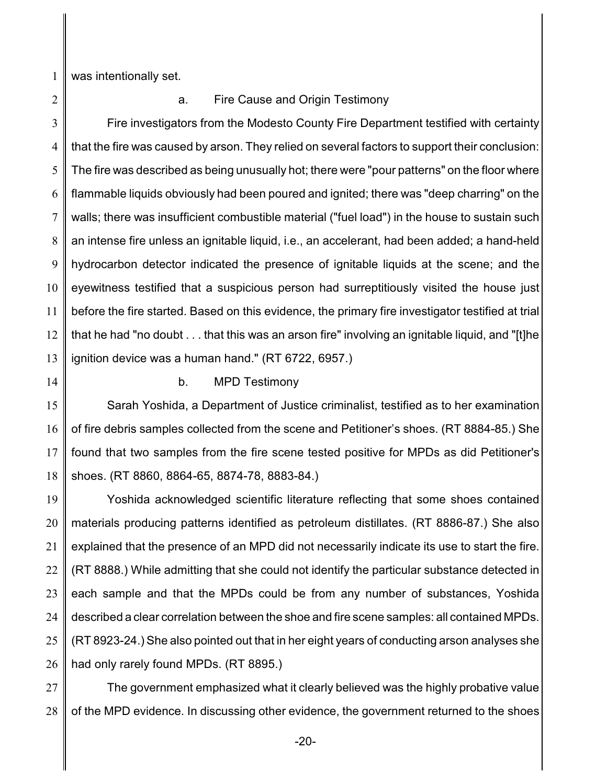1 was intentionally set.

2

#### a. Fire Cause and Origin Testimony

3 4 5 6 7 8 9 10 11 12 13 Fire investigators from the Modesto County Fire Department testified with certainty that the fire was caused by arson. They relied on several factors to support their conclusion: The fire was described as being unusually hot; there were "pour patterns" on the floor where flammable liquids obviously had been poured and ignited; there was "deep charring" on the walls; there was insufficient combustible material ("fuel load") in the house to sustain such an intense fire unless an ignitable liquid, i.e., an accelerant, had been added; a hand-held hydrocarbon detector indicated the presence of ignitable liquids at the scene; and the eyewitness testified that a suspicious person had surreptitiously visited the house just before the fire started. Based on this evidence, the primary fire investigator testified at trial that he had "no doubt . . . that this was an arson fire" involving an ignitable liquid, and "[t]he ignition device was a human hand." (RT 6722, 6957.)

14

## b. MPD Testimony

15 16 17 18 Sarah Yoshida, a Department of Justice criminalist, testified as to her examination of fire debris samples collected from the scene and Petitioner's shoes. (RT 8884-85.) She found that two samples from the fire scene tested positive for MPDs as did Petitioner's shoes. (RT 8860, 8864-65, 8874-78, 8883-84.)

19 20 21 22 23 24 25 26 Yoshida acknowledged scientific literature reflecting that some shoes contained materials producing patterns identified as petroleum distillates. (RT 8886-87.) She also explained that the presence of an MPD did not necessarily indicate its use to start the fire. (RT 8888.) While admitting that she could not identify the particular substance detected in each sample and that the MPDs could be from any number of substances, Yoshida described a clear correlation between the shoe and fire scene samples: all contained MPDs. (RT 8923-24.) She also pointed out that in her eight years of conducting arson analyses she had only rarely found MPDs. (RT 8895.)

27 28 The government emphasized what it clearly believed was the highly probative value of the MPD evidence. In discussing other evidence, the government returned to the shoes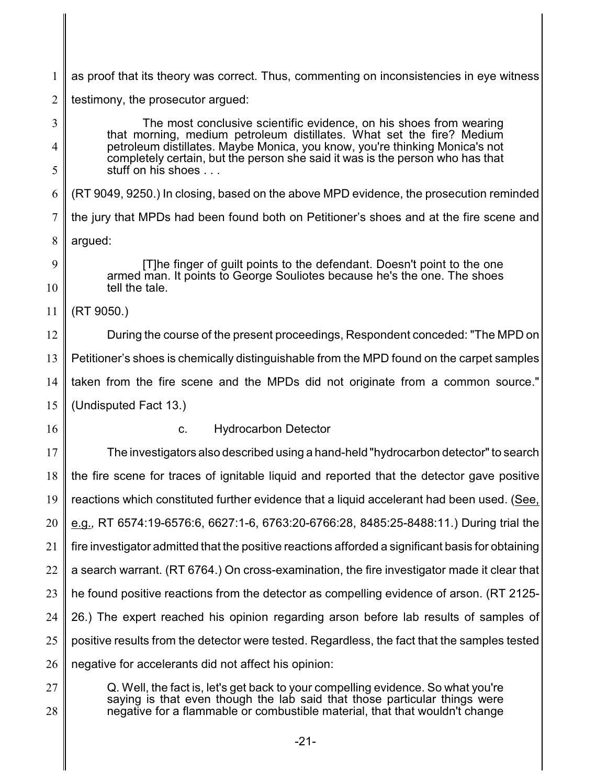1 as proof that its theory was correct. Thus, commenting on inconsistencies in eye witness

2 testimony, the prosecutor argued:

3 4 5 6 7 8  $\mathbf Q$ 10 11 12 13 14 15 16 17 18 19 20 21 22 23 24 25 26 27 The most conclusive scientific evidence, on his shoes from wearing that morning, medium petroleum distillates. What set the fire? Medium petroleum distillates. Maybe Monica, you know, you're thinking Monica's not completely certain, but the person she said it was is the person who has that stuff on his shoes . . . (RT 9049, 9250.) In closing, based on the above MPD evidence, the prosecution reminded the jury that MPDs had been found both on Petitioner's shoes and at the fire scene and argued: [T]he finger of guilt points to the defendant. Doesn't point to the one armed man. It points to George Souliotes because he's the one. The shoes tell the tale. (RT 9050.) During the course of the present proceedings, Respondent conceded: "The MPD on Petitioner's shoes is chemically distinguishable from the MPD found on the carpet samples taken from the fire scene and the MPDs did not originate from a common source." (Undisputed Fact 13.) c. Hydrocarbon Detector The investigators also described using a hand-held "hydrocarbon detector" to search the fire scene for traces of ignitable liquid and reported that the detector gave positive reactions which constituted further evidence that a liquid accelerant had been used. (See, e.g.*,* RT 6574:19-6576:6, 6627:1-6, 6763:20-6766:28, 8485:25-8488:11.) During trial the fire investigator admitted that the positive reactions afforded a significant basis for obtaining a search warrant. (RT 6764.) On cross-examination, the fire investigator made it clear that he found positive reactions from the detector as compelling evidence of arson. (RT 2125- 26.) The expert reached his opinion regarding arson before lab results of samples of positive results from the detector were tested. Regardless, the fact that the samples tested negative for accelerants did not affect his opinion: Q. Well, the fact is, let's get back to your compelling evidence. So what you're

28 saying is that even though the lab said that those particular things were negative for a flammable or combustible material, that that wouldn't change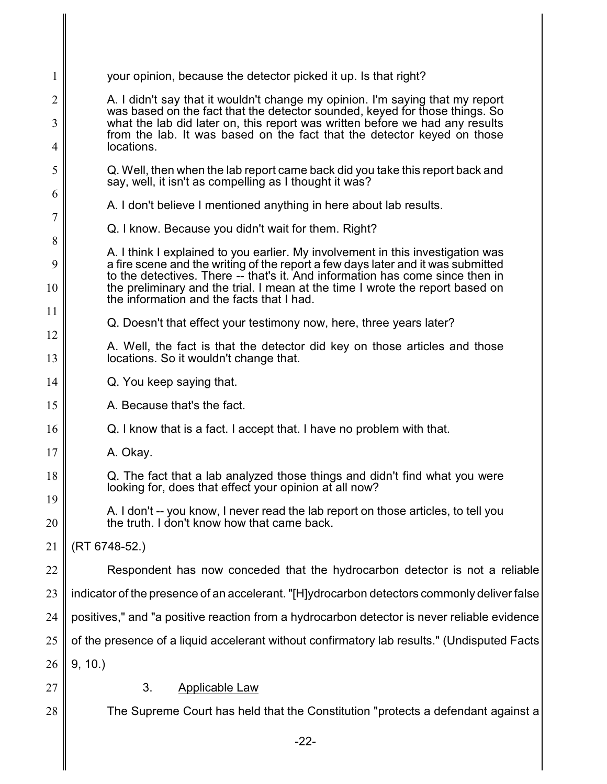| $\mathbf{1}$        | your opinion, because the detector picked it up. Is that right?                                                                                                                                                                                                                                                                                                                                 |  |  |
|---------------------|-------------------------------------------------------------------------------------------------------------------------------------------------------------------------------------------------------------------------------------------------------------------------------------------------------------------------------------------------------------------------------------------------|--|--|
| $\overline{2}$      | A. I didn't say that it wouldn't change my opinion. I'm saying that my report                                                                                                                                                                                                                                                                                                                   |  |  |
| 3<br>$\overline{4}$ | was based on the fact that the detector sounded, keyed for those things. So<br>what the lab did later on, this report was written before we had any results<br>from the lab. It was based on the fact that the detector keyed on those<br>locations.<br>Q. Well, then when the lab report came back did you take this report back and<br>say, well, it isn't as compelling as I thought it was? |  |  |
| 5                   |                                                                                                                                                                                                                                                                                                                                                                                                 |  |  |
| 6                   | A. I don't believe I mentioned anything in here about lab results.                                                                                                                                                                                                                                                                                                                              |  |  |
| $\overline{7}$      | Q. I know. Because you didn't wait for them. Right?                                                                                                                                                                                                                                                                                                                                             |  |  |
| 8                   | A. I think I explained to you earlier. My involvement in this investigation was<br>a fire scene and the writing of the report a few days later and it was submitted<br>to the detectives. There -- that's it. And information has come since then in<br>the preliminary and the trial. I mean at the time I wrote the report based on<br>the information and the facts that I had.              |  |  |
| 9<br>10             |                                                                                                                                                                                                                                                                                                                                                                                                 |  |  |
| 11                  |                                                                                                                                                                                                                                                                                                                                                                                                 |  |  |
| 12                  | Q. Doesn't that effect your testimony now, here, three years later?                                                                                                                                                                                                                                                                                                                             |  |  |
| 13                  | A. Well, the fact is that the detector did key on those articles and those<br>locations. So it wouldn't change that.                                                                                                                                                                                                                                                                            |  |  |
| 14                  | Q. You keep saying that.                                                                                                                                                                                                                                                                                                                                                                        |  |  |
| 15                  | A. Because that's the fact.                                                                                                                                                                                                                                                                                                                                                                     |  |  |
| 16                  | Q. I know that is a fact. I accept that. I have no problem with that.                                                                                                                                                                                                                                                                                                                           |  |  |
| 17                  | A. Okay.                                                                                                                                                                                                                                                                                                                                                                                        |  |  |
| 18                  | Q. The fact that a lab analyzed those things and didn't find what you were<br>looking for, does that effect your opinion at all now?                                                                                                                                                                                                                                                            |  |  |
| 19<br>20            | A. I don't -- you know, I never read the lab report on those articles, to tell you<br>the truth. I don't know how that came back.                                                                                                                                                                                                                                                               |  |  |
| 21                  | (RT 6748-52.)                                                                                                                                                                                                                                                                                                                                                                                   |  |  |
| 22                  | Respondent has now conceded that the hydrocarbon detector is not a reliable                                                                                                                                                                                                                                                                                                                     |  |  |
| 23                  | indicator of the presence of an accelerant. "[H]ydrocarbon detectors commonly deliver false                                                                                                                                                                                                                                                                                                     |  |  |
| 24                  | positives," and "a positive reaction from a hydrocarbon detector is never reliable evidence                                                                                                                                                                                                                                                                                                     |  |  |
| 25                  | of the presence of a liquid accelerant without confirmatory lab results." (Undisputed Facts                                                                                                                                                                                                                                                                                                     |  |  |
| 26                  | 9, 10.                                                                                                                                                                                                                                                                                                                                                                                          |  |  |
| 27                  | 3.<br>Applicable Law                                                                                                                                                                                                                                                                                                                                                                            |  |  |
| 28                  | The Supreme Court has held that the Constitution "protects a defendant against a                                                                                                                                                                                                                                                                                                                |  |  |
|                     |                                                                                                                                                                                                                                                                                                                                                                                                 |  |  |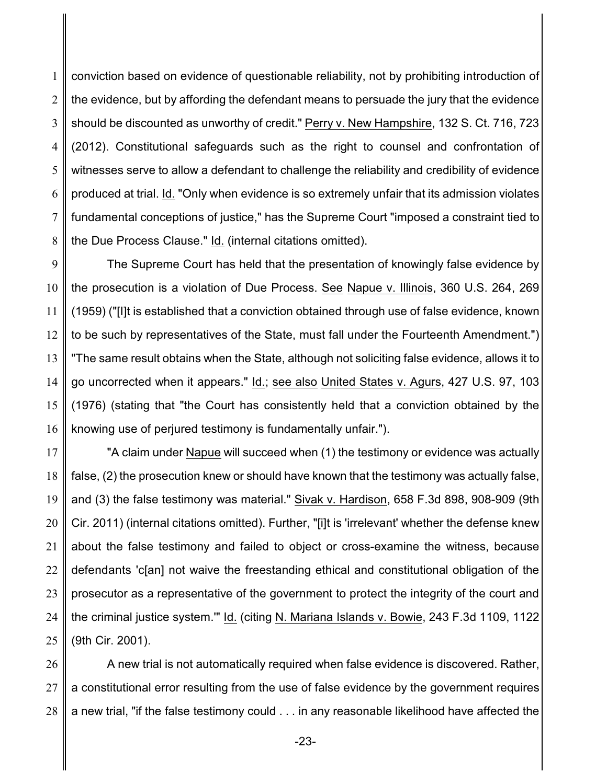1 2 3 4 5 6 7 8 conviction based on evidence of questionable reliability, not by prohibiting introduction of the evidence, but by affording the defendant means to persuade the jury that the evidence should be discounted as unworthy of credit." Perry v. New Hampshire, 132 S. Ct. 716, 723 (2012). Constitutional safeguards such as the right to counsel and confrontation of witnesses serve to allow a defendant to challenge the reliability and credibility of evidence produced at trial. Id. "Only when evidence is so extremely unfair that its admission violates fundamental conceptions of justice," has the Supreme Court "imposed a constraint tied to the Due Process Clause." Id. (internal citations omitted).

9 10 11 12 13 14 15 16 The Supreme Court has held that the presentation of knowingly false evidence by the prosecution is a violation of Due Process. See Napue v. Illinois, 360 U.S. 264, 269 (1959) ("[I]t is established that a conviction obtained through use of false evidence, known to be such by representatives of the State, must fall under the Fourteenth Amendment.") "The same result obtains when the State, although not soliciting false evidence, allows it to go uncorrected when it appears." Id.; see also United States v. Agurs, 427 U.S. 97, 103 (1976) (stating that "the Court has consistently held that a conviction obtained by the knowing use of perjured testimony is fundamentally unfair.").

17 18 19 20 21 22 23 24 25 "A claim under Napue will succeed when (1) the testimony or evidence was actually false, (2) the prosecution knew or should have known that the testimony was actually false, and (3) the false testimony was material." Sivak v. Hardison, 658 F.3d 898, 908-909 (9th Cir. 2011) (internal citations omitted). Further, "[i]t is 'irrelevant' whether the defense knew about the false testimony and failed to object or cross-examine the witness, because defendants 'c[an] not waive the freestanding ethical and constitutional obligation of the prosecutor as a representative of the government to protect the integrity of the court and the criminal justice system.'" Id. (citing N. Mariana Islands v. Bowie, 243 F.3d 1109, 1122 (9th Cir. 2001).

26 27 28 A new trial is not automatically required when false evidence is discovered. Rather, a constitutional error resulting from the use of false evidence by the government requires a new trial, "if the false testimony could . . . in any reasonable likelihood have affected the

-23-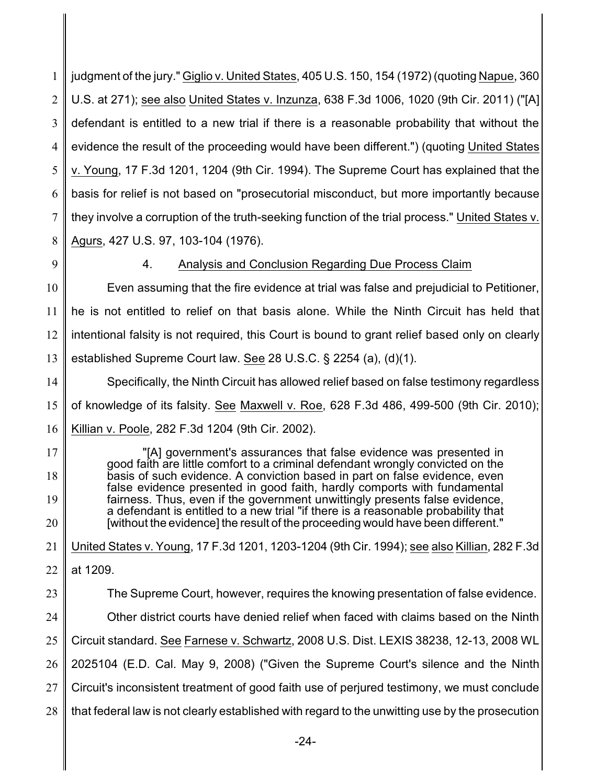1 2 3 4 5 6 7 8 judgment of the jury." Giglio v. United States, 405 U.S. 150, 154 (1972) (quoting Napue, 360 U.S. at 271); see also United States v. Inzunza, 638 F.3d 1006, 1020 (9th Cir. 2011) ("[A] defendant is entitled to a new trial if there is a reasonable probability that without the evidence the result of the proceeding would have been different.") (quoting United States v. Young, 17 F.3d 1201, 1204 (9th Cir. 1994). The Supreme Court has explained that the basis for relief is not based on "prosecutorial misconduct, but more importantly because they involve a corruption of the truth-seeking function of the trial process." United States v. Agurs, 427 U.S. 97, 103-104 (1976).

9

## 4. Analysis and Conclusion Regarding Due Process Claim

10 11 12 13 Even assuming that the fire evidence at trial was false and prejudicial to Petitioner, he is not entitled to relief on that basis alone. While the Ninth Circuit has held that intentional falsity is not required, this Court is bound to grant relief based only on clearly established Supreme Court law. See 28 U.S.C. § 2254 (a), (d)(1).

14 15 16 Specifically, the Ninth Circuit has allowed relief based on false testimony regardless of knowledge of its falsity. See Maxwell v. Roe, 628 F.3d 486, 499-500 (9th Cir. 2010); Killian v. Poole, 282 F.3d 1204 (9th Cir. 2002).

17 18 19 20 "[A] government's assurances that false evidence was presented in good faith are little comfort to a criminal defendant wrongly convicted on the basis of such evidence. A conviction based in part on false evidence, even false evidence presented in good faith, hardly comports with fundamental fairness. Thus, even if the government unwittingly presents false evidence, a defendant is entitled to a new trial "if there is a reasonable probability that [without the evidence] the result of the proceeding would have been different."

21 United States v. Young, 17 F.3d 1201, 1203-1204 (9th Cir. 1994); see also Killian, 282 F.3d

- 22 at 1209.
- 23 24 25 26 27 The Supreme Court, however, requires the knowing presentation of false evidence. Other district courts have denied relief when faced with claims based on the Ninth Circuit standard. See Farnese v. Schwartz, 2008 U.S. Dist. LEXIS 38238, 12-13, 2008 WL 2025104 (E.D. Cal. May 9, 2008) ("Given the Supreme Court's silence and the Ninth Circuit's inconsistent treatment of good faith use of perjured testimony, we must conclude
- 28 that federal law is not clearly established with regard to the unwitting use by the prosecution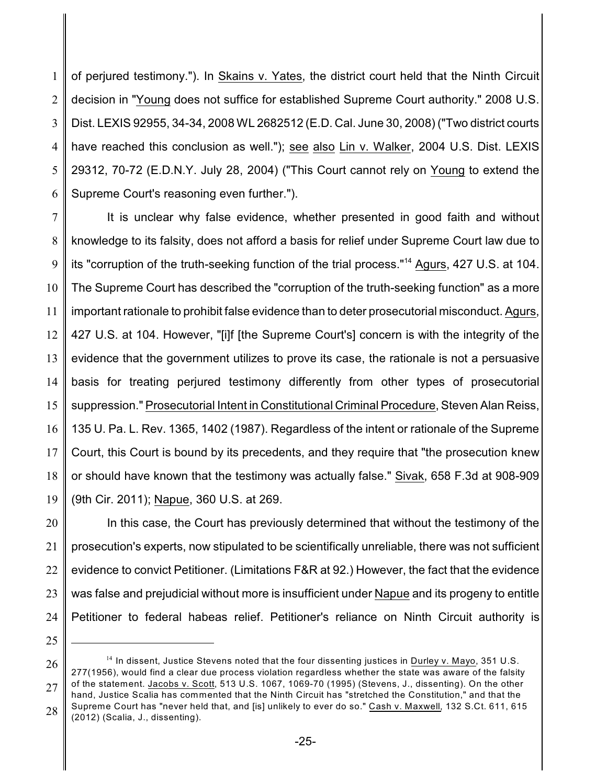1 2 3 4 5 6 of perjured testimony."). In Skains v. Yates, the district court held that the Ninth Circuit decision in "Young does not suffice for established Supreme Court authority." 2008 U.S. Dist. LEXIS 92955, 34-34, 2008 WL 2682512 (E.D. Cal. June 30, 2008) ("Two district courts have reached this conclusion as well."); see also Lin v. Walker, 2004 U.S. Dist. LEXIS 29312, 70-72 (E.D.N.Y. July 28, 2004) ("This Court cannot rely on Young to extend the Supreme Court's reasoning even further.").

7 8 9 10 11 12 13 14 15 16 17 18 19 It is unclear why false evidence, whether presented in good faith and without knowledge to its falsity, does not afford a basis for relief under Supreme Court law due to its "corruption of the truth-seeking function of the trial process."<sup>14</sup> Agurs, 427 U.S. at 104. The Supreme Court has described the "corruption of the truth-seeking function" as a more important rationale to prohibit false evidence than to deter prosecutorial misconduct. Agurs, 427 U.S. at 104. However, "[i]f [the Supreme Court's] concern is with the integrity of the evidence that the government utilizes to prove its case, the rationale is not a persuasive basis for treating perjured testimony differently from other types of prosecutorial suppression." Prosecutorial Intent in Constitutional Criminal Procedure, Steven Alan Reiss, 135 U. Pa. L. Rev. 1365, 1402 (1987). Regardless of the intent or rationale of the Supreme Court, this Court is bound by its precedents, and they require that "the prosecution knew or should have known that the testimony was actually false." Sivak, 658 F.3d at 908-909 (9th Cir. 2011); Napue, 360 U.S. at 269.

20 21 22 23 24 In this case, the Court has previously determined that without the testimony of the prosecution's experts, now stipulated to be scientifically unreliable, there was not sufficient evidence to convict Petitioner. (Limitations F&R at 92.) However, the fact that the evidence was false and prejudicial without more is insufficient under Napue and its progeny to entitle Petitioner to federal habeas relief. Petitioner's reliance on Ninth Circuit authority is

26 27 28  $^{14}$  In dissent, Justice Stevens noted that the four dissenting justices in Durley v. Mayo, 351 U.S. 277(1956), would find a clear due process violation regardless whether the state was aware of the falsity of the statement. Jacobs v. Scott, 513 U.S. 1067, 1069-70 (1995) (Stevens, J., dissenting). On the other hand, Justice Scalia has commented that the Ninth Circuit has "stretched the Constitution," and that the Supreme Court has "never held that, and [is] unlikely to ever do so." Cash v. Maxwell, 132 S.Ct. 611, 615 (2012) (Scalia, J., dissenting).

<sup>25</sup>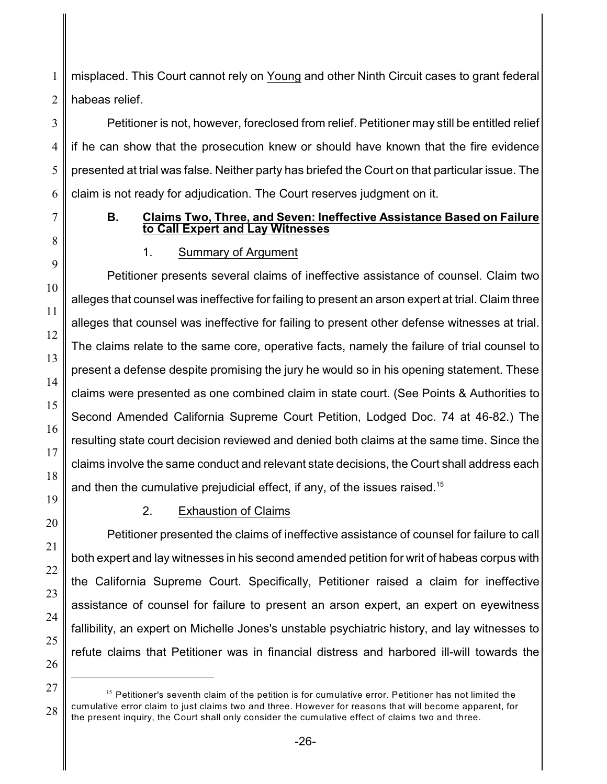1 2 misplaced. This Court cannot rely on Young and other Ninth Circuit cases to grant federal habeas relief.

3 4 5 6 Petitioner is not, however, foreclosed from relief. Petitioner may still be entitled relief if he can show that the prosecution knew or should have known that the fire evidence presented at trial was false. Neither party has briefed the Court on that particular issue. The claim is not ready for adjudication. The Court reserves judgment on it.

7

### **B. Claims Two, Three, and Seven: Ineffective Assistance Based on Failure to Call Expert and Lay Witnesses**

# 1. Summary of Argument

Petitioner presents several claims of ineffective assistance of counsel. Claim two alleges that counsel was ineffective for failing to present an arson expert at trial. Claim three alleges that counsel was ineffective for failing to present other defense witnesses at trial. The claims relate to the same core, operative facts, namely the failure of trial counsel to present a defense despite promising the jury he would so in his opening statement. These claims were presented as one combined claim in state court. (See Points & Authorities to Second Amended California Supreme Court Petition, Lodged Doc. 74 at 46-82.) The resulting state court decision reviewed and denied both claims at the same time. Since the claims involve the same conduct and relevant state decisions, the Court shall address each and then the cumulative prejudicial effect, if any, of the issues raised.<sup>15</sup>

# 2. Exhaustion of Claims

Petitioner presented the claims of ineffective assistance of counsel for failure to call both expert and lay witnesses in his second amended petition for writ of habeas corpus with the California Supreme Court. Specifically, Petitioner raised a claim for ineffective assistance of counsel for failure to present an arson expert, an expert on eyewitness fallibility, an expert on Michelle Jones's unstable psychiatric history, and lay witnesses to refute claims that Petitioner was in financial distress and harbored ill-will towards the

<sup>&</sup>lt;sup>15</sup> Petitioner's seventh claim of the petition is for cumulative error. Petitioner has not limited the cumulative error claim to just claims two and three. However for reasons that will become apparent, for the present inquiry, the Court shall only consider the cumulative effect of claims two and three.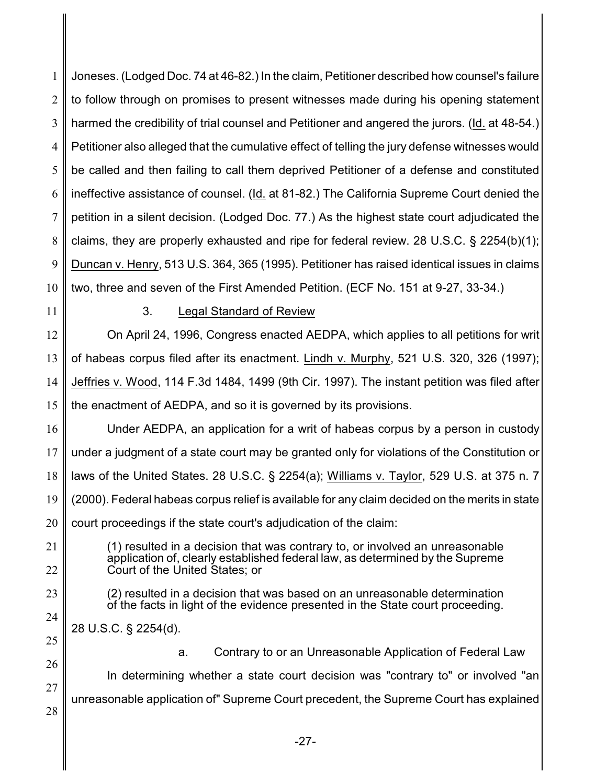1 2 3 4 5 6 7 8 9 10 11 Joneses. (Lodged Doc. 74 at 46-82.) In the claim, Petitioner described how counsel's failure to follow through on promises to present witnesses made during his opening statement harmed the credibility of trial counsel and Petitioner and angered the jurors. (Id. at 48-54.) Petitioner also alleged that the cumulative effect of telling the jury defense witnesses would be called and then failing to call them deprived Petitioner of a defense and constituted ineffective assistance of counsel. (Id. at 81-82.) The California Supreme Court denied the petition in a silent decision. (Lodged Doc. 77.) As the highest state court adjudicated the claims, they are properly exhausted and ripe for federal review. 28 U.S.C. § 2254(b)(1); Duncan v. Henry, 513 U.S. 364, 365 (1995). Petitioner has raised identical issues in claims two, three and seven of the First Amended Petition. (ECF No. 151 at 9-27, 33-34.)

#### 3. Legal Standard of Review

12 13 14 15 On April 24, 1996, Congress enacted AEDPA, which applies to all petitions for writ of habeas corpus filed after its enactment. Lindh v. Murphy, 521 U.S. 320, 326 (1997); Jeffries v. Wood, 114 F.3d 1484, 1499 (9th Cir. 1997). The instant petition was filed after the enactment of AEDPA, and so it is governed by its provisions.

16 17 18 19 20 Under AEDPA, an application for a writ of habeas corpus by a person in custody under a judgment of a state court may be granted only for violations of the Constitution or laws of the United States. 28 U.S.C. § 2254(a); Williams v. Taylor, 529 U.S. at 375 n. 7 (2000). Federal habeas corpus relief is available for any claim decided on the merits in state court proceedings if the state court's adjudication of the claim:

21 22 (1) resulted in a decision that was contrary to, or involved an unreasonable application of, clearly established federal law, as determined by the Supreme Court of the United States; or

23 24 (2) resulted in a decision that was based on an unreasonable determination of the facts in light of the evidence presented in the State court proceeding.

25 28 U.S.C. § 2254(d).

26

a. Contrary to or an Unreasonable Application of Federal Law

27 28 In determining whether a state court decision was "contrary to" or involved "an unreasonable application of" Supreme Court precedent, the Supreme Court has explained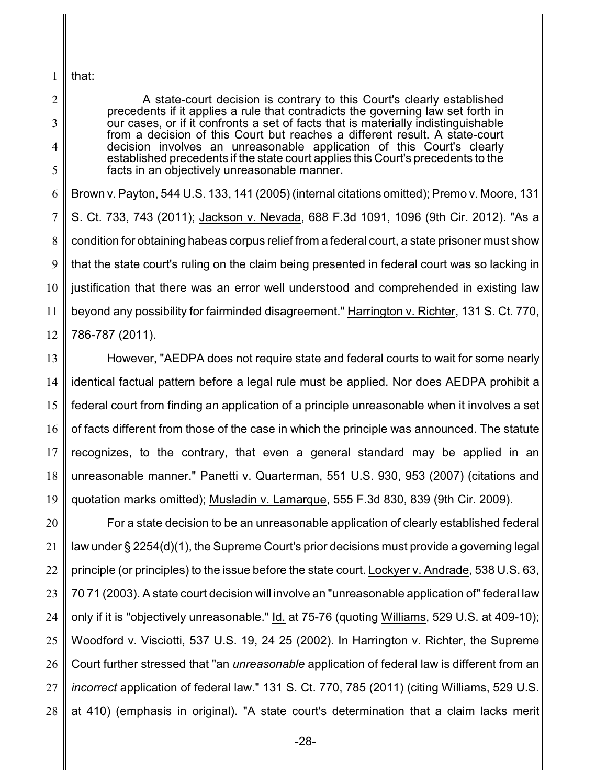1 that:

2

3

4

5

A state-court decision is contrary to this Court's clearly established precedents if it applies a rule that contradicts the governing law set forth in our cases, or if it confronts a set of facts that is materially indistinguishable from a decision of this Court but reaches a different result. A state-court decision involves an unreasonable application of this Court's clearly established precedents if the state court applies this Court's precedents to the facts in an objectively unreasonable manner.

6 7 8 9 10 11 12 Brown v. Payton, 544 U.S. 133, 141 (2005) (internal citations omitted); Premo v. Moore, 131 S. Ct. 733, 743 (2011); Jackson v. Nevada, 688 F.3d 1091, 1096 (9th Cir. 2012). "As a condition for obtaining habeas corpus relief from a federal court, a state prisoner must show that the state court's ruling on the claim being presented in federal court was so lacking in justification that there was an error well understood and comprehended in existing law beyond any possibility for fairminded disagreement." Harrington v. Richter, 131 S. Ct. 770, 786-787 (2011).

13 14 15 16 17 18 19 However, "AEDPA does not require state and federal courts to wait for some nearly identical factual pattern before a legal rule must be applied. Nor does AEDPA prohibit a federal court from finding an application of a principle unreasonable when it involves a set of facts different from those of the case in which the principle was announced. The statute recognizes, to the contrary, that even a general standard may be applied in an unreasonable manner." Panetti v. Quarterman, 551 U.S. 930, 953 (2007) (citations and quotation marks omitted); Musladin v. Lamarque, 555 F.3d 830, 839 (9th Cir. 2009).

20 21 22 23 24 25 26 27 28 For a state decision to be an unreasonable application of clearly established federal law under § 2254(d)(1), the Supreme Court's prior decisions must provide a governing legal principle (or principles) to the issue before the state court. Lockyer v. Andrade, 538 U.S. 63, 70 71 (2003). A state court decision will involve an "unreasonable application of" federal law only if it is "objectively unreasonable." Id. at 75-76 (quoting Williams, 529 U.S. at 409-10); Woodford v. Visciotti, 537 U.S. 19, 24 25 (2002). In Harrington v. Richter, the Supreme Court further stressed that "an *unreasonable* application of federal law is different from an *incorrect* application of federal law." 131 S. Ct. 770, 785 (2011) (citing Williams, 529 U.S. at 410) (emphasis in original). "A state court's determination that a claim lacks merit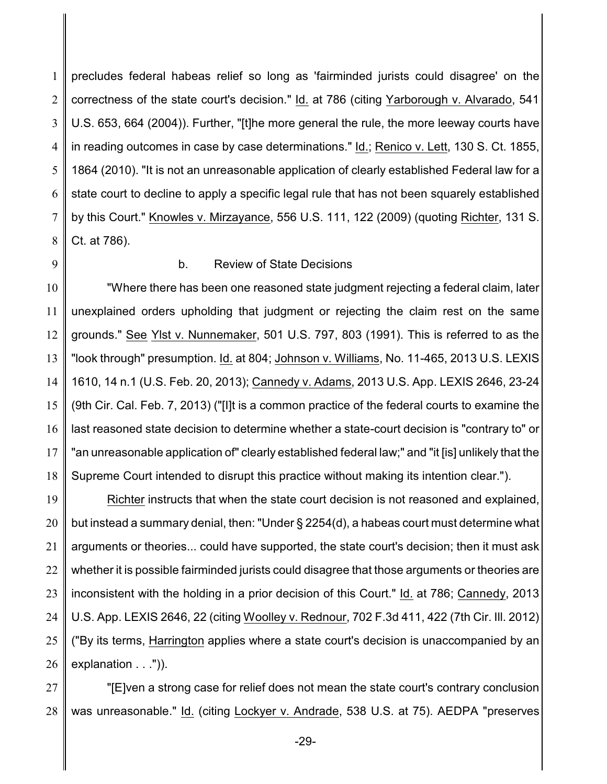1 2 3 4 5 6 7 8 precludes federal habeas relief so long as 'fairminded jurists could disagree' on the correctness of the state court's decision." Id. at 786 (citing Yarborough v. Alvarado, 541 U.S. 653, 664 (2004)). Further, "[t]he more general the rule, the more leeway courts have in reading outcomes in case by case determinations." Id.; Renico v. Lett, 130 S. Ct. 1855, 1864 (2010). "It is not an unreasonable application of clearly established Federal law for a state court to decline to apply a specific legal rule that has not been squarely established by this Court." Knowles v. Mirzayance, 556 U.S. 111, 122 (2009) (quoting Richter, 131 S. Ct. at 786).

9

#### b. Review of State Decisions

10 11 12 13 14 15 16 17 18 "Where there has been one reasoned state judgment rejecting a federal claim, later unexplained orders upholding that judgment or rejecting the claim rest on the same grounds." See Ylst v. Nunnemaker, 501 U.S. 797, 803 (1991). This is referred to as the "look through" presumption. Id. at 804; Johnson v. Williams, No. 11-465, 2013 U.S. LEXIS 1610, 14 n.1 (U.S. Feb. 20, 2013); Cannedy v. Adams, 2013 U.S. App. LEXIS 2646, 23-24 (9th Cir. Cal. Feb. 7, 2013) ("[I]t is a common practice of the federal courts to examine the last reasoned state decision to determine whether a state-court decision is "contrary to" or "an unreasonable application of" clearly established federal law;" and "it [is] unlikely that the Supreme Court intended to disrupt this practice without making its intention clear.").

19 20 21 22 23 24 25 26 Richter instructs that when the state court decision is not reasoned and explained, but instead a summary denial, then: "Under § 2254(d), a habeas court must determine what arguments or theories... could have supported, the state court's decision; then it must ask whether it is possible fairminded jurists could disagree that those arguments or theories are inconsistent with the holding in a prior decision of this Court." Id. at 786; Cannedy, 2013 U.S. App. LEXIS 2646, 22 (citing Woolley v. Rednour, 702 F.3d 411, 422 (7th Cir. Ill. 2012) ("By its terms, Harrington applies where a state court's decision is unaccompanied by an explanation . . .")).

27 28 "[E]ven a strong case for relief does not mean the state court's contrary conclusion was unreasonable." Id. (citing Lockyer v. Andrade, 538 U.S. at 75). AEDPA "preserves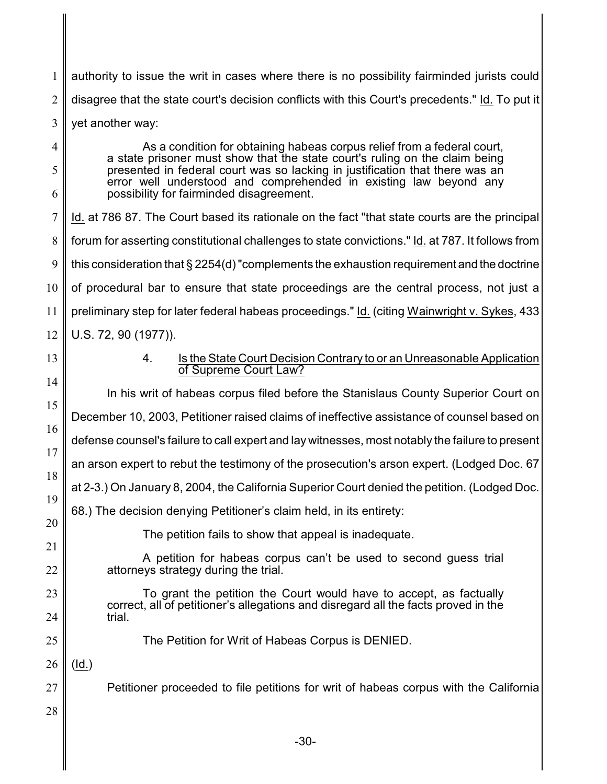1 2 3 4 authority to issue the writ in cases where there is no possibility fairminded jurists could disagree that the state court's decision conflicts with this Court's precedents." Id. To put it yet another way: As a condition for obtaining habeas corpus relief from a federal court,

a state prisoner must show that the state court's ruling on the claim being presented in federal court was so lacking in justification that there was an error well understood and comprehended in existing law beyond any possibility for fairminded disagreement.

7 8 9 10 11 12 Id. at 786 87. The Court based its rationale on the fact "that state courts are the principal forum for asserting constitutional challenges to state convictions." Id. at 787. It follows from this consideration that § 2254(d) "complements the exhaustion requirement and the doctrine of procedural bar to ensure that state proceedings are the central process, not just a preliminary step for later federal habeas proceedings." Id. (citing Wainwright v. Sykes, 433 U.S. 72, 90 (1977)).

13

15

5

6

## 4. Is the State Court Decision Contrary to or an Unreasonable Application of Supreme Court Law?

14 16 17 18 19 20 21 22 In his writ of habeas corpus filed before the Stanislaus County Superior Court on December 10, 2003, Petitioner raised claims of ineffective assistance of counsel based on defense counsel's failure to call expert and lay witnesses, most notably the failure to present an arson expert to rebut the testimony of the prosecution's arson expert. (Lodged Doc. 67 at 2-3.) On January 8, 2004, the California Superior Court denied the petition. (Lodged Doc. 68.) The decision denying Petitioner's claim held, in its entirety: The petition fails to show that appeal is inadequate. A petition for habeas corpus can't be used to second guess trial attorneys strategy during the trial.

To grant the petition the Court would have to accept, as factually correct, all of petitioner's allegations and disregard all the facts proved in the trial.

The Petition for Writ of Habeas Corpus is DENIED.

26 (Id.)

27 Petitioner proceeded to file petitions for writ of habeas corpus with the California

28

23

24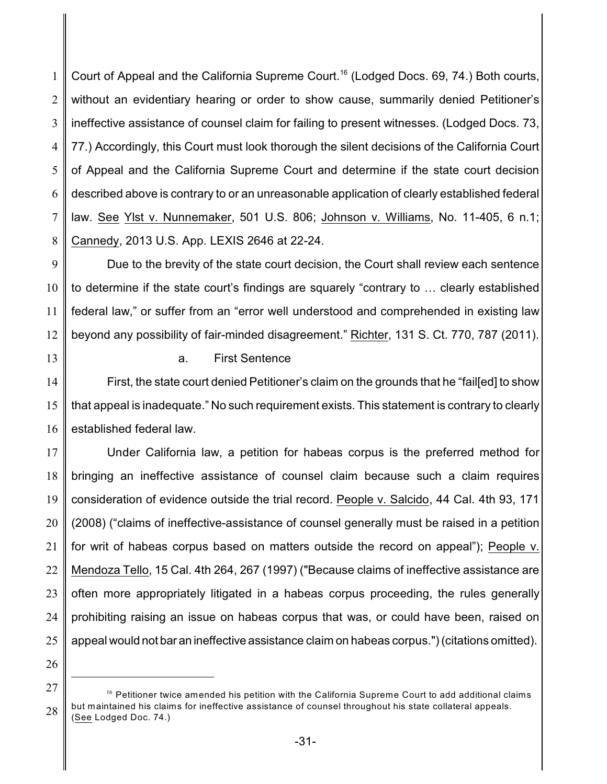1 2 3 4 5 6 7 8 Court of Appeal and the California Supreme Court.<sup>16</sup> (Lodged Docs. 69, 74.) Both courts, without an evidentiary hearing or order to show cause, summarily denied Petitioner's ineffective assistance of counsel claim for failing to present witnesses. (Lodged Docs. 73, 77.) Accordingly, this Court must look thorough the silent decisions of the California Court of Appeal and the California Supreme Court and determine if the state court decision described above is contrary to or an unreasonable application of clearly established federal law. See Ylst v. Nunnemaker, 501 U.S. 806; Johnson v. Williams, No. 11-405, 6 n.1; Cannedy, 2013 U.S. App. LEXIS 2646 at 22-24.

9 10 11 12 Due to the brevity of the state court decision, the Court shall review each sentence to determine if the state court's findings are squarely "contrary to … clearly established federal law," or suffer from an "error well understood and comprehended in existing law beyond any possibility of fair-minded disagreement." Richter, 131 S. Ct. 770, 787 (2011).

13

a. First Sentence

14 15 16 First, the state court denied Petitioner's claim on the grounds that he "fail[ed] to show that appeal is inadequate." No such requirement exists. This statement is contrary to clearly established federal law.

17 18 19 20 21 22 23 24 25 Under California law, a petition for habeas corpus is the preferred method for bringing an ineffective assistance of counsel claim because such a claim requires consideration of evidence outside the trial record. People v. Salcido, 44 Cal. 4th 93, 171 (2008) ("claims of ineffective-assistance of counsel generally must be raised in a petition for writ of habeas corpus based on matters outside the record on appeal"); People v. Mendoza Tello, 15 Cal. 4th 264, 267 (1997) ("Because claims of ineffective assistance are often more appropriately litigated in a habeas corpus proceeding, the rules generally prohibiting raising an issue on habeas corpus that was, or could have been, raised on appeal would not bar an ineffective assistance claim on habeas corpus.") (citations omitted).

<sup>27</sup> 28  $16$  Petitioner twice amended his petition with the California Supreme Court to add additional claims but maintained his claims for ineffective assistance of counsel throughout his state collateral appeals. (See Lodged Doc. 74.)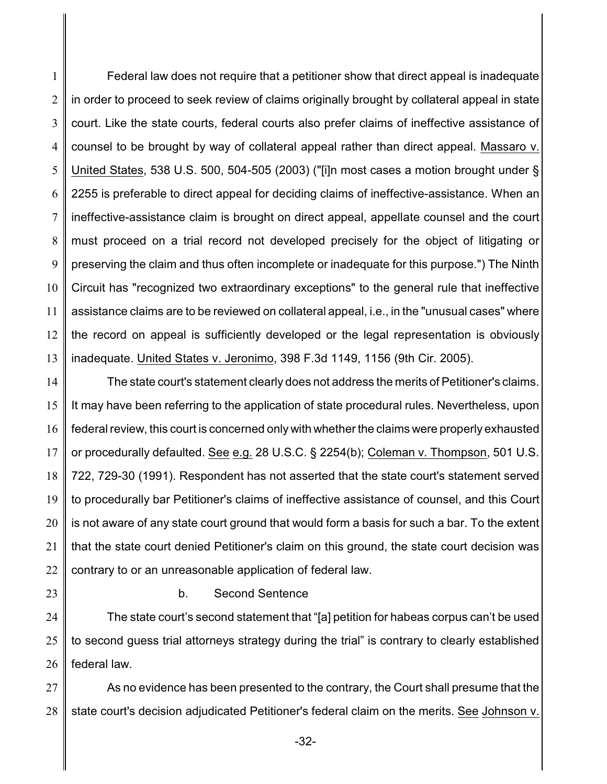1 2 3 4 5 6 7 8 9 10 11 12 13 Federal law does not require that a petitioner show that direct appeal is inadequate in order to proceed to seek review of claims originally brought by collateral appeal in state court. Like the state courts, federal courts also prefer claims of ineffective assistance of counsel to be brought by way of collateral appeal rather than direct appeal. Massaro v. United States, 538 U.S. 500, 504-505 (2003) ("[i]n most cases a motion brought under § 2255 is preferable to direct appeal for deciding claims of ineffective-assistance. When an ineffective-assistance claim is brought on direct appeal, appellate counsel and the court must proceed on a trial record not developed precisely for the object of litigating or preserving the claim and thus often incomplete or inadequate for this purpose.") The Ninth Circuit has "recognized two extraordinary exceptions" to the general rule that ineffective assistance claims are to be reviewed on collateral appeal, i.e., in the "unusual cases" where the record on appeal is sufficiently developed or the legal representation is obviously inadequate. United States v. Jeronimo, 398 F.3d 1149, 1156 (9th Cir. 2005).

14 15 16 17 18 19 20 21 22 The state court's statement clearly does not address the merits of Petitioner's claims. It may have been referring to the application of state procedural rules. Nevertheless, upon federal review, this court is concerned only with whether the claims were properly exhausted or procedurally defaulted. See e.g. 28 U.S.C. § 2254(b); Coleman v. Thompson, 501 U.S. 722, 729-30 (1991). Respondent has not asserted that the state court's statement served to procedurally bar Petitioner's claims of ineffective assistance of counsel, and this Court is not aware of any state court ground that would form a basis for such a bar. To the extent that the state court denied Petitioner's claim on this ground, the state court decision was contrary to or an unreasonable application of federal law.

23

b. Second Sentence

24 25 26 The state court's second statement that "[a] petition for habeas corpus can't be used to second guess trial attorneys strategy during the trial" is contrary to clearly established federal law.

27 28 As no evidence has been presented to the contrary, the Court shall presume that the state court's decision adjudicated Petitioner's federal claim on the merits. See Johnson v.

-32-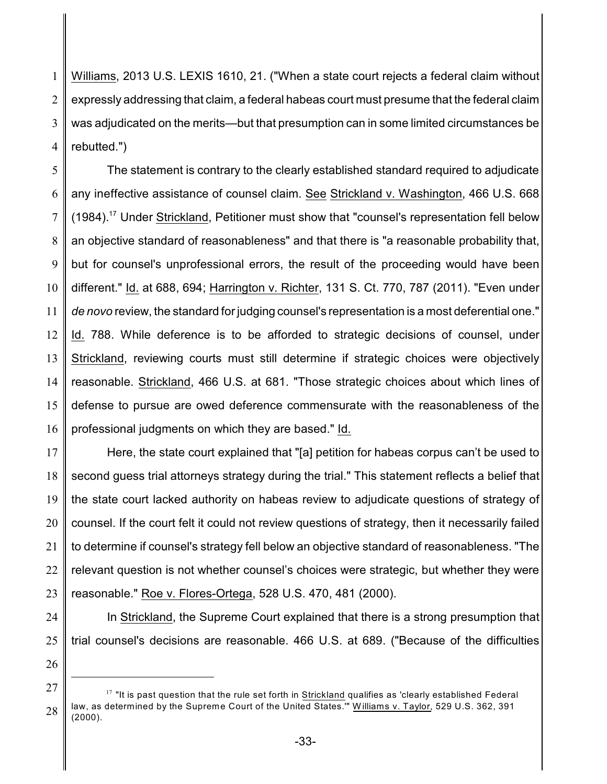1 2 3 4 Williams, 2013 U.S. LEXIS 1610, 21. ("When a state court rejects a federal claim without expressly addressing that claim, a federal habeas court must presume that the federal claim was adjudicated on the merits—but that presumption can in some limited circumstances be rebutted.")

5 6 7 8 9 10 11 12 13 14 15 16 The statement is contrary to the clearly established standard required to adjudicate any ineffective assistance of counsel claim. See Strickland v. Washington, 466 U.S. 668 (1984).<sup>17</sup> Under Strickland, Petitioner must show that "counsel's representation fell below an objective standard of reasonableness" and that there is "a reasonable probability that, but for counsel's unprofessional errors, the result of the proceeding would have been different." Id. at 688, 694; Harrington v. Richter, 131 S. Ct. 770, 787 (2011). "Even under *de novo* review, the standard for judging counsel's representation is a most deferential one." Id. 788. While deference is to be afforded to strategic decisions of counsel, under Strickland, reviewing courts must still determine if strategic choices were objectively reasonable. Strickland, 466 U.S. at 681. "Those strategic choices about which lines of defense to pursue are owed deference commensurate with the reasonableness of the professional judgments on which they are based." Id.

17 18 19 20 21 22 23 Here, the state court explained that "[a] petition for habeas corpus can't be used to second guess trial attorneys strategy during the trial." This statement reflects a belief that the state court lacked authority on habeas review to adjudicate questions of strategy of counsel. If the court felt it could not review questions of strategy, then it necessarily failed to determine if counsel's strategy fell below an objective standard of reasonableness. "The relevant question is not whether counsel's choices were strategic, but whether they were reasonable." Roe v. Flores-Ortega, 528 U.S. 470, 481 (2000).

24 25 In Strickland, the Supreme Court explained that there is a strong presumption that trial counsel's decisions are reasonable. 466 U.S. at 689. ("Because of the difficulties

<sup>27</sup> 28  $17$  "It is past question that the rule set forth in Strickland qualifies as 'clearly established Federal law, as determined by the Supreme Court of the United States."" Williams v. Taylor, 529 U.S. 362, 391 (2000).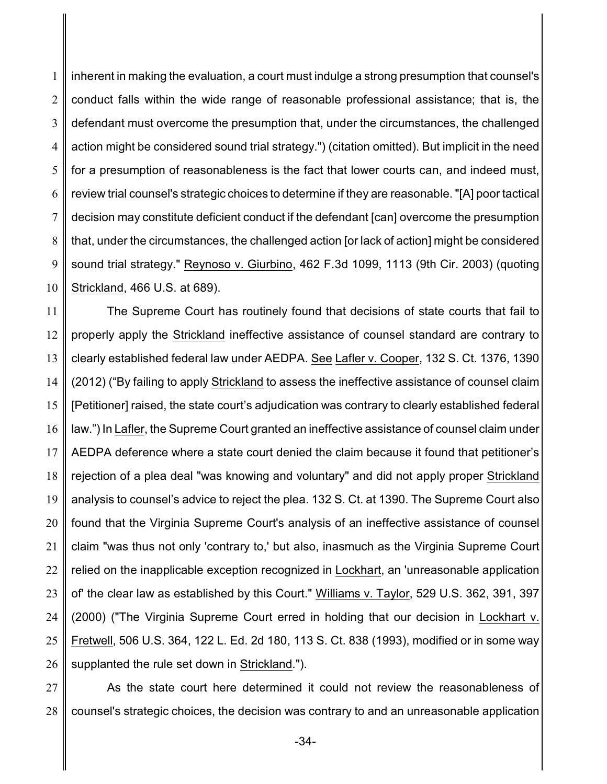1 2 3 4 5 6 7 8 9 10 inherent in making the evaluation, a court must indulge a strong presumption that counsel's conduct falls within the wide range of reasonable professional assistance; that is, the defendant must overcome the presumption that, under the circumstances, the challenged action might be considered sound trial strategy.") (citation omitted). But implicit in the need for a presumption of reasonableness is the fact that lower courts can, and indeed must, review trial counsel's strategic choices to determine if they are reasonable. "[A] poor tactical decision may constitute deficient conduct if the defendant [can] overcome the presumption that, under the circumstances, the challenged action [or lack of action] might be considered sound trial strategy." Reynoso v. Giurbino, 462 F.3d 1099, 1113 (9th Cir. 2003) (quoting Strickland, 466 U.S. at 689).

11 12 13 14 15 16 17 18 19 20 21 22 23 24 25 26 The Supreme Court has routinely found that decisions of state courts that fail to properly apply the Strickland ineffective assistance of counsel standard are contrary to clearly established federal law under AEDPA. See Lafler v. Cooper, 132 S. Ct. 1376, 1390 (2012) ("By failing to apply Strickland to assess the ineffective assistance of counsel claim [Petitioner] raised, the state court's adjudication was contrary to clearly established federal law.") In Lafler, the Supreme Court granted an ineffective assistance of counsel claim under AEDPA deference where a state court denied the claim because it found that petitioner's rejection of a plea deal "was knowing and voluntary" and did not apply proper Strickland analysis to counsel's advice to reject the plea. 132 S. Ct. at 1390. The Supreme Court also found that the Virginia Supreme Court's analysis of an ineffective assistance of counsel claim "was thus not only 'contrary to,' but also, inasmuch as the Virginia Supreme Court relied on the inapplicable exception recognized in Lockhart, an 'unreasonable application of' the clear law as established by this Court." Williams v. Taylor, 529 U.S. 362, 391, 397 (2000) ("The Virginia Supreme Court erred in holding that our decision in Lockhart v. Fretwell, 506 U.S. 364, 122 L. Ed. 2d 180, 113 S. Ct. 838 (1993), modified or in some way supplanted the rule set down in Strickland.").

27 28 As the state court here determined it could not review the reasonableness of counsel's strategic choices, the decision was contrary to and an unreasonable application

-34-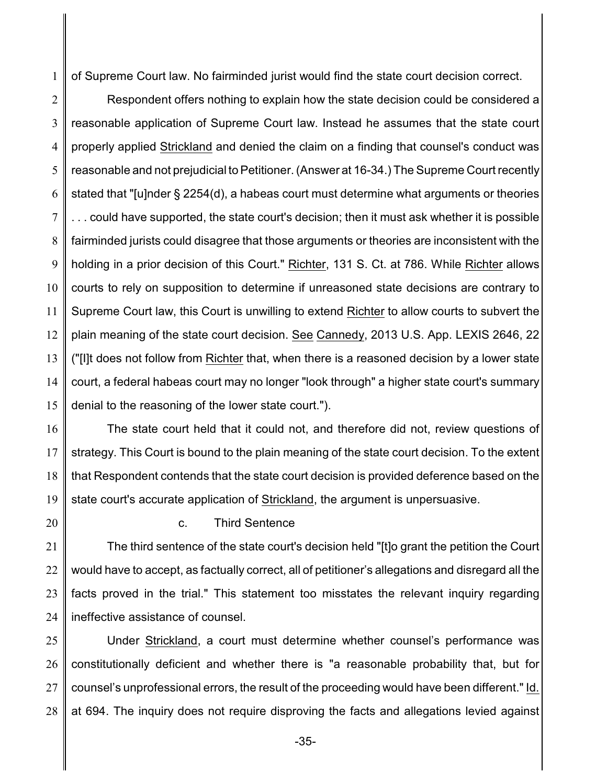1 of Supreme Court law. No fairminded jurist would find the state court decision correct.

2 3 4 5 6 7 8 9 10 11 12 13 14 15 Respondent offers nothing to explain how the state decision could be considered a reasonable application of Supreme Court law. Instead he assumes that the state court properly applied Strickland and denied the claim on a finding that counsel's conduct was reasonable and not prejudicial to Petitioner. (Answer at 16-34.) The Supreme Court recently stated that "[u]nder § 2254(d), a habeas court must determine what arguments or theories could have supported, the state court's decision; then it must ask whether it is possible fairminded jurists could disagree that those arguments or theories are inconsistent with the holding in a prior decision of this Court." Richter, 131 S. Ct. at 786. While Richter allows courts to rely on supposition to determine if unreasoned state decisions are contrary to Supreme Court law, this Court is unwilling to extend Richter to allow courts to subvert the plain meaning of the state court decision. See Cannedy, 2013 U.S. App. LEXIS 2646, 22 ("[I]t does not follow from Richter that, when there is a reasoned decision by a lower state court, a federal habeas court may no longer "look through" a higher state court's summary denial to the reasoning of the lower state court.").

16 17 18 19 The state court held that it could not, and therefore did not, review questions of strategy. This Court is bound to the plain meaning of the state court decision. To the extent that Respondent contends that the state court decision is provided deference based on the state court's accurate application of Strickland, the argument is unpersuasive.

20

c. Third Sentence

21 22 23 24 The third sentence of the state court's decision held "[t]o grant the petition the Court would have to accept, as factually correct, all of petitioner's allegations and disregard all the facts proved in the trial." This statement too misstates the relevant inquiry regarding ineffective assistance of counsel.

25 26 27 28 Under Strickland, a court must determine whether counsel's performance was constitutionally deficient and whether there is "a reasonable probability that, but for counsel's unprofessional errors, the result of the proceeding would have been different." Id. at 694. The inquiry does not require disproving the facts and allegations levied against

-35-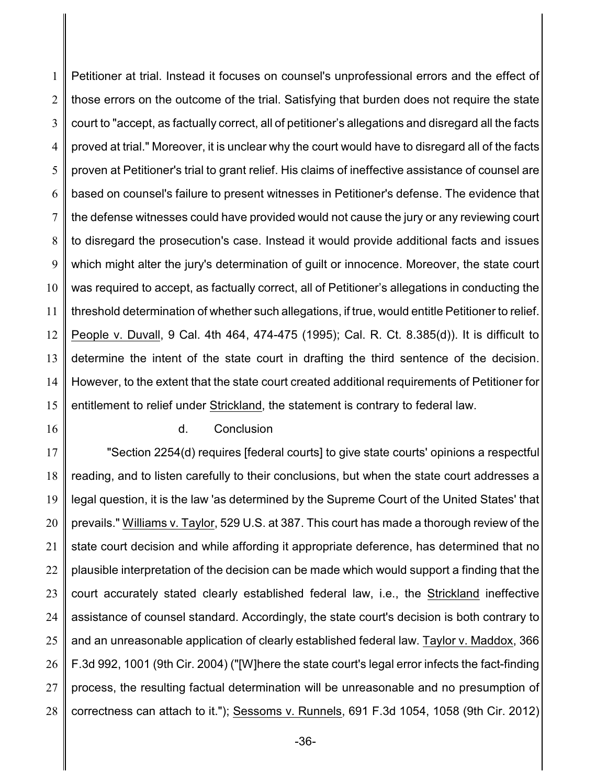1 2 3 4 5 6 7 8 9 10 11 12 13 14 15 Petitioner at trial. Instead it focuses on counsel's unprofessional errors and the effect of those errors on the outcome of the trial. Satisfying that burden does not require the state court to "accept, as factually correct, all of petitioner's allegations and disregard all the facts proved at trial." Moreover, it is unclear why the court would have to disregard all of the facts proven at Petitioner's trial to grant relief. His claims of ineffective assistance of counsel are based on counsel's failure to present witnesses in Petitioner's defense. The evidence that the defense witnesses could have provided would not cause the jury or any reviewing court to disregard the prosecution's case. Instead it would provide additional facts and issues which might alter the jury's determination of guilt or innocence. Moreover, the state court was required to accept, as factually correct, all of Petitioner's allegations in conducting the threshold determination of whether such allegations, if true, would entitle Petitioner to relief. People v. Duvall, 9 Cal. 4th 464, 474-475 (1995); Cal. R. Ct. 8.385(d)). It is difficult to determine the intent of the state court in drafting the third sentence of the decision. However, to the extent that the state court created additional requirements of Petitioner for entitlement to relief under Strickland, the statement is contrary to federal law.

16

#### d. Conclusion

17 18 19 20 21 22 23 24 25 26 27 28 "Section 2254(d) requires [federal courts] to give state courts' opinions a respectful reading, and to listen carefully to their conclusions, but when the state court addresses a legal question, it is the law 'as determined by the Supreme Court of the United States' that prevails." Williams v. Taylor, 529 U.S. at 387. This court has made a thorough review of the state court decision and while affording it appropriate deference, has determined that no plausible interpretation of the decision can be made which would support a finding that the court accurately stated clearly established federal law, i.e., the Strickland ineffective assistance of counsel standard. Accordingly, the state court's decision is both contrary to and an unreasonable application of clearly established federal law. Taylor v. Maddox, 366 F.3d 992, 1001 (9th Cir. 2004) ("[W]here the state court's legal error infects the fact-finding process, the resulting factual determination will be unreasonable and no presumption of correctness can attach to it."); Sessoms v. Runnels, 691 F.3d 1054, 1058 (9th Cir. 2012)

-36-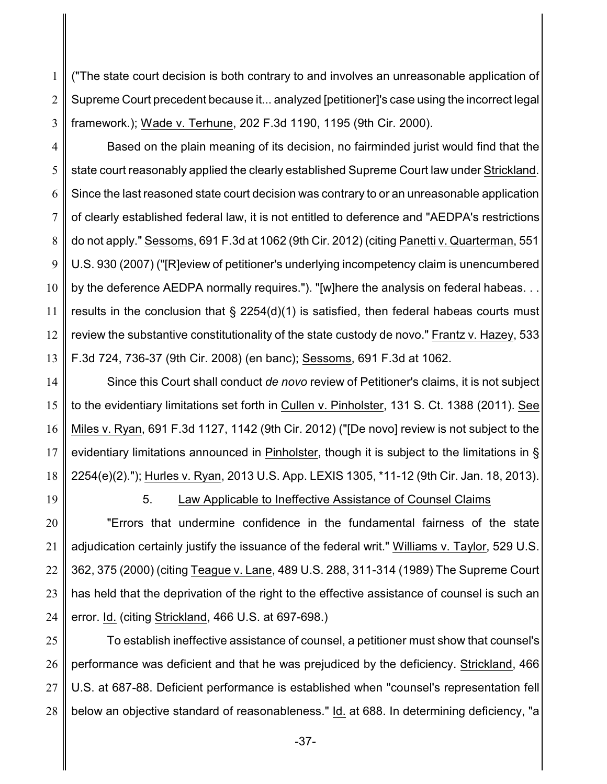1 2 3 ("The state court decision is both contrary to and involves an unreasonable application of Supreme Court precedent because it... analyzed [petitioner]'s case using the incorrect legal framework.); Wade v. Terhune, 202 F.3d 1190, 1195 (9th Cir. 2000).

4 5 6 7 8 9 10 11 12 13 Based on the plain meaning of its decision, no fairminded jurist would find that the state court reasonably applied the clearly established Supreme Court law under Strickland. Since the last reasoned state court decision was contrary to or an unreasonable application of clearly established federal law, it is not entitled to deference and "AEDPA's restrictions do not apply." Sessoms, 691 F.3d at 1062 (9th Cir. 2012) (citing Panetti v. Quarterman, 551 U.S. 930 (2007) ("[R]eview of petitioner's underlying incompetency claim is unencumbered by the deference AEDPA normally requires."). "[w]here the analysis on federal habeas. . . results in the conclusion that  $\S$  2254(d)(1) is satisfied, then federal habeas courts must review the substantive constitutionality of the state custody de novo." Frantz v. Hazey, 533 F.3d 724, 736-37 (9th Cir. 2008) (en banc); Sessoms, 691 F.3d at 1062.

14 15 16 17 18 Since this Court shall conduct *de novo* review of Petitioner's claims, it is not subject to the evidentiary limitations set forth in Cullen v. Pinholster, 131 S. Ct. 1388 (2011). See Miles v. Ryan, 691 F.3d 1127, 1142 (9th Cir. 2012) ("[De novo] review is not subject to the evidentiary limitations announced in Pinholster, though it is subject to the limitations in § 2254(e)(2)."); Hurles v. Ryan, 2013 U.S. App. LEXIS 1305, \*11-12 (9th Cir. Jan. 18, 2013).

19

## 5. Law Applicable to Ineffective Assistance of Counsel Claims

20 21 22 23 24 "Errors that undermine confidence in the fundamental fairness of the state adjudication certainly justify the issuance of the federal writ." Williams v. Taylor, 529 U.S. 362, 375 (2000) (citing Teague v. Lane, 489 U.S. 288, 311-314 (1989) The Supreme Court has held that the deprivation of the right to the effective assistance of counsel is such an error. Id. (citing Strickland, 466 U.S. at 697-698.)

25 26 27 28 To establish ineffective assistance of counsel, a petitioner must show that counsel's performance was deficient and that he was prejudiced by the deficiency. Strickland, 466 U.S. at 687-88. Deficient performance is established when "counsel's representation fell below an objective standard of reasonableness." Id. at 688. In determining deficiency, "a

-37-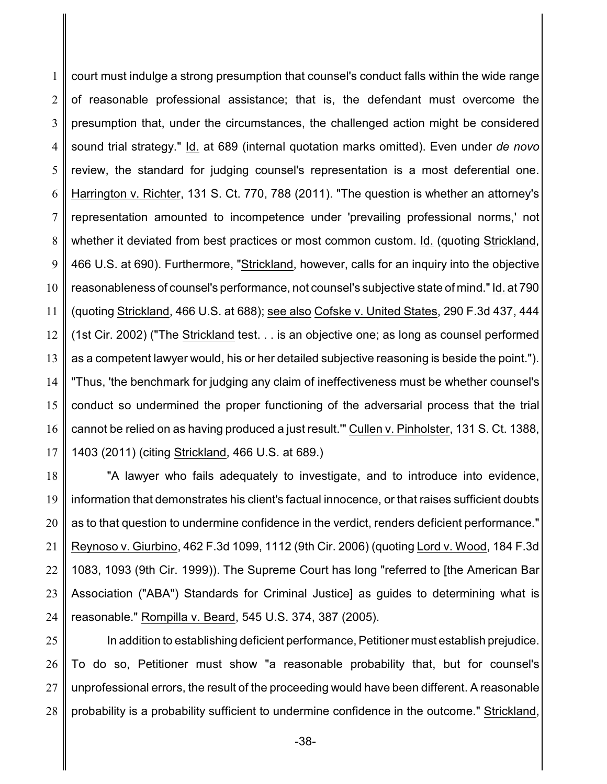1 2 3 4 5 6 7 8 9 10 11 12 13 14 15 16 17 court must indulge a strong presumption that counsel's conduct falls within the wide range of reasonable professional assistance; that is, the defendant must overcome the presumption that, under the circumstances, the challenged action might be considered sound trial strategy." Id. at 689 (internal quotation marks omitted). Even under *de novo* review, the standard for judging counsel's representation is a most deferential one. Harrington v. Richter, 131 S. Ct. 770, 788 (2011). "The question is whether an attorney's representation amounted to incompetence under 'prevailing professional norms,' not whether it deviated from best practices or most common custom. Id. (quoting Strickland, 466 U.S. at 690). Furthermore, "Strickland, however, calls for an inquiry into the objective reasonableness of counsel's performance, not counsel's subjective state of mind."Id. at 790 (quoting Strickland, 466 U.S. at 688); see also Cofske v. United States, 290 F.3d 437, 444 (1st Cir. 2002) ("The Strickland test. . . is an objective one; as long as counsel performed as a competent lawyer would, his or her detailed subjective reasoning is beside the point."). "Thus, 'the benchmark for judging any claim of ineffectiveness must be whether counsel's conduct so undermined the proper functioning of the adversarial process that the trial cannot be relied on as having produced a just result.'" Cullen v. Pinholster, 131 S. Ct. 1388, 1403 (2011) (citing Strickland, 466 U.S. at 689.)

18 19 20 21 22 23 24 "A lawyer who fails adequately to investigate, and to introduce into evidence, information that demonstrates his client's factual innocence, or that raises sufficient doubts as to that question to undermine confidence in the verdict, renders deficient performance." Reynoso v. Giurbino, 462 F.3d 1099, 1112 (9th Cir. 2006) (quoting Lord v. Wood, 184 F.3d 1083, 1093 (9th Cir. 1999)). The Supreme Court has long "referred to [the American Bar Association ("ABA") Standards for Criminal Justice] as guides to determining what is reasonable." Rompilla v. Beard, 545 U.S. 374, 387 (2005).

25 26 27 28 In addition to establishing deficient performance, Petitioner must establish prejudice. To do so, Petitioner must show "a reasonable probability that, but for counsel's unprofessional errors, the result of the proceeding would have been different. A reasonable probability is a probability sufficient to undermine confidence in the outcome." Strickland,

-38-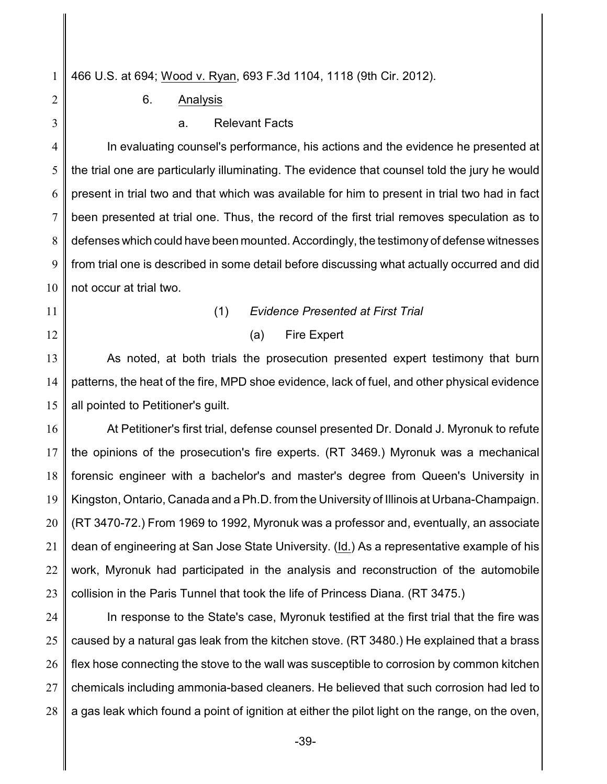1 466 U.S. at 694; Wood v. Ryan, 693 F.3d 1104, 1118 (9th Cir. 2012).

2 3 6. Analysis

a. Relevant Facts

4 5 6 7 8 9 10 In evaluating counsel's performance, his actions and the evidence he presented at the trial one are particularly illuminating. The evidence that counsel told the jury he would present in trial two and that which was available for him to present in trial two had in fact been presented at trial one. Thus, the record of the first trial removes speculation as to defenses which could have been mounted. Accordingly, the testimony of defense witnesses from trial one is described in some detail before discussing what actually occurred and did not occur at trial two.

- 11
- 12

## (1) *Evidence Presented at First Trial*

(a) Fire Expert

13 14 15 As noted, at both trials the prosecution presented expert testimony that burn patterns, the heat of the fire, MPD shoe evidence, lack of fuel, and other physical evidence all pointed to Petitioner's guilt.

16 17 18 19 20 21 22 23 At Petitioner's first trial, defense counsel presented Dr. Donald J. Myronuk to refute the opinions of the prosecution's fire experts. (RT 3469.) Myronuk was a mechanical forensic engineer with a bachelor's and master's degree from Queen's University in Kingston, Ontario, Canada and a Ph.D. from the University of Illinois at Urbana-Champaign. (RT 3470-72.) From 1969 to 1992, Myronuk was a professor and, eventually, an associate dean of engineering at San Jose State University. (Id.) As a representative example of his work, Myronuk had participated in the analysis and reconstruction of the automobile collision in the Paris Tunnel that took the life of Princess Diana. (RT 3475.)

24 25 26 27 28 In response to the State's case, Myronuk testified at the first trial that the fire was caused by a natural gas leak from the kitchen stove. (RT 3480.) He explained that a brass flex hose connecting the stove to the wall was susceptible to corrosion by common kitchen chemicals including ammonia-based cleaners. He believed that such corrosion had led to a gas leak which found a point of ignition at either the pilot light on the range, on the oven,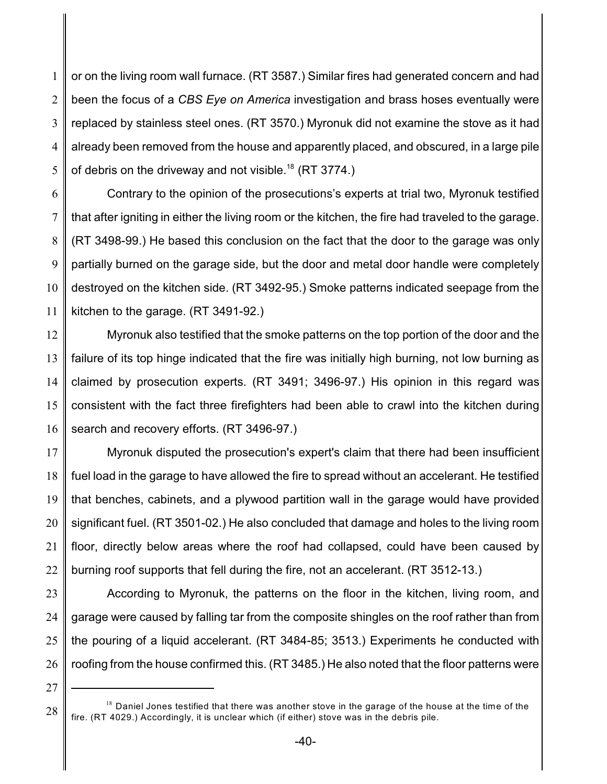1 2 3 4 5 or on the living room wall furnace. (RT 3587.) Similar fires had generated concern and had been the focus of a *CBS Eye on America* investigation and brass hoses eventually were replaced by stainless steel ones. (RT 3570.) Myronuk did not examine the stove as it had already been removed from the house and apparently placed, and obscured, in a large pile of debris on the driveway and not visible.<sup>18</sup> (RT 3774.)

6 7 8 9 10 11 Contrary to the opinion of the prosecutions's experts at trial two, Myronuk testified that after igniting in either the living room or the kitchen, the fire had traveled to the garage. (RT 3498-99.) He based this conclusion on the fact that the door to the garage was only partially burned on the garage side, but the door and metal door handle were completely destroyed on the kitchen side. (RT 3492-95.) Smoke patterns indicated seepage from the kitchen to the garage. (RT 3491-92.)

12 13 14 15 16 Myronuk also testified that the smoke patterns on the top portion of the door and the failure of its top hinge indicated that the fire was initially high burning, not low burning as claimed by prosecution experts. (RT 3491; 3496-97.) His opinion in this regard was consistent with the fact three firefighters had been able to crawl into the kitchen during search and recovery efforts. (RT 3496-97.)

17 18 19 20 21 22 Myronuk disputed the prosecution's expert's claim that there had been insufficient fuel load in the garage to have allowed the fire to spread without an accelerant. He testified that benches, cabinets, and a plywood partition wall in the garage would have provided significant fuel. (RT 3501-02.) He also concluded that damage and holes to the living room floor, directly below areas where the roof had collapsed, could have been caused by burning roof supports that fell during the fire, not an accelerant. (RT 3512-13.)

23 24 25 26 According to Myronuk, the patterns on the floor in the kitchen, living room, and garage were caused by falling tar from the composite shingles on the roof rather than from the pouring of a liquid accelerant. (RT 3484-85; 3513.) Experiments he conducted with roofing from the house confirmed this. (RT 3485.) He also noted that the floor patterns were

<sup>28</sup>  $18$  Daniel Jones testified that there was another stove in the garage of the house at the time of the fire. (RT 4029.) Accordingly, it is unclear which (if either) stove was in the debris pile.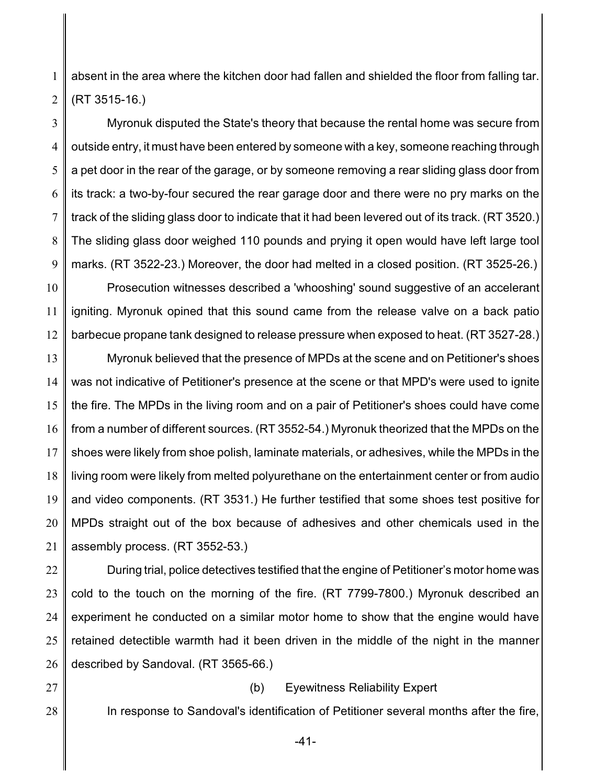1 2 absent in the area where the kitchen door had fallen and shielded the floor from falling tar. (RT 3515-16.)

3 4 5 6 7 8 9 Myronuk disputed the State's theory that because the rental home was secure from outside entry, it must have been entered by someone with a key, someone reaching through a pet door in the rear of the garage, or by someone removing a rear sliding glass door from its track: a two-by-four secured the rear garage door and there were no pry marks on the track of the sliding glass door to indicate that it had been levered out of its track. (RT 3520.) The sliding glass door weighed 110 pounds and prying it open would have left large tool marks. (RT 3522-23.) Moreover, the door had melted in a closed position. (RT 3525-26.)

10 11 12 Prosecution witnesses described a 'whooshing' sound suggestive of an accelerant igniting. Myronuk opined that this sound came from the release valve on a back patio barbecue propane tank designed to release pressure when exposed to heat. (RT 3527-28.)

13 14 15 16 17 18 19 20 21 Myronuk believed that the presence of MPDs at the scene and on Petitioner's shoes was not indicative of Petitioner's presence at the scene or that MPD's were used to ignite the fire. The MPDs in the living room and on a pair of Petitioner's shoes could have come from a number of different sources. (RT 3552-54.) Myronuk theorized that the MPDs on the shoes were likely from shoe polish, laminate materials, or adhesives, while the MPDs in the living room were likely from melted polyurethane on the entertainment center or from audio and video components. (RT 3531.) He further testified that some shoes test positive for MPDs straight out of the box because of adhesives and other chemicals used in the assembly process. (RT 3552-53.)

22 23 24 25 26 During trial, police detectives testified that the engine of Petitioner's motor home was cold to the touch on the morning of the fire. (RT 7799-7800.) Myronuk described an experiment he conducted on a similar motor home to show that the engine would have retained detectible warmth had it been driven in the middle of the night in the manner described by Sandoval. (RT 3565-66.)

27

28

### (b) Eyewitness Reliability Expert

In response to Sandoval's identification of Petitioner several months after the fire,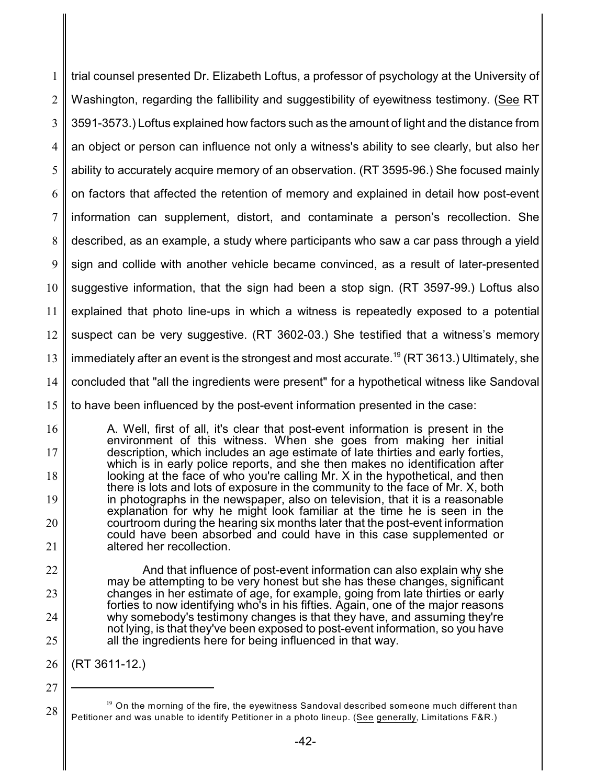1 2 3 4 5 6 7 8 9 10 11 12 13 14 15 trial counsel presented Dr. Elizabeth Loftus, a professor of psychology at the University of Washington, regarding the fallibility and suggestibility of eyewitness testimony. (See RT 3591-3573.) Loftus explained how factors such as the amount of light and the distance from an object or person can influence not only a witness's ability to see clearly, but also her ability to accurately acquire memory of an observation. (RT 3595-96.) She focused mainly on factors that affected the retention of memory and explained in detail how post-event information can supplement, distort, and contaminate a person's recollection. She described, as an example, a study where participants who saw a car pass through a yield sign and collide with another vehicle became convinced, as a result of later-presented suggestive information, that the sign had been a stop sign. (RT 3597-99.) Loftus also explained that photo line-ups in which a witness is repeatedly exposed to a potential suspect can be very suggestive. (RT 3602-03.) She testified that a witness's memory immediately after an event is the strongest and most accurate.<sup>19</sup> (RT 3613.) Ultimately, she concluded that "all the ingredients were present" for a hypothetical witness like Sandoval to have been influenced by the post-event information presented in the case:

16 17 18 19 20 21 A. Well, first of all, it's clear that post-event information is present in the environment of this witness. When she goes from making her initial description, which includes an age estimate of late thirties and early forties, which is in early police reports, and she then makes no identification after looking at the face of who you're calling Mr. X in the hypothetical, and then there is lots and lots of exposure in the community to the face of Mr. X, both in photographs in the newspaper, also on television, that it is a reasonable explanation for why he might look familiar at the time he is seen in the courtroom during the hearing six months later that the post-event information could have been absorbed and could have in this case supplemented or altered her recollection.

22 23 24 25 And that influence of post-event information can also explain why she may be attempting to be very honest but she has these changes, significant changes in her estimate of age, for example, going from late thirties or early forties to now identifying who's in his fifties. Again, one of the major reasons why somebody's testimony changes is that they have, and assuming they're not lying, is that they've been exposed to post-event information, so you have all the ingredients here for being influenced in that way.

26 (RT 3611-12.)

<sup>27</sup>

 $19$  On the morning of the fire, the eyewitness Sandoval described someone much different than Petitioner and was unable to identify Petitioner in a photo lineup. (See generally, Limitations F&R.)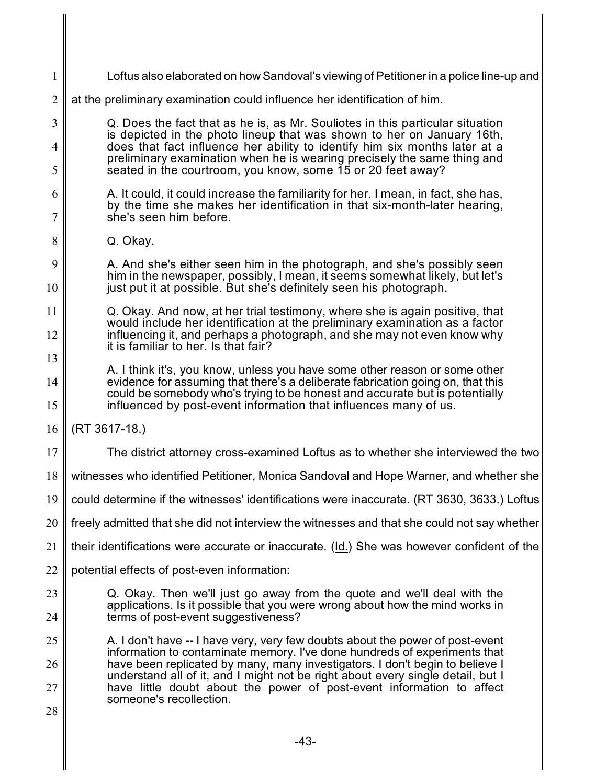| $\mathbf{1}$ | Loftus also elaborated on how Sandoval's viewing of Petitioner in a police line-up and                                                                                                        |
|--------------|-----------------------------------------------------------------------------------------------------------------------------------------------------------------------------------------------|
| $\mathbf{2}$ | at the preliminary examination could influence her identification of him.                                                                                                                     |
| 3            | Q. Does the fact that as he is, as Mr. Souliotes in this particular situation                                                                                                                 |
| 4            | is depicted in the photo lineup that was shown to her on January 16th,<br>does that fact influence her ability to identify him six months later at a                                          |
| 5            | preliminary examination when he is wearing precisely the same thing and<br>seated in the courtroom, you know, some 15 or 20 feet away?                                                        |
| 6            | A. It could, it could increase the familiarity for her. I mean, in fact, she has,<br>by the time she makes her identification in that six-month-later hearing,<br>she's seen him before.<br>7 |
|              |                                                                                                                                                                                               |
| 8            | Q. Okay.                                                                                                                                                                                      |
| 9            | A. And she's either seen him in the photograph, and she's possibly seen<br>him in the newspaper, possibly, I mean, it seems somewhat likely, but let's                                        |
| 10           | just put it at possible. But she's definitely seen his photograph.                                                                                                                            |
| 11           | Q. Okay. And now, at her trial testimony, where she is again positive, that<br>would include her identification at the preliminary examination as a factor                                    |
| 12           | influencing it, and perhaps a photograph, and she may not even know why<br>it is familiar to her. Is that fair?                                                                               |
| 13           | A. I think it's, you know, unless you have some other reason or some other                                                                                                                    |
| 14           | evidence for assuming that there's a deliberate fabrication going on, that this<br>could be somebody who's trying to be honest and accurate but is potentially                                |
| 15           | influenced by post-event information that influences many of us.                                                                                                                              |
| 16           | (RT 3617-18.)                                                                                                                                                                                 |
| 17           | The district attorney cross-examined Loftus as to whether she interviewed the two                                                                                                             |
| 18           | witnesses who identified Petitioner, Monica Sandoval and Hope Warner, and whether she                                                                                                         |
| 19           | could determine if the witnesses' identifications were inaccurate. (RT 3630, 3633.) Loftus                                                                                                    |
| 20           | freely admitted that she did not interview the witnesses and that she could not say whether                                                                                                   |
| 21           | their identifications were accurate or inaccurate. (Id.) She was however confident of the                                                                                                     |
| 22           | potential effects of post-even information:                                                                                                                                                   |
| 23           | Q. Okay. Then we'll just go away from the quote and we'll deal with the<br>applications. Is it possible that you were wrong about how the mind works in                                       |
| 24           | terms of post-event suggestiveness?                                                                                                                                                           |
| 25           | A. I don't have -- I have very, very few doubts about the power of post-event<br>information to contaminate memory. I've done hundreds of experiments that                                    |
| 26           | have been replicated by many, many investigators. I don't begin to believe I<br>understand all of it, and I might not be right about every single detail, but I                               |
| 27           | have little doubt about the power of post-event information to affect<br>someone's recollection.                                                                                              |
| 28           |                                                                                                                                                                                               |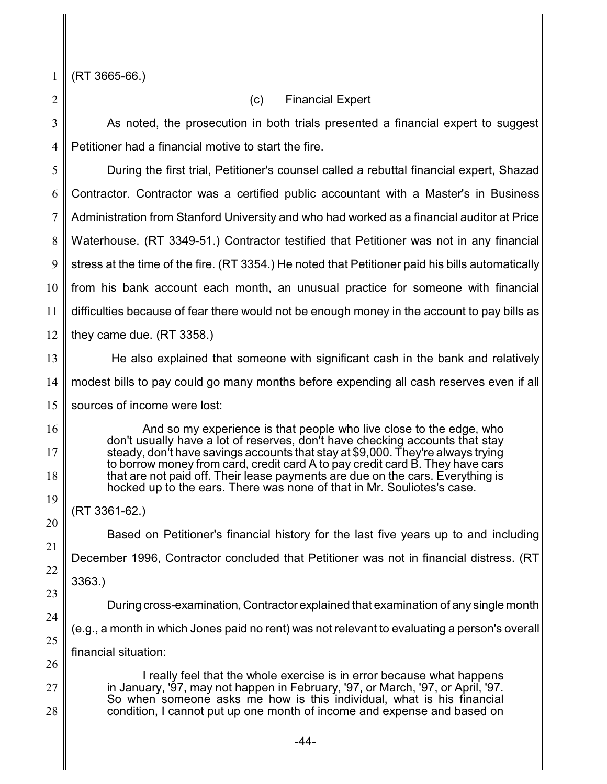1 (RT 3665-66.)

2

16

17

18

19

20

21

22

23

24

25

# (c) Financial Expert

3 4 As noted, the prosecution in both trials presented a financial expert to suggest Petitioner had a financial motive to start the fire.

5 6 7 8 9 10 11 12 During the first trial, Petitioner's counsel called a rebuttal financial expert, Shazad Contractor. Contractor was a certified public accountant with a Master's in Business Administration from Stanford University and who had worked as a financial auditor at Price Waterhouse. (RT 3349-51.) Contractor testified that Petitioner was not in any financial stress at the time of the fire. (RT 3354.) He noted that Petitioner paid his bills automatically from his bank account each month, an unusual practice for someone with financial difficulties because of fear there would not be enough money in the account to pay bills as they came due. (RT 3358.)

13 14 He also explained that someone with significant cash in the bank and relatively modest bills to pay could go many months before expending all cash reserves even if all

15 sources of income were lost:

> And so my experience is that people who live close to the edge, who don't usually have a lot of reserves, don't have checking accounts that stay steady, don't have savings accounts that stay at \$9,000. They're always trying to borrow money from card, credit card A to pay credit card B. They have cars that are not paid off. Their lease payments are due on the cars. Everything is hocked up to the ears. There was none of that in Mr. Souliotes's case.

(RT 3361-62.)

Based on Petitioner's financial history for the last five years up to and including December 1996, Contractor concluded that Petitioner was not in financial distress. (RT 3363.) During cross-examination, Contractor explained that examination of any single month (e.g., a month in which Jones paid no rent) was not relevant to evaluating a person's overall

26 financial situation:

27 28 I really feel that the whole exercise is in error because what happens in January, '97, may not happen in February, '97, or March, '97, or April, '97. So when someone asks me how is this individual, what is his financial condition, I cannot put up one month of income and expense and based on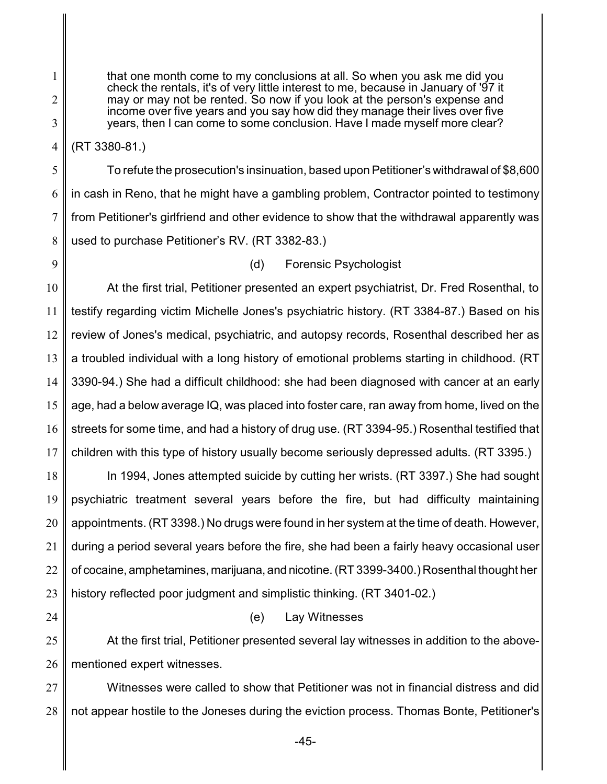that one month come to my conclusions at all. So when you ask me did you check the rentals, it's of very little interest to me, because in January of '97 it may or may not be rented. So now if you look at the person's expense and income over five years and you say how did they manage their lives over five years, then I can come to some conclusion. Have I made myself more clear?

4 (RT 3380-81.)

5 6 7 8 To refute the prosecution's insinuation, based upon Petitioner's withdrawal of \$8,600 in cash in Reno, that he might have a gambling problem, Contractor pointed to testimony from Petitioner's girlfriend and other evidence to show that the withdrawal apparently was used to purchase Petitioner's RV. (RT 3382-83.)

9

1

2

3

## (d) Forensic Psychologist

10 11 12 13 14 15 16 17 At the first trial, Petitioner presented an expert psychiatrist, Dr. Fred Rosenthal, to testify regarding victim Michelle Jones's psychiatric history. (RT 3384-87.) Based on his review of Jones's medical, psychiatric, and autopsy records, Rosenthal described her as a troubled individual with a long history of emotional problems starting in childhood. (RT 3390-94.) She had a difficult childhood: she had been diagnosed with cancer at an early age, had a below average IQ, was placed into foster care, ran away from home, lived on the streets for some time, and had a history of drug use. (RT 3394-95.) Rosenthal testified that children with this type of history usually become seriously depressed adults. (RT 3395.)

18 19 20 21 22 23 In 1994, Jones attempted suicide by cutting her wrists. (RT 3397.) She had sought psychiatric treatment several years before the fire, but had difficulty maintaining appointments. (RT 3398.) No drugs were found in her system at the time of death. However, during a period several years before the fire, she had been a fairly heavy occasional user of cocaine, amphetamines, marijuana, and nicotine. (RT 3399-3400.) Rosenthal thought her history reflected poor judgment and simplistic thinking. (RT 3401-02.)

24

## (e) Lay Witnesses

25 26 At the first trial, Petitioner presented several lay witnesses in addition to the abovementioned expert witnesses.

27 28 Witnesses were called to show that Petitioner was not in financial distress and did not appear hostile to the Joneses during the eviction process. Thomas Bonte, Petitioner's

-45-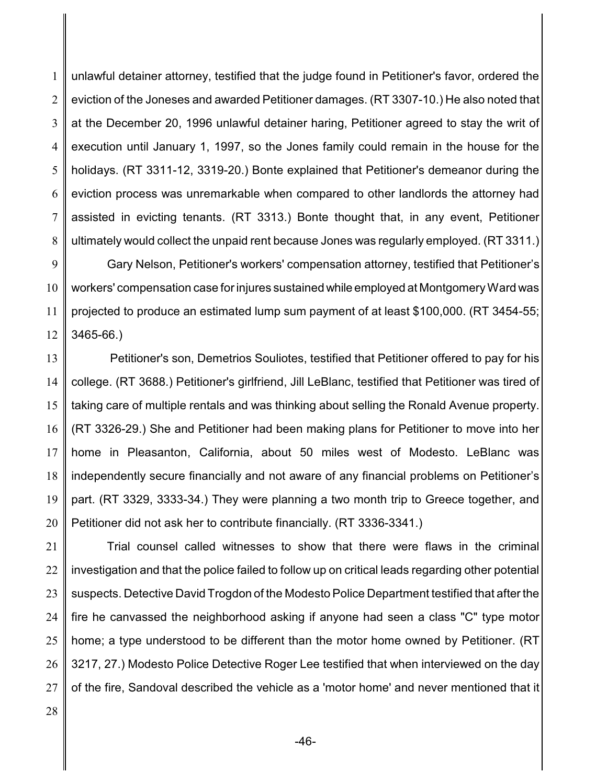1 2 3 4 5 6 7 8 unlawful detainer attorney, testified that the judge found in Petitioner's favor, ordered the eviction of the Joneses and awarded Petitioner damages. (RT 3307-10.) He also noted that at the December 20, 1996 unlawful detainer haring, Petitioner agreed to stay the writ of execution until January 1, 1997, so the Jones family could remain in the house for the holidays. (RT 3311-12, 3319-20.) Bonte explained that Petitioner's demeanor during the eviction process was unremarkable when compared to other landlords the attorney had assisted in evicting tenants. (RT 3313.) Bonte thought that, in any event, Petitioner ultimately would collect the unpaid rent because Jones was regularly employed. (RT 3311.)

9 10 11 12 Gary Nelson, Petitioner's workers' compensation attorney, testified that Petitioner's workers' compensation case for injures sustained while employed at Montgomery Ward was projected to produce an estimated lump sum payment of at least \$100,000. (RT 3454-55; 3465-66.)

13 14 15 16 17 18 19 20 Petitioner's son, Demetrios Souliotes, testified that Petitioner offered to pay for his college. (RT 3688.) Petitioner's girlfriend, Jill LeBlanc, testified that Petitioner was tired of taking care of multiple rentals and was thinking about selling the Ronald Avenue property. (RT 3326-29.) She and Petitioner had been making plans for Petitioner to move into her home in Pleasanton, California, about 50 miles west of Modesto. LeBlanc was independently secure financially and not aware of any financial problems on Petitioner's part. (RT 3329, 3333-34.) They were planning a two month trip to Greece together, and Petitioner did not ask her to contribute financially. (RT 3336-3341.)

21 22 23 24 25 26 27 Trial counsel called witnesses to show that there were flaws in the criminal investigation and that the police failed to follow up on critical leads regarding other potential suspects. Detective David Trogdon of the Modesto Police Department testified that after the fire he canvassed the neighborhood asking if anyone had seen a class "C" type motor home; a type understood to be different than the motor home owned by Petitioner. (RT 3217, 27.) Modesto Police Detective Roger Lee testified that when interviewed on the day of the fire, Sandoval described the vehicle as a 'motor home' and never mentioned that it

28

-46-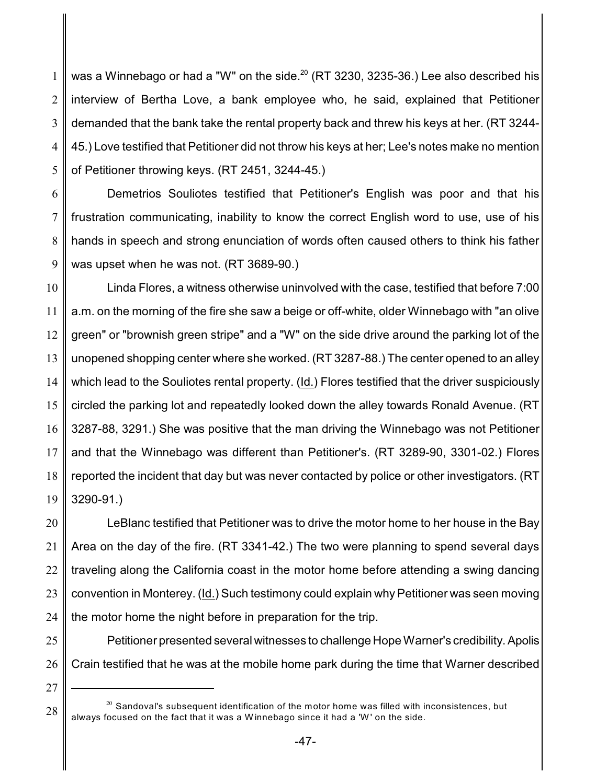1 2 3 4 5 was a Winnebago or had a "W" on the side. $^{20}$  (RT 3230, 3235-36.) Lee also described his interview of Bertha Love, a bank employee who, he said, explained that Petitioner demanded that the bank take the rental property back and threw his keys at her. (RT 3244- 45.) Love testified that Petitioner did not throw his keys at her; Lee's notes make no mention of Petitioner throwing keys. (RT 2451, 3244-45.)

6 7 8 9 Demetrios Souliotes testified that Petitioner's English was poor and that his frustration communicating, inability to know the correct English word to use, use of his hands in speech and strong enunciation of words often caused others to think his father was upset when he was not. (RT 3689-90.)

10 11 12 13 14 15 16 17 18 19 Linda Flores, a witness otherwise uninvolved with the case, testified that before 7:00 a.m. on the morning of the fire she saw a beige or off-white, older Winnebago with "an olive green" or "brownish green stripe" and a "W" on the side drive around the parking lot of the unopened shopping center where she worked. (RT 3287-88.) The center opened to an alley which lead to the Souliotes rental property. (Id.) Flores testified that the driver suspiciously circled the parking lot and repeatedly looked down the alley towards Ronald Avenue. (RT 3287-88, 3291.) She was positive that the man driving the Winnebago was not Petitioner and that the Winnebago was different than Petitioner's. (RT 3289-90, 3301-02.) Flores reported the incident that day but was never contacted by police or other investigators. (RT 3290-91.)

20 21 22 23 24 LeBlanc testified that Petitioner was to drive the motor home to her house in the Bay Area on the day of the fire. (RT 3341-42.) The two were planning to spend several days traveling along the California coast in the motor home before attending a swing dancing convention in Monterey. (Id.) Such testimony could explain why Petitioner was seen moving the motor home the night before in preparation for the trip.

- 25 26 Petitioner presented several witnesses to challenge Hope Warner's credibility. Apolis Crain testified that he was at the mobile home park during the time that Warner described
- 27

 $^{\rm 20}$  Sandoval's subsequent identification of the motor home was filled with inconsistences, but always focused on the fact that it was a W innebago since it had a 'W ' on the side.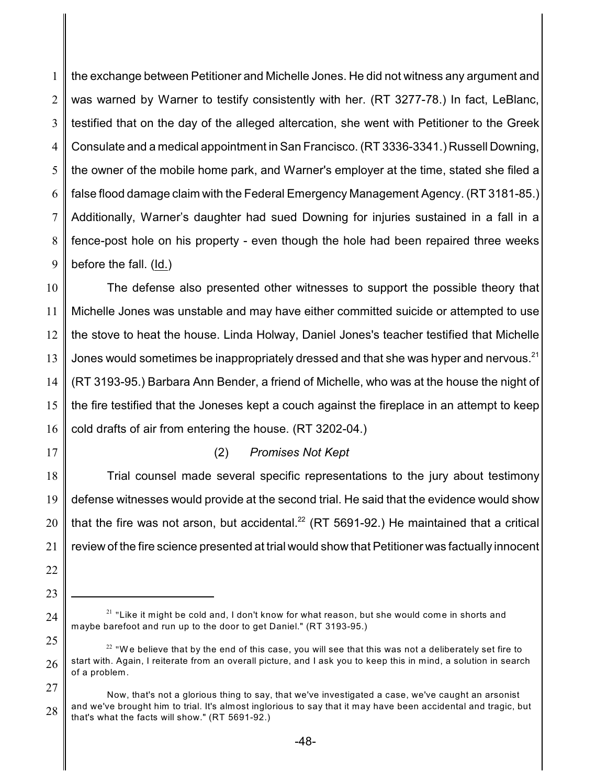1 2 3 4 5 6 7 8 9 the exchange between Petitioner and Michelle Jones. He did not witness any argument and was warned by Warner to testify consistently with her. (RT 3277-78.) In fact, LeBlanc, testified that on the day of the alleged altercation, she went with Petitioner to the Greek Consulate and a medical appointment in San Francisco. (RT 3336-3341.) Russell Downing, the owner of the mobile home park, and Warner's employer at the time, stated she filed a false flood damage claim with the Federal Emergency Management Agency. (RT 3181-85.) Additionally, Warner's daughter had sued Downing for injuries sustained in a fall in a fence-post hole on his property - even though the hole had been repaired three weeks before the fall. (Id.)

10 11 12 13 14 15 16 The defense also presented other witnesses to support the possible theory that Michelle Jones was unstable and may have either committed suicide or attempted to use the stove to heat the house. Linda Holway, Daniel Jones's teacher testified that Michelle Jones would sometimes be inappropriately dressed and that she was hyper and nervous.<sup>21</sup> (RT 3193-95.) Barbara Ann Bender, a friend of Michelle, who was at the house the night of the fire testified that the Joneses kept a couch against the fireplace in an attempt to keep cold drafts of air from entering the house. (RT 3202-04.)

17

## (2) *Promises Not Kept*

18 19 20 21 Trial counsel made several specific representations to the jury about testimony defense witnesses would provide at the second trial. He said that the evidence would show that the fire was not arson, but accidental. $^{22}$  (RT 5691-92.) He maintained that a critical review of the fire science presented at trial would show that Petitioner was factually innocent

- 22
- 23
- 24

 $^{21}$  "Like it might be cold and, I don't know for what reason, but she would come in shorts and maybe barefoot and run up to the door to get Daniel." (RT 3193-95.)

<sup>25</sup> 26  $^{22}$  "We believe that by the end of this case, you will see that this was not a deliberately set fire to start with. Again, I reiterate from an overall picture, and I ask you to keep this in mind, a solution in search of a problem.

<sup>27</sup> 28 Now, that's not a glorious thing to say, that we've investigated a case, we've caught an arsonist and we've brought him to trial. It's almost inglorious to say that it may have been accidental and tragic, but that's what the facts will show." (RT 5691-92.)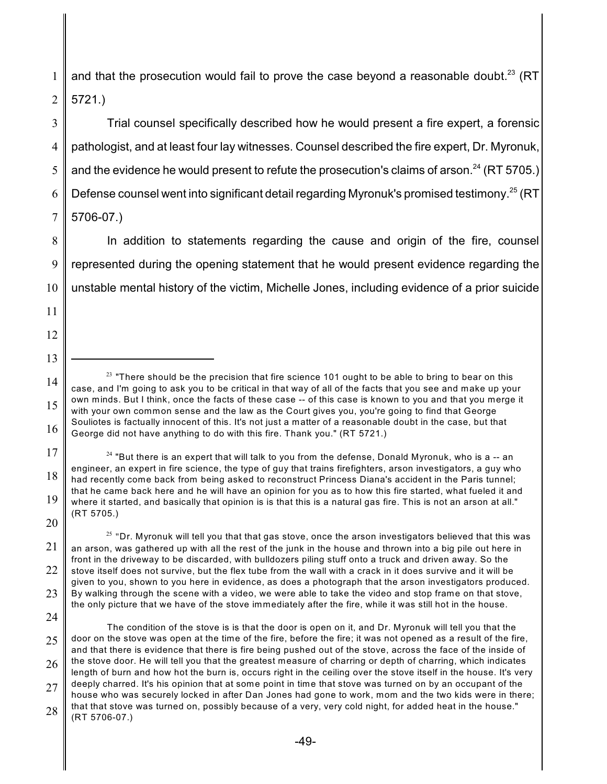1 2 and that the prosecution would fail to prove the case beyond a reasonable doubt.<sup>23</sup> (RT 5721.)

3 4 5 6 7 Trial counsel specifically described how he would present a fire expert, a forensic pathologist, and at least four lay witnesses. Counsel described the fire expert, Dr. Myronuk, and the evidence he would present to refute the prosecution's claims of arson. $^{24}$  (RT 5705.) Defense counsel went into significant detail regarding Myronuk's promised testimony.<sup>25</sup> (RT 5706-07.)

8 9 10 In addition to statements regarding the cause and origin of the fire, counsel represented during the opening statement that he would present evidence regarding the unstable mental history of the victim, Michelle Jones, including evidence of a prior suicide

14 15 16  $^{23}$  "There should be the precision that fire science 101 ought to be able to bring to bear on this case, and I'm going to ask you to be critical in that way of all of the facts that you see and make up your own minds. But I think, once the facts of these case -- of this case is known to you and that you merge it with your own common sense and the law as the Court gives you, you're going to find that George Souliotes is factually innocent of this. It's not just a matter of a reasonable doubt in the case, but that George did not have anything to do with this fire. Thank you." (RT 5721.)

17 18 19 20  $^\mathrm{24}$  "But there is an expert that will talk to you from the defense, Donald Myronuk, who is a -- an engineer, an expert in fire science, the type of guy that trains firefighters, arson investigators, a guy who had recently come back from being asked to reconstruct Princess Diana's accident in the Paris tunnel; that he came back here and he will have an opinion for you as to how this fire started, what fueled it and where it started, and basically that opinion is is that this is a natural gas fire. This is not an arson at all." (RT 5705.)

21 22 23  $^{25}$  "Dr. Myronuk will tell you that that gas stove, once the arson investigators believed that this was an arson, was gathered up with all the rest of the junk in the house and thrown into a big pile out here in front in the driveway to be discarded, with bulldozers piling stuff onto a truck and driven away. So the stove itself does not survive, but the flex tube from the wall with a crack in it does survive and it will be given to you, shown to you here in evidence, as does a photograph that the arson investigators produced. By walking through the scene with a video, we were able to take the video and stop frame on that stove,

24

11

12

the only picture that we have of the stove immediately after the fire, while it was still hot in the house.

<sup>25</sup> 26 27 28 The condition of the stove is is that the door is open on it, and Dr. Myronuk will tell you that the door on the stove was open at the time of the fire, before the fire; it was not opened as a result of the fire, and that there is evidence that there is fire being pushed out of the stove, across the face of the inside of the stove door. He will tell you that the greatest measure of charring or depth of charring, which indicates length of burn and how hot the burn is, occurs right in the ceiling over the stove itself in the house. It's very deeply charred. It's his opinion that at some point in time that stove was turned on by an occupant of the house who was securely locked in after Dan Jones had gone to work, mom and the two kids were in there; that that stove was turned on, possibly because of a very, very cold night, for added heat in the house." (RT 5706-07.)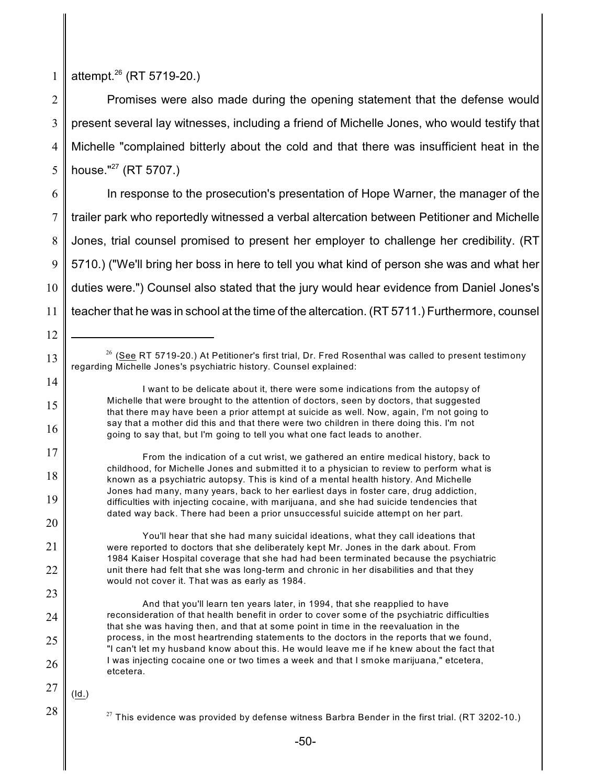1 attempt.<sup>26</sup> (RT 5719-20.)

2 3 4 5 Promises were also made during the opening statement that the defense would present several lay witnesses, including a friend of Michelle Jones, who would testify that Michelle "complained bitterly about the cold and that there was insufficient heat in the house." $^{27}$  (RT 5707.)

6 7 8 9 10 11 In response to the prosecution's presentation of Hope Warner, the manager of the trailer park who reportedly witnessed a verbal altercation between Petitioner and Michelle Jones, trial counsel promised to present her employer to challenge her credibility. (RT 5710.) ("We'll bring her boss in here to tell you what kind of person she was and what her duties were.") Counsel also stated that the jury would hear evidence from Daniel Jones's teacher that he was in school at the time of the altercation. (RT 5711.) Furthermore, counsel

 $^{26}$  (<u>See</u> RT 5719-20.) At Petitioner's first trial, Dr. Fred Rosenthal was called to present testimony regarding Michelle Jones's psychiatric history. Counsel explained:

I want to be delicate about it, there were some indications from the autopsy of Michelle that were brought to the attention of doctors, seen by doctors, that suggested that there may have been a prior attempt at suicide as well. Now, again, I'm not going to say that a mother did this and that there were two children in there doing this. I'm not going to say that, but I'm going to tell you what one fact leads to another.

From the indication of a cut wrist, we gathered an entire medical history, back to childhood, for Michelle Jones and submitted it to a physician to review to perform what is known as a psychiatric autopsy. This is kind of a mental health history. And Michelle Jones had many, many years, back to her earliest days in foster care, drug addiction, difficulties with injecting cocaine, with marijuana, and she had suicide tendencies that dated way back. There had been a prior unsuccessful suicide attempt on her part.

You'll hear that she had many suicidal ideations, what they call ideations that were reported to doctors that she deliberately kept Mr. Jones in the dark about. From 1984 Kaiser Hospital coverage that she had had been terminated because the psychiatric unit there had felt that she was long-term and chronic in her disabilities and that they would not cover it. That was as early as 1984.

- And that you'll learn ten years later, in 1994, that she reapplied to have reconsideration of that health benefit in order to cover some of the psychiatric difficulties that she was having then, and that at some point in time in the reevaluation in the process, in the most heartrending statements to the doctors in the reports that we found, "I can't let my husband know about this. He would leave me if he knew about the fact that I was injecting cocaine one or two times a week and that I smoke marijuana," etcetera, etcetera.
- 27

(Id.)

12

13

14

15

16

17

18

19

20

21

22

23

24

25

26

 $^{27}$  This evidence was provided by defense witness Barbra Bender in the first trial. (RT 3202-10.)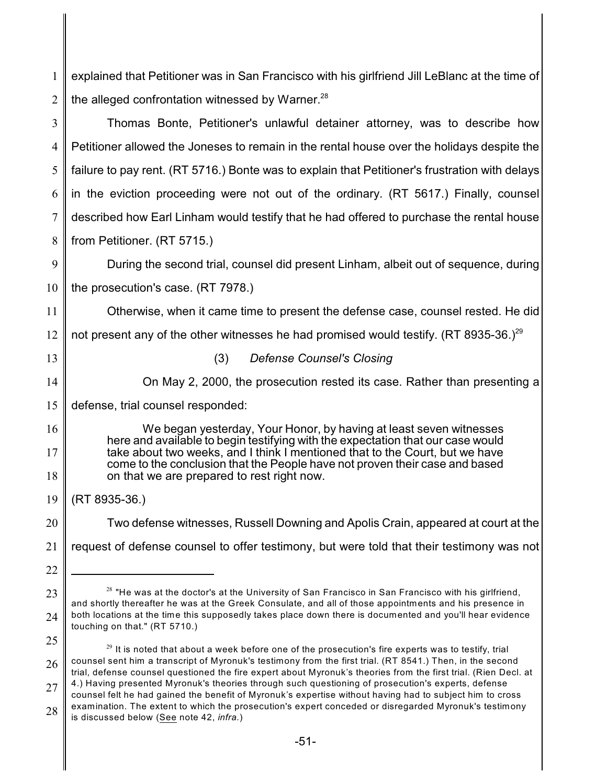1 2 3 4 5 6 7 8 9 10 11 12 13 14 15 16 17 18 19 20 21 22 23 24 25 26 27 explained that Petitioner was in San Francisco with his girlfriend Jill LeBlanc at the time of the alleged confrontation witnessed by Warner.<sup>28</sup> Thomas Bonte, Petitioner's unlawful detainer attorney, was to describe how Petitioner allowed the Joneses to remain in the rental house over the holidays despite the failure to pay rent. (RT 5716.) Bonte was to explain that Petitioner's frustration with delays in the eviction proceeding were not out of the ordinary. (RT 5617.) Finally, counsel described how Earl Linham would testify that he had offered to purchase the rental house from Petitioner. (RT 5715.) During the second trial, counsel did present Linham, albeit out of sequence, during the prosecution's case. (RT 7978.) Otherwise, when it came time to present the defense case, counsel rested. He did not present any of the other witnesses he had promised would testify. (RT 8935-36.)<sup>29</sup> (3) *Defense Counsel's Closing* On May 2, 2000, the prosecution rested its case. Rather than presenting a defense, trial counsel responded: We began yesterday, Your Honor, by having at least seven witnesses here and available to begin testifying with the expectation that our case would take about two weeks, and I think I mentioned that to the Court, but we have come to the conclusion that the People have not proven their case and based on that we are prepared to rest right now. (RT 8935-36.) Two defense witnesses, Russell Downing and Apolis Crain, appeared at court at the request of defense counsel to offer testimony, but were told that their testimony was not  $^{28}$  "He was at the doctor's at the University of San Francisco in San Francisco with his girlfriend, and shortly thereafter he was at the Greek Consulate, and all of those appointments and his presence in both locations at the time this supposedly takes place down there is documented and you'll hear evidence touching on that." (RT 5710.)  $^{\rm 29}$  It is noted that about a week before one of the prosecution's fire experts was to testify, trial counsel sent him a transcript of Myronuk's testimony from the first trial. (RT 8541.) Then, in the second trial, defense counsel questioned the fire expert about Myronuk's theories from the first trial. (Rien Decl. at 4.) Having presented Myronuk's theories through such questioning of prosecution's experts, defense counsel felt he had gained the benefit of Myronuk's expertise without having had to subject him to cross examination. The extent to which the prosecution's expert conceded or disregarded Myronuk's testimony

28 is discussed below (See note 42, *infra.*)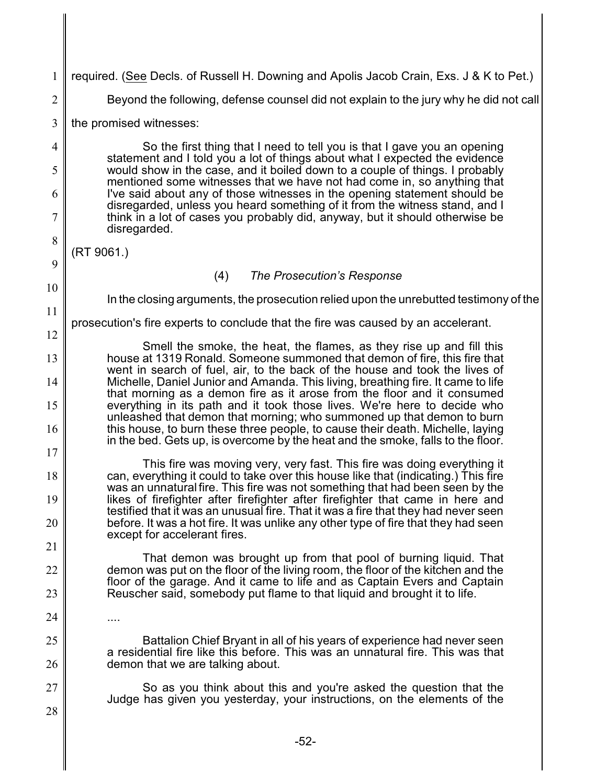| 1              | required. (See Decls. of Russell H. Downing and Apolis Jacob Crain, Exs. J & K to Pet.)                                                                                                                                             |
|----------------|-------------------------------------------------------------------------------------------------------------------------------------------------------------------------------------------------------------------------------------|
| $\overline{2}$ | Beyond the following, defense counsel did not explain to the jury why he did not call                                                                                                                                               |
| $\overline{3}$ | the promised witnesses:                                                                                                                                                                                                             |
| $\overline{4}$ | So the first thing that I need to tell you is that I gave you an opening                                                                                                                                                            |
| 5              | statement and I told you a lot of things about what I expected the evidence<br>would show in the case, and it boiled down to a couple of things. I probably                                                                         |
| 6              | mentioned some witnesses that we have not had come in, so anything that<br>I've said about any of those witnesses in the opening statement should be<br>disregarded, unless you heard something of it from the witness stand, and I |
| 7              | think in a lot of cases you probably did, anyway, but it should otherwise be<br>disregarded.                                                                                                                                        |
| 8              | (RT 9061.)                                                                                                                                                                                                                          |
| 9              | (4)<br>The Prosecution's Response                                                                                                                                                                                                   |
| 10             | In the closing arguments, the prosecution relied upon the unrebutted testimony of the                                                                                                                                               |
| 11             | prosecution's fire experts to conclude that the fire was caused by an accelerant.                                                                                                                                                   |
| 12             | Smell the smoke, the heat, the flames, as they rise up and fill this                                                                                                                                                                |
| 13             | house at 1319 Ronald. Someone summoned that demon of fire, this fire that<br>went in search of fuel, air, to the back of the house and took the lives of                                                                            |
| 14             | Michelle, Daniel Junior and Amanda. This living, breathing fire. It came to life<br>that morning as a demon fire as it arose from the floor and it consumed                                                                         |
| 15<br>16       | everything in its path and it took those lives. We're here to decide who<br>unleashed that demon that morning; who summoned up that demon to burn<br>this house, to burn these three people, to cause their death. Michelle, laying |
| 17             | in the bed. Gets up, is overcome by the heat and the smoke, falls to the floor.                                                                                                                                                     |
|                | This fire was moving very, very fast. This fire was doing everything it                                                                                                                                                             |
| 18             | can, everything it could to take over this house like that (indicating.) This fire<br>was an unnatural fire. This fire was not something that had been seen by the                                                                  |
| 19             | likes of firefighter after firefighter after firefighter that came in here and<br>testified that it was an unusual fire. That it was a fire that they had never seen                                                                |
| 20             | before. It was a hot fire. It was unlike any other type of fire that they had seen<br>except for accelerant fires.                                                                                                                  |
| 21             | That demon was brought up from that pool of burning liquid. That                                                                                                                                                                    |
| 22             | demon was put on the floor of the living room, the floor of the kitchen and the<br>floor of the garage. And it came to life and as Captain Evers and Captain                                                                        |
| 23             | Reuscher said, somebody put flame to that liquid and brought it to life.                                                                                                                                                            |
| 24             |                                                                                                                                                                                                                                     |
| 25<br>26       | Battalion Chief Bryant in all of his years of experience had never seen<br>a residential fire like this before. This was an unnatural fire. This was that<br>demon that we are talking about.                                       |
| 27             | So as you think about this and you're asked the question that the                                                                                                                                                                   |
| 28             | Judge has given you yesterday, your instructions, on the elements of the                                                                                                                                                            |
|                |                                                                                                                                                                                                                                     |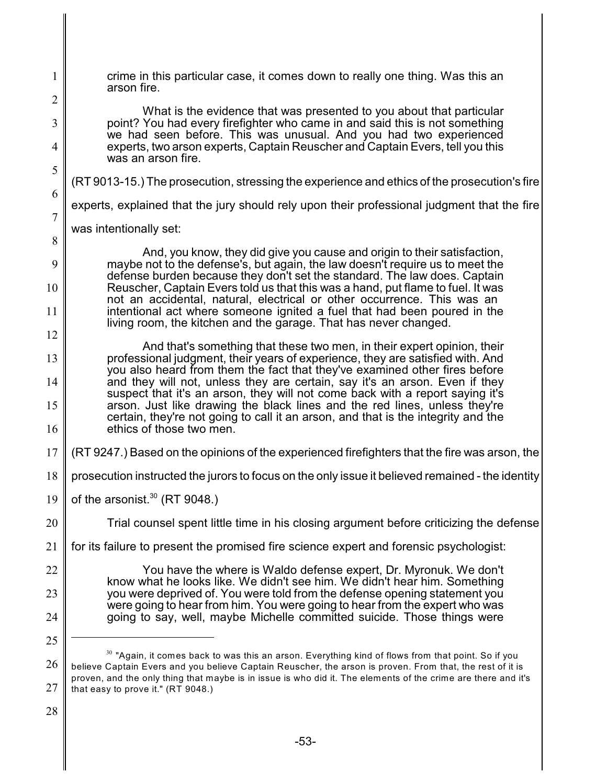1 2 3 4 5 6 7 8  $\mathbf Q$ 10 11 12 13 14 15 16 17 18 19 20 21 22 23 24 25 26 27 28 crime in this particular case, it comes down to really one thing. Was this an arson fire. What is the evidence that was presented to you about that particular point? You had every firefighter who came in and said this is not something we had seen before. This was unusual. And you had two experienced experts, two arson experts, Captain Reuscher and Captain Evers, tell you this was an arson fire. (RT 9013-15.) The prosecution, stressing the experience and ethics of the prosecution's fire experts, explained that the jury should rely upon their professional judgment that the fire was intentionally set: And, you know, they did give you cause and origin to their satisfaction, maybe not to the defense's, but again, the law doesn't require us to meet the defense burden because they don't set the standard. The law does. Captain Reuscher, Captain Evers told us that this was a hand, put flame to fuel. It was not an accidental, natural, electrical or other occurrence. This was an intentional act where someone ignited a fuel that had been poured in the living room, the kitchen and the garage. That has never changed. And that's something that these two men, in their expert opinion, their professional judgment, their years of experience, they are satisfied with. And you also heard from them the fact that they've examined other fires before and they will not, unless they are certain, say it's an arson. Even if they suspect that it's an arson, they will not come back with a report saying it's arson. Just like drawing the black lines and the red lines, unless they're certain, they're not going to call it an arson, and that is the integrity and the ethics of those two men. (RT 9247.) Based on the opinions of the experienced firefighters that the fire was arson, the prosecution instructed the jurors to focus on the only issue it believed remained - the identity of the arsonist. $30$  (RT 9048.) Trial counsel spent little time in his closing argument before criticizing the defense for its failure to present the promised fire science expert and forensic psychologist: You have the where is Waldo defense expert, Dr. Myronuk. We don't know what he looks like. We didn't see him. We didn't hear him. Something you were deprived of. You were told from the defense opening statement you were going to hear from him. You were going to hear from the expert who was going to say, well, maybe Michelle committed suicide. Those things were  $^{\rm 30}$  "Again, it comes back to was this an arson. Everything kind of flows from that point. So if you believe Captain Evers and you believe Captain Reuscher, the arson is proven. From that, the rest of it is proven, and the only thing that maybe is in issue is who did it. The elements of the crime are there and it's that easy to prove it." (RT 9048.)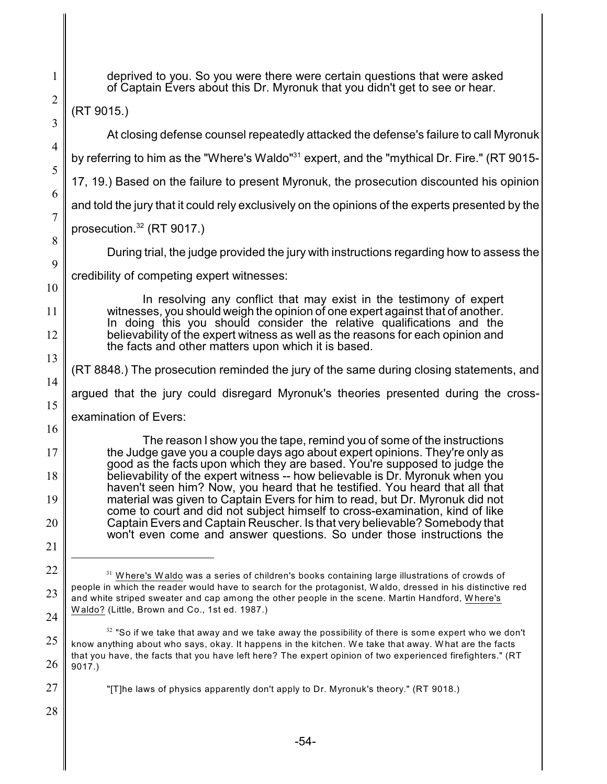(RT 9015.) At closing defense counsel repeatedly attacked the defense's failure to call Myronuk by referring to him as the "Where's Waldo" $31$  expert, and the "mythical Dr. Fire." (RT 9015-17, 19.) Based on the failure to present Myronuk, the prosecution discounted his opinion and told the jury that it could rely exclusively on the opinions of the experts presented by the prosecution. $32$  (RT 9017.) During trial, the judge provided the jury with instructions regarding how to assess the credibility of competing expert witnesses: In resolving any conflict that may exist in the testimony of expert witnesses, you should weigh the opinion of one expert against that of another. In doing this you should consider the relative qualifications and the believability of the expert witness as well as the reasons for each opinion and the facts and other matters upon which it is based. (RT 8848.) The prosecution reminded the jury of the same during closing statements, and argued that the jury could disregard Myronuk's theories presented during the crossexamination of Evers: The reason I show you the tape, remind you of some of the instructions the Judge gave you a couple days ago about expert opinions. They're only as good as the facts upon which they are based. You're supposed to judge the believability of the expert witness -- how believable is Dr. Myronuk when you haven't seen him? Now, you heard that he testified. You heard that all that material was given to Captain Evers for him to read, but Dr. Myronuk did not come to court and did not subject himself to cross-examination, kind of like Captain Evers and Captain Reuscher. Is that very believable? Somebody that won't even come and answer questions. So under those instructions the  $^{\text{31}}$  Where's Waldo was a series of children's books containing large illustrations of crowds of people in which the reader would have to search for the protagonist, W aldo, dressed in his distinctive red and white striped sweater and cap among the other people in the scene. Martin Handford, W here's W aldo? (Little, Brown and Co., 1st ed. 1987.)  $^{\text{32}}$  "So if we take that away and we take away the possibility of there is some expert who we don't know anything about who says, okay. It happens in the kitchen. W e take that away. W hat are the facts that you have, the facts that you have left here? The expert opinion of two experienced firefighters." (RT 9017.) "[T]he laws of physics apparently don't apply to Dr. Myronuk's theory." (RT 9018.)

deprived to you. So you were there were certain questions that were asked of Captain Evers about this Dr. Myronuk that you didn't get to see or hear.

1

2

3

4

5

6

7

8

9

10

11

12

13

14

15

16

17

18

19

20

21

22

23

24

25

26

27

28

-54-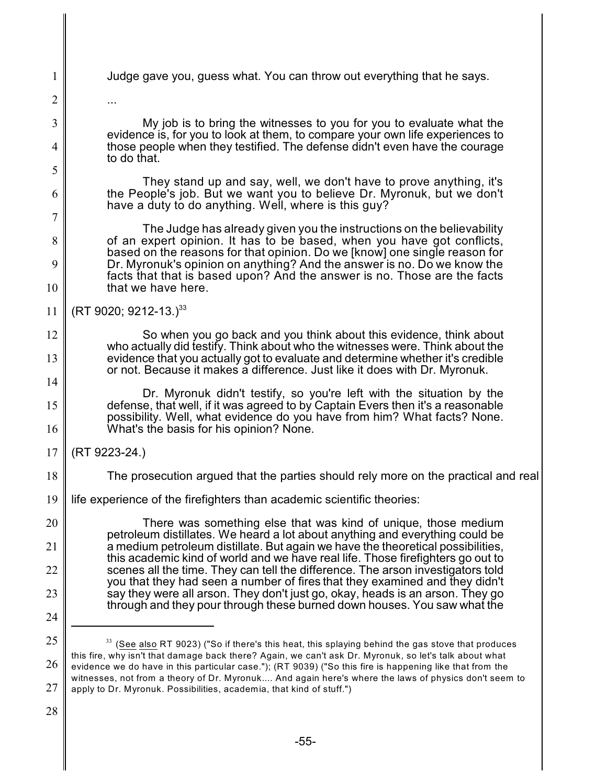- Judge gave you, guess what. You can throw out everything that he says.
- 2

...

1

3

4

5

6

7

8

9

10

12

13

14

My job is to bring the witnesses to you for you to evaluate what the evidence is, for you to look at them, to compare your own life experiences to those people when they testified. The defense didn't even have the courage to do that.

They stand up and say, well, we don't have to prove anything, it's the People's job. But we want you to believe Dr. Myronuk, but we don't have a duty to do anything. Well, where is this guy?

The Judge has already given you the instructions on the believability of an expert opinion. It has to be based, when you have got conflicts, based on the reasons for that opinion. Do we [know] one single reason for Dr. Myronuk's opinion on anything? And the answer is no. Do we know the facts that that is based upon? And the answer is no. Those are the facts that we have here.

11 (RT 9020; 9212-13.)<sup>33</sup>

> So when you go back and you think about this evidence, think about who actually did testify. Think about who the witnesses were. Think about the evidence that you actually got to evaluate and determine whether it's credible or not. Because it makes a difference. Just like it does with Dr. Myronuk.

15 16 Dr. Myronuk didn't testify, so you're left with the situation by the defense, that well, if it was agreed to by Captain Evers then it's a reasonable possibility. Well, what evidence do you have from him? What facts? None. What's the basis for his opinion? None.

- 17 (RT 9223-24.)
- 18 The prosecution argued that the parties should rely more on the practical and real
- 19 life experience of the firefighters than academic scientific theories:

20 21 22 23 24 There was something else that was kind of unique, those medium petroleum distillates. We heard a lot about anything and everything could be a medium petroleum distillate. But again we have the theoretical possibilities, this academic kind of world and we have real life. Those firefighters go out to scenes all the time. They can tell the difference. The arson investigators told you that they had seen a number of fires that they examined and they didn't say they were all arson. They don't just go, okay, heads is an arson. They go through and they pour through these burned down houses. You saw what the

<sup>25</sup> 26 27  $^{33}$  (See also RT 9023) ("So if there's this heat, this splaying behind the gas stove that produces this fire, why isn't that damage back there? Again, we can't ask Dr. Myronuk, so let's talk about what evidence we do have in this particular case."); (RT 9039) ("So this fire is happening like that from the witnesses, not from a theory of Dr. Myronuk.... And again here's where the laws of physics don't seem to apply to Dr. Myronuk. Possibilities, academia, that kind of stuff.")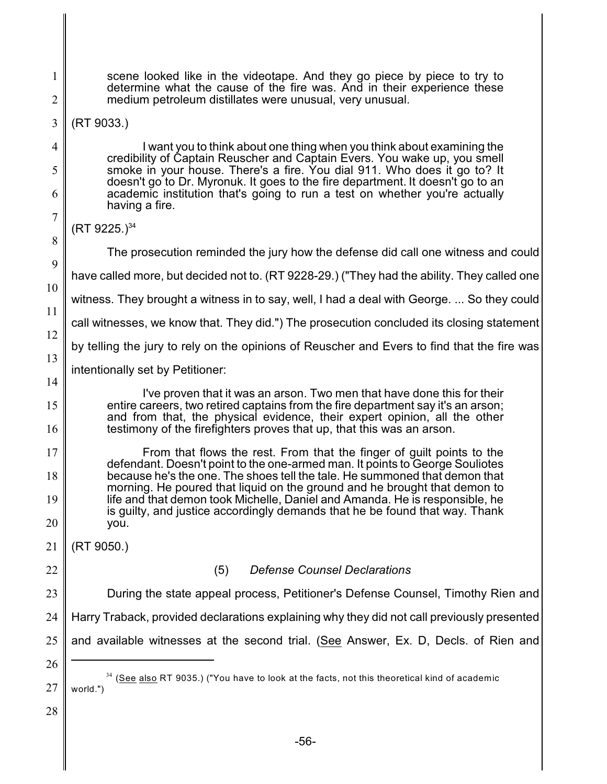8

9

10

11

12

13

14

15

16

1

scene looked like in the videotape. And they go piece by piece to try to determine what the cause of the fire was. And in their experience these medium petroleum distillates were unusual, very unusual.

## (RT 9033.)

I want you to think about one thing when you think about examining the credibility of Captain Reuscher and Captain Evers. You wake up, you smell smoke in your house. There's a fire. You dial 911. Who does it go to? It doesn't go to Dr. Myronuk. It goes to the fire department. It doesn't go to an academic institution that's going to run a test on whether you're actually having a fire.

The prosecution reminded the jury how the defense did call one witness and could

have called more, but decided not to. (RT 9228-29.) ("They had the ability. They called one

witness. They brought a witness in to say, well, I had a deal with George. ... So they could

call witnesses, we know that. They did.") The prosecution concluded its closing statement

by telling the jury to rely on the opinions of Reuscher and Evers to find that the fire was

intentionally set by Petitioner:

I've proven that it was an arson. Two men that have done this for their entire careers, two retired captains from the fire department say it's an arson; and from that, the physical evidence, their expert opinion, all the other testimony of the firefighters proves that up, that this was an arson.

17 18 19 20 From that flows the rest. From that the finger of guilt points to the defendant. Doesn't point to the one-armed man. It points to George Souliotes because he's the one. The shoes tell the tale. He summoned that demon that morning. He poured that liquid on the ground and he brought that demon to life and that demon took Michelle, Daniel and Amanda. He is responsible, he is guilty, and justice accordingly demands that he be found that way. Thank you.

21 (RT 9050.)

22

## (5) *Defense Counsel Declarations*

23 During the state appeal process, Petitioner's Defense Counsel, Timothy Rien and

24 Harry Traback, provided declarations explaining why they did not call previously presented

25 and available witnesses at the second trial. (See Answer, Ex. D, Decls. of Rien and

26

27

 $(RT 9225.)^{34}$ 

 $^{34}$  (<u>See also</u> RT 9035.) ("You have to look at the facts, not this theoretical kind of academic world.")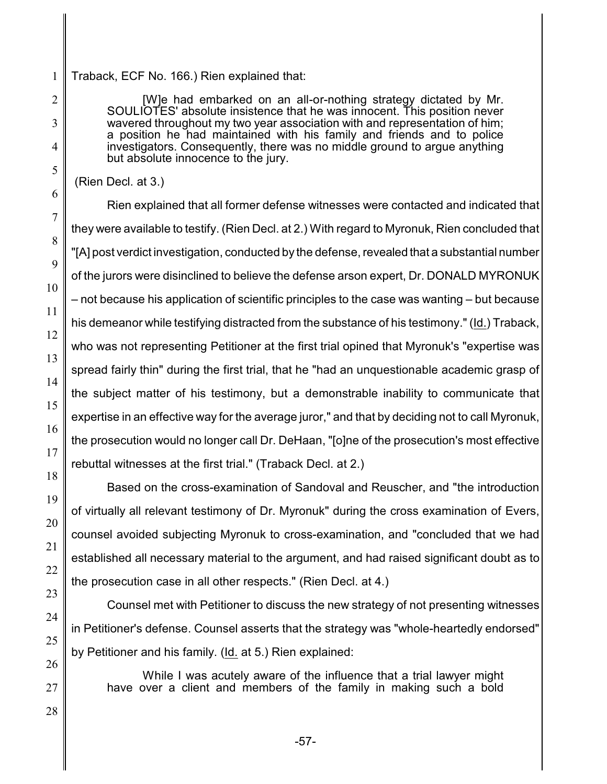1 Traback, ECF No. 166.) Rien explained that:

> [W]e had embarked on an all-or-nothing strategy dictated by Mr. SOULIOTES' absolute insistence that he was innocent. This position never wavered throughout my two year association with and representation of him; a position he had maintained with his family and friends and to police investigators. Consequently, there was no middle ground to argue anything but absolute innocence to the jury.

(Rien Decl. at 3.)

Rien explained that all former defense witnesses were contacted and indicated that they were available to testify. (Rien Decl. at 2.) With regard to Myronuk, Rien concluded that "[A] post verdict investigation, conducted by the defense, revealed that a substantial number of the jurors were disinclined to believe the defense arson expert, Dr. DONALD MYRONUK – not because his application of scientific principles to the case was wanting – but because his demeanor while testifying distracted from the substance of his testimony." (Id.) Traback, who was not representing Petitioner at the first trial opined that Myronuk's "expertise was spread fairly thin" during the first trial, that he "had an unquestionable academic grasp of the subject matter of his testimony, but a demonstrable inability to communicate that expertise in an effective way for the average juror," and that by deciding not to call Myronuk, the prosecution would no longer call Dr. DeHaan, "[o]ne of the prosecution's most effective rebuttal witnesses at the first trial." (Traback Decl. at 2.)

Based on the cross-examination of Sandoval and Reuscher, and "the introduction of virtually all relevant testimony of Dr. Myronuk" during the cross examination of Evers, counsel avoided subjecting Myronuk to cross-examination, and "concluded that we had established all necessary material to the argument, and had raised significant doubt as to the prosecution case in all other respects." (Rien Decl. at 4.)

Counsel met with Petitioner to discuss the new strategy of not presenting witnesses in Petitioner's defense. Counsel asserts that the strategy was "whole-heartedly endorsed" by Petitioner and his family. (Id. at 5.) Rien explained:

While I was acutely aware of the influence that a trial lawyer might have over a client and members of the family in making such a bold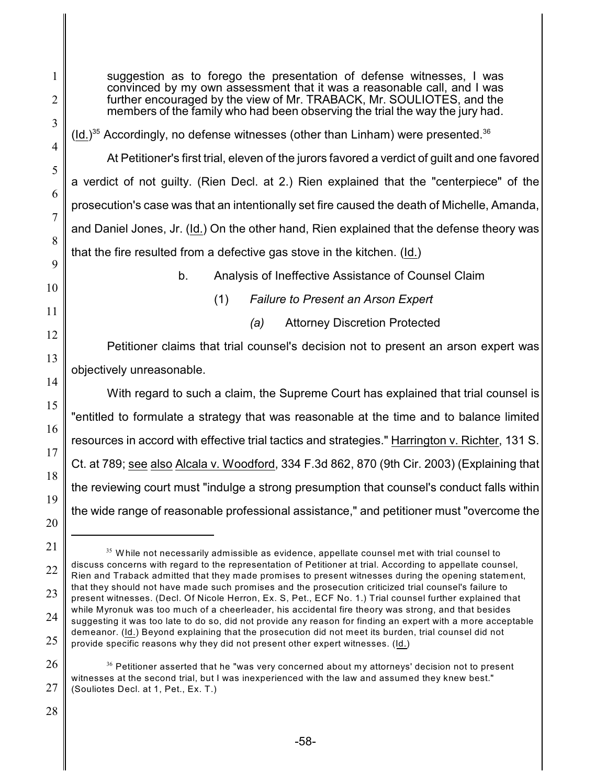suggestion as to forego the presentation of defense witnesses, I was convinced by my own assessment that it was a reasonable call, and I was further encouraged by the view of Mr. TRABACK, Mr. SOULIOTES, and the members of the family who had been observing the trial the way the jury had.  $(ld.)^{35}$  Accordingly, no defense witnesses (other than Linham) were presented.<sup>36</sup> At Petitioner's first trial, eleven of the jurors favored a verdict of guilt and one favored a verdict of not guilty. (Rien Decl. at 2.) Rien explained that the "centerpiece" of the prosecution's case was that an intentionally set fire caused the death of Michelle, Amanda, and Daniel Jones, Jr. (Id.) On the other hand, Rien explained that the defense theory was that the fire resulted from a defective gas stove in the kitchen. (Id.) b. Analysis of Ineffective Assistance of Counsel Claim (1) *Failure to Present an Arson Expert (a)* Attorney Discretion Protected Petitioner claims that trial counsel's decision not to present an arson expert was objectively unreasonable. With regard to such a claim, the Supreme Court has explained that trial counsel is "entitled to formulate a strategy that was reasonable at the time and to balance limited resources in accord with effective trial tactics and strategies." Harrington v. Richter, 131 S. Ct. at 789; see also Alcala v. Woodford, 334 F.3d 862, 870 (9th Cir. 2003) (Explaining that the reviewing court must "indulge a strong presumption that counsel's conduct falls within the wide range of reasonable professional assistance," and petitioner must "overcome the

26 27  $^{\rm 36}$  Petitioner asserted that he "was very concerned about my attorneys' decision not to present witnesses at the second trial, but I was inexperienced with the law and assumed they knew best." (Souliotes Decl. at 1, Pet., Ex. T.)

28

1

2

3

4

5

6

7

8

9

10

11

12

13

14

15

16

17

18

19

20

<sup>22</sup> 23 24 25  $^{\text{35}}$  While not necessarily admissible as evidence, appellate counsel met with trial counsel to discuss concerns with regard to the representation of Petitioner at trial. According to appellate counsel, Rien and Traback admitted that they made promises to present witnesses during the opening statement, that they should not have made such promises and the prosecution criticized trial counsel's failure to present witnesses. (Decl. Of Nicole Herron, Ex. S, Pet., ECF No. 1.) Trial counsel further explained that while Myronuk was too much of a cheerleader, his accidental fire theory was strong, and that besides suggesting it was too late to do so, did not provide any reason for finding an expert with a more acceptable demeanor. (Id.) Beyond explaining that the prosecution did not meet its burden, trial counsel did not provide specific reasons why they did not present other expert witnesses. (Id.)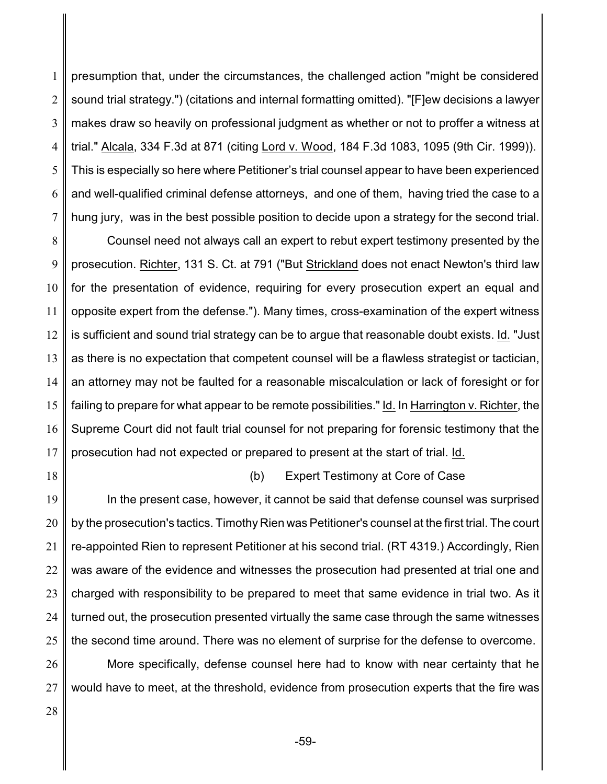1 2 3 4 5 6 7 presumption that, under the circumstances, the challenged action "might be considered sound trial strategy.") (citations and internal formatting omitted). "[F]ew decisions a lawyer makes draw so heavily on professional judgment as whether or not to proffer a witness at trial." Alcala, 334 F.3d at 871 (citing Lord v. Wood, 184 F.3d 1083, 1095 (9th Cir. 1999)). This is especially so here where Petitioner's trial counsel appear to have been experienced and well-qualified criminal defense attorneys, and one of them, having tried the case to a hung jury, was in the best possible position to decide upon a strategy for the second trial.

8 9 10 11 12 13 14 15 16 17 Counsel need not always call an expert to rebut expert testimony presented by the prosecution. Richter, 131 S. Ct. at 791 ("But Strickland does not enact Newton's third law for the presentation of evidence, requiring for every prosecution expert an equal and opposite expert from the defense."). Many times, cross-examination of the expert witness is sufficient and sound trial strategy can be to argue that reasonable doubt exists. Id. "Just as there is no expectation that competent counsel will be a flawless strategist or tactician, an attorney may not be faulted for a reasonable miscalculation or lack of foresight or for failing to prepare for what appear to be remote possibilities." Id. In Harrington v. Richter, the Supreme Court did not fault trial counsel for not preparing for forensic testimony that the prosecution had not expected or prepared to present at the start of trial. Id.

18

#### (b) Expert Testimony at Core of Case

19 20 21 22 23 24 25 In the present case, however, it cannot be said that defense counsel was surprised by the prosecution's tactics. Timothy Rien was Petitioner's counsel at the first trial. The court re-appointed Rien to represent Petitioner at his second trial. (RT 4319.) Accordingly, Rien was aware of the evidence and witnesses the prosecution had presented at trial one and charged with responsibility to be prepared to meet that same evidence in trial two. As it turned out, the prosecution presented virtually the same case through the same witnesses the second time around. There was no element of surprise for the defense to overcome.

26 27 More specifically, defense counsel here had to know with near certainty that he would have to meet, at the threshold, evidence from prosecution experts that the fire was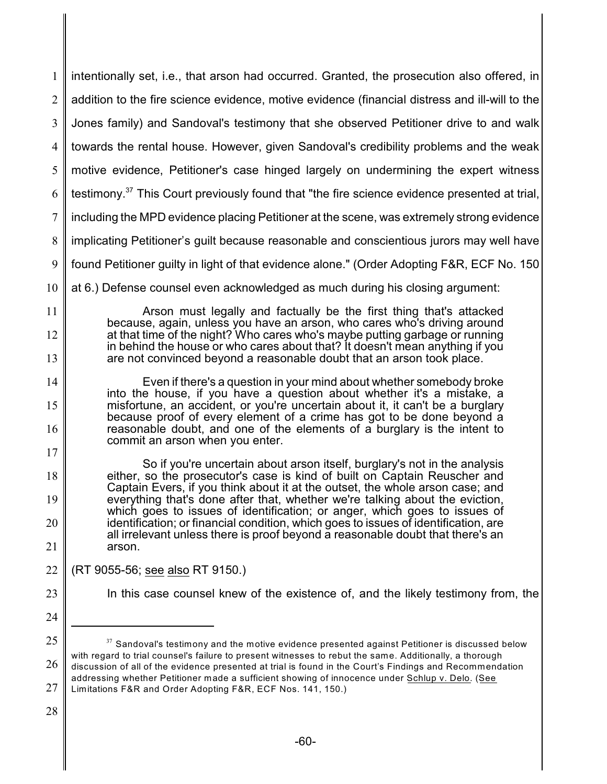1 2 3 4 5 6 7 8 9 10 11 12 13 14 15 16 17 18 19 20 21 22 23 24 25 26 intentionally set, i.e., that arson had occurred. Granted, the prosecution also offered, in addition to the fire science evidence, motive evidence (financial distress and ill-will to the Jones family) and Sandoval's testimony that she observed Petitioner drive to and walk towards the rental house. However, given Sandoval's credibility problems and the weak motive evidence, Petitioner's case hinged largely on undermining the expert witness testimony. $37$  This Court previously found that "the fire science evidence presented at trial, including the MPD evidence placing Petitioner at the scene, was extremely strong evidence implicating Petitioner's guilt because reasonable and conscientious jurors may well have found Petitioner guilty in light of that evidence alone." (Order Adopting F&R, ECF No. 150 at 6.) Defense counsel even acknowledged as much during his closing argument: Arson must legally and factually be the first thing that's attacked because, again, unless you have an arson, who cares who's driving around at that time of the night? Who cares who's maybe putting garbage or running in behind the house or who cares about that? It doesn't mean anything if you are not convinced beyond a reasonable doubt that an arson took place. Even if there's a question in your mind about whether somebody broke into the house, if you have a question about whether it's a mistake, a misfortune, an accident, or you're uncertain about it, it can't be a burglary because proof of every element of a crime has got to be done beyond a reasonable doubt, and one of the elements of a burglary is the intent to commit an arson when you enter. So if you're uncertain about arson itself, burglary's not in the analysis either, so the prosecutor's case is kind of built on Captain Reuscher and Captain Evers, if you think about it at the outset, the whole arson case; and everything that's done after that, whether we're talking about the eviction, which goes to issues of identification; or anger, which goes to issues of identification; or financial condition, which goes to issues of identification, are all irrelevant unless there is proof beyond a reasonable doubt that there's an arson. (RT 9055-56; see also RT 9150.) In this case counsel knew of the existence of, and the likely testimony from, the  $^{\scriptscriptstyle 37}$  Sandoval's testimony and the motive evidence presented against Petitioner is discussed below with regard to trial counsel's failure to present witnesses to rebut the same. Additionally, a thorough discussion of all of the evidence presented at trial is found in the Court's Findings and Recommendation

- 27 addressing whether Petitioner made a sufficient showing of innocence under Schlup v. Delo. (See Limitations F&R and Order Adopting F&R, ECF Nos. 141, 150.)
- 28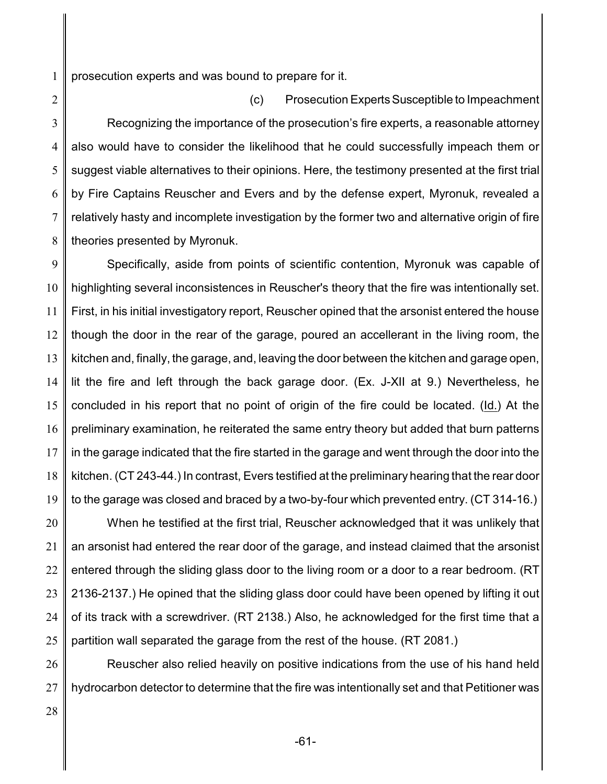1 prosecution experts and was bound to prepare for it.

2 3 4 5 6 7 8 (c) Prosecution ExpertsSusceptible to Impeachment Recognizing the importance of the prosecution's fire experts, a reasonable attorney also would have to consider the likelihood that he could successfully impeach them or suggest viable alternatives to their opinions. Here, the testimony presented at the first trial by Fire Captains Reuscher and Evers and by the defense expert, Myronuk, revealed a relatively hasty and incomplete investigation by the former two and alternative origin of fire theories presented by Myronuk.

9 10 11 12 13 14 15 16 17 18 19 Specifically, aside from points of scientific contention, Myronuk was capable of highlighting several inconsistences in Reuscher's theory that the fire was intentionally set. First, in his initial investigatory report, Reuscher opined that the arsonist entered the house though the door in the rear of the garage, poured an accellerant in the living room, the kitchen and, finally, the garage, and, leaving the door between the kitchen and garage open, lit the fire and left through the back garage door. (Ex. J-XII at 9.) Nevertheless, he concluded in his report that no point of origin of the fire could be located. (Id.) At the preliminary examination, he reiterated the same entry theory but added that burn patterns in the garage indicated that the fire started in the garage and went through the door into the kitchen. (CT 243-44.) In contrast, Evers testified at the preliminary hearing that the rear door to the garage was closed and braced by a two-by-four which prevented entry. (CT 314-16.)

20 21 22 23 24 25 When he testified at the first trial, Reuscher acknowledged that it was unlikely that an arsonist had entered the rear door of the garage, and instead claimed that the arsonist entered through the sliding glass door to the living room or a door to a rear bedroom. (RT 2136-2137.) He opined that the sliding glass door could have been opened by lifting it out of its track with a screwdriver. (RT 2138.) Also, he acknowledged for the first time that a partition wall separated the garage from the rest of the house. (RT 2081.)

26 27 Reuscher also relied heavily on positive indications from the use of his hand held hydrocarbon detector to determine that the fire was intentionally set and that Petitioner was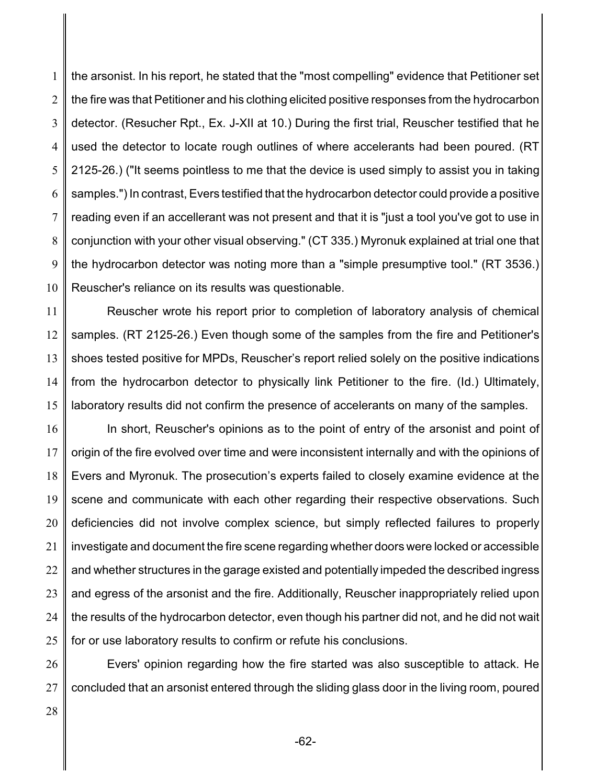1 2 3 4 5 6 7 8 9 10 the arsonist. In his report, he stated that the "most compelling" evidence that Petitioner set the fire was that Petitioner and his clothing elicited positive responses from the hydrocarbon detector. (Resucher Rpt., Ex. J-XII at 10.) During the first trial, Reuscher testified that he used the detector to locate rough outlines of where accelerants had been poured. (RT 2125-26.) ("It seems pointless to me that the device is used simply to assist you in taking samples.") In contrast, Evers testified that the hydrocarbon detector could provide a positive reading even if an accellerant was not present and that it is "just a tool you've got to use in conjunction with your other visual observing." (CT 335.) Myronuk explained at trial one that the hydrocarbon detector was noting more than a "simple presumptive tool." (RT 3536.) Reuscher's reliance on its results was questionable.

11 12 13 14 15 Reuscher wrote his report prior to completion of laboratory analysis of chemical samples. (RT 2125-26.) Even though some of the samples from the fire and Petitioner's shoes tested positive for MPDs, Reuscher's report relied solely on the positive indications from the hydrocarbon detector to physically link Petitioner to the fire. (Id.) Ultimately, laboratory results did not confirm the presence of accelerants on many of the samples.

16 17 18 19 20 21 22 23 24 25 In short, Reuscher's opinions as to the point of entry of the arsonist and point of origin of the fire evolved over time and were inconsistent internally and with the opinions of Evers and Myronuk. The prosecution's experts failed to closely examine evidence at the scene and communicate with each other regarding their respective observations. Such deficiencies did not involve complex science, but simply reflected failures to properly investigate and document the fire scene regarding whether doors were locked or accessible and whether structures in the garage existed and potentially impeded the described ingress and egress of the arsonist and the fire. Additionally, Reuscher inappropriately relied upon the results of the hydrocarbon detector, even though his partner did not, and he did not wait for or use laboratory results to confirm or refute his conclusions.

26 27 Evers' opinion regarding how the fire started was also susceptible to attack. He concluded that an arsonist entered through the sliding glass door in the living room, poured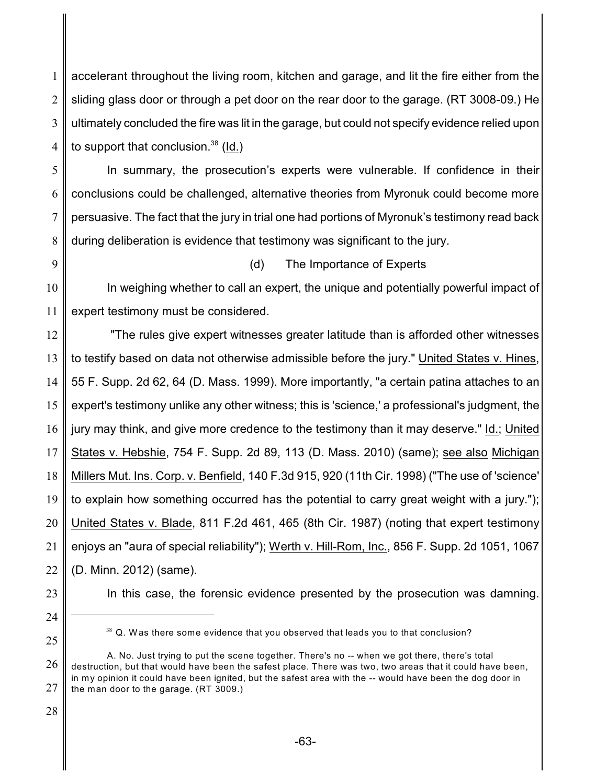1 2 3 4 accelerant throughout the living room, kitchen and garage, and lit the fire either from the sliding glass door or through a pet door on the rear door to the garage. (RT 3008-09.) He ultimately concluded the fire was lit in the garage, but could not specify evidence relied upon to support that conclusion.  $38$  (Id.)

5 6 7 8 In summary, the prosecution's experts were vulnerable. If confidence in their conclusions could be challenged, alternative theories from Myronuk could become more persuasive. The fact that the jury in trial one had portions of Myronuk's testimony read back during deliberation is evidence that testimony was significant to the jury.

9

## (d) The Importance of Experts

10 11 In weighing whether to call an expert, the unique and potentially powerful impact of expert testimony must be considered.

12 13 14 15 16 17 18 19 20 21 22 "The rules give expert witnesses greater latitude than is afforded other witnesses to testify based on data not otherwise admissible before the jury." United States v. Hines, 55 F. Supp. 2d 62, 64 (D. Mass. 1999). More importantly, "a certain patina attaches to an expert's testimony unlike any other witness; this is 'science,' a professional's judgment, the jury may think, and give more credence to the testimony than it may deserve." Id.; United States v. Hebshie, 754 F. Supp. 2d 89, 113 (D. Mass. 2010) (same); see also Michigan Millers Mut. Ins. Corp. v. Benfield, 140 F.3d 915, 920 (11th Cir. 1998) ("The use of 'science' to explain how something occurred has the potential to carry great weight with a jury."); United States v. Blade, 811 F.2d 461, 465 (8th Cir. 1987) (noting that expert testimony enjoys an "aura of special reliability"); Werth v. Hill-Rom, Inc., 856 F. Supp. 2d 1051, 1067 (D. Minn. 2012) (same).

- 23
- In this case, the forensic evidence presented by the prosecution was damning.
- 24 25

 $38$  Q. Was there some evidence that you observed that leads you to that conclusion?

<sup>26</sup> 27 A. No. Just trying to put the scene together. There's no -- when we got there, there's total destruction, but that would have been the safest place. There was two, two areas that it could have been, in my opinion it could have been ignited, but the safest area with the -- would have been the dog door in the man door to the garage. (RT 3009.)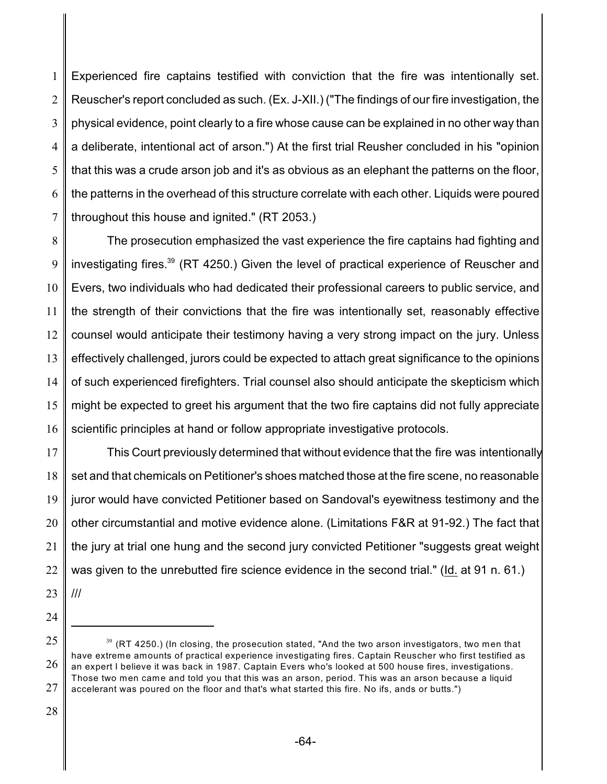1 2 3 4 5 6 7 Experienced fire captains testified with conviction that the fire was intentionally set. Reuscher's report concluded as such. (Ex. J-XII.) ("The findings of our fire investigation, the physical evidence, point clearly to a fire whose cause can be explained in no other way than a deliberate, intentional act of arson.") At the first trial Reusher concluded in his "opinion that this was a crude arson job and it's as obvious as an elephant the patterns on the floor, the patterns in the overhead of this structure correlate with each other. Liquids were poured throughout this house and ignited." (RT 2053.)

8 9 10 11 12 13 14 15 16 The prosecution emphasized the vast experience the fire captains had fighting and investigating fires.<sup>39</sup> (RT 4250.) Given the level of practical experience of Reuscher and Evers, two individuals who had dedicated their professional careers to public service, and the strength of their convictions that the fire was intentionally set, reasonably effective counsel would anticipate their testimony having a very strong impact on the jury. Unless effectively challenged, jurors could be expected to attach great significance to the opinions of such experienced firefighters. Trial counsel also should anticipate the skepticism which might be expected to greet his argument that the two fire captains did not fully appreciate scientific principles at hand or follow appropriate investigative protocols.

17 18 19 20 21 22 This Court previously determined that without evidence that the fire was intentionally set and that chemicals on Petitioner's shoes matched those at the fire scene, no reasonable juror would have convicted Petitioner based on Sandoval's eyewitness testimony and the other circumstantial and motive evidence alone. (Limitations F&R at 91-92.) The fact that the jury at trial one hung and the second jury convicted Petitioner "suggests great weight was given to the unrebutted fire science evidence in the second trial." (Id. at 91 n. 61.)

- 23 ///
- 24

<sup>25</sup> 26 27  $^{\rm 39}$  (RT 4250.) (In closing, the prosecution stated, "And the two arson investigators, two men that have extreme amounts of practical experience investigating fires. Captain Reuscher who first testified as an expert I believe it was back in 1987. Captain Evers who's looked at 500 house fires, investigations. Those two men came and told you that this was an arson, period. This was an arson because a liquid accelerant was poured on the floor and that's what started this fire. No ifs, ands or butts.")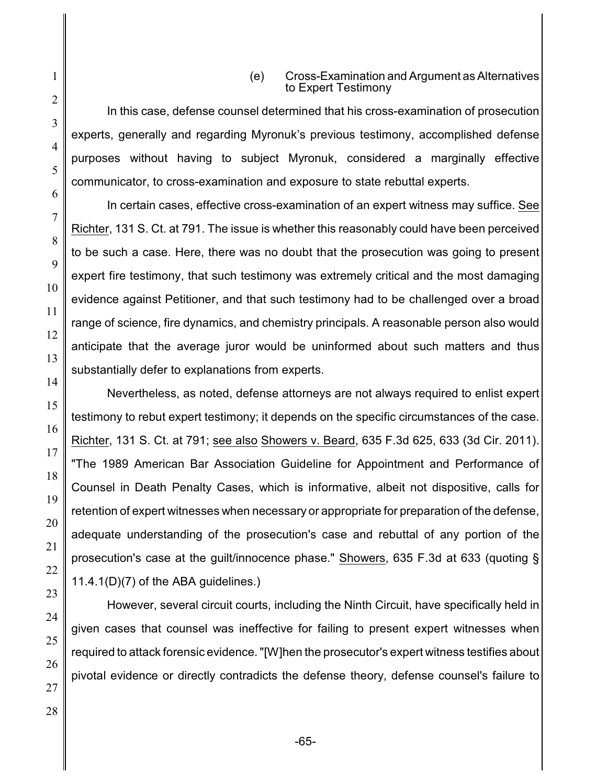#### (e) Cross-Examination and Argument as Alternatives to Expert Testimony

In this case, defense counsel determined that his cross-examination of prosecution experts, generally and regarding Myronuk's previous testimony, accomplished defense purposes without having to subject Myronuk, considered a marginally effective communicator, to cross-examination and exposure to state rebuttal experts.

In certain cases, effective cross-examination of an expert witness may suffice. See Richter, 131 S. Ct. at 791. The issue is whether this reasonably could have been perceived to be such a case. Here, there was no doubt that the prosecution was going to present expert fire testimony, that such testimony was extremely critical and the most damaging evidence against Petitioner, and that such testimony had to be challenged over a broad range of science, fire dynamics, and chemistry principals. A reasonable person also would anticipate that the average juror would be uninformed about such matters and thus substantially defer to explanations from experts.

Nevertheless, as noted, defense attorneys are not always required to enlist expert testimony to rebut expert testimony; it depends on the specific circumstances of the case. Richter, 131 S. Ct. at 791; see also Showers v. Beard, 635 F.3d 625, 633 (3d Cir. 2011). "The 1989 American Bar Association Guideline for Appointment and Performance of Counsel in Death Penalty Cases, which is informative, albeit not dispositive, calls for retention of expert witnesses when necessary or appropriate for preparation of the defense, adequate understanding of the prosecution's case and rebuttal of any portion of the prosecution's case at the guilt/innocence phase." Showers, 635 F.3d at 633 (quoting § 11.4.1(D)(7) of the ABA guidelines.)

However, several circuit courts, including the Ninth Circuit, have specifically held in given cases that counsel was ineffective for failing to present expert witnesses when required to attack forensic evidence."[W]hen the prosecutor's expert witness testifies about pivotal evidence or directly contradicts the defense theory, defense counsel's failure to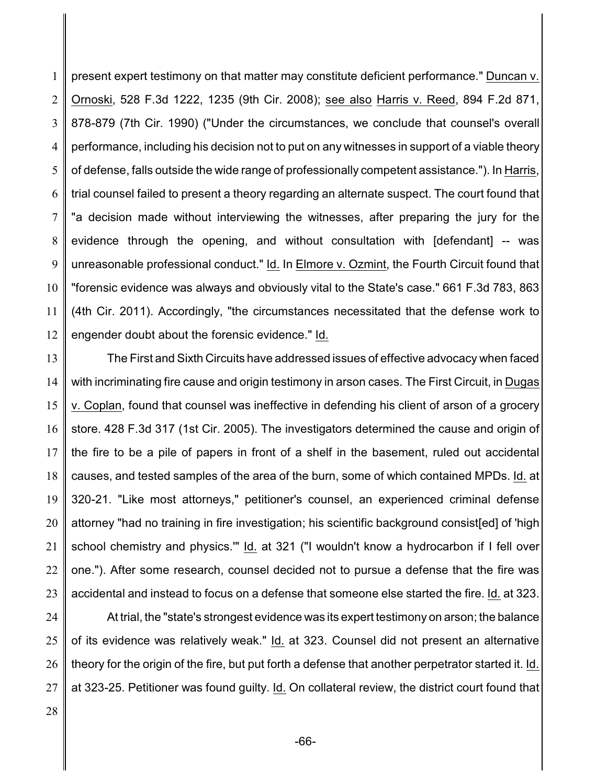1 2 3 4 5 6 7 8 9 10 11 12 present expert testimony on that matter may constitute deficient performance." Duncan v. Ornoski, 528 F.3d 1222, 1235 (9th Cir. 2008); see also Harris v. Reed, 894 F.2d 871, 878-879 (7th Cir. 1990) ("Under the circumstances, we conclude that counsel's overall performance, including his decision not to put on any witnesses in support of a viable theory of defense, falls outside the wide range of professionally competent assistance."). In Harris, trial counsel failed to present a theory regarding an alternate suspect. The court found that "a decision made without interviewing the witnesses, after preparing the jury for the evidence through the opening, and without consultation with [defendant] -- was unreasonable professional conduct." Id. In Elmore v. Ozmint, the Fourth Circuit found that "forensic evidence was always and obviously vital to the State's case." 661 F.3d 783, 863 (4th Cir. 2011). Accordingly, "the circumstances necessitated that the defense work to engender doubt about the forensic evidence." Id.

13 14 15 16 17 18 19 20 21 22 23 The First and Sixth Circuits have addressed issues of effective advocacy when faced with incriminating fire cause and origin testimony in arson cases. The First Circuit, in Dugas v. Coplan, found that counsel was ineffective in defending his client of arson of a grocery store. 428 F.3d 317 (1st Cir. 2005). The investigators determined the cause and origin of the fire to be a pile of papers in front of a shelf in the basement, ruled out accidental causes, and tested samples of the area of the burn, some of which contained MPDs. Id. at 320-21. "Like most attorneys," petitioner's counsel, an experienced criminal defense attorney "had no training in fire investigation; his scientific background consist[ed] of 'high school chemistry and physics.'" Id. at 321 ("I wouldn't know a hydrocarbon if I fell over one."). After some research, counsel decided not to pursue a defense that the fire was accidental and instead to focus on a defense that someone else started the fire. Id. at 323.

24 25 26 27 At trial, the "state's strongest evidence was its expert testimony on arson; the balance of its evidence was relatively weak." Id. at 323. Counsel did not present an alternative theory for the origin of the fire, but put forth a defense that another perpetrator started it. Id. at 323-25. Petitioner was found guilty. Id. On collateral review, the district court found that

28

-66-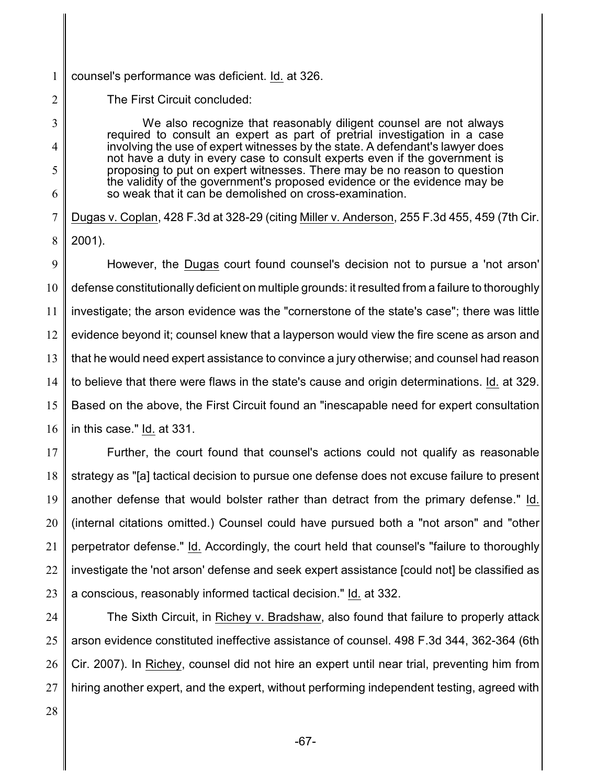1 counsel's performance was deficient. Id. at 326.

The First Circuit concluded:

2

3

4

5

6

We also recognize that reasonably diligent counsel are not always required to consult an expert as part of pretrial investigation in a case involving the use of expert witnesses by the state. A defendant's lawyer does not have a duty in every case to consult experts even if the government is proposing to put on expert witnesses. There may be no reason to question the validity of the government's proposed evidence or the evidence may be so weak that it can be demolished on cross-examination.

7 8 Dugas v. Coplan, 428 F.3d at 328-29 (citing Miller v. Anderson, 255 F.3d 455, 459 (7th Cir. 2001).

9 10 11 12 13 14 15 16 However, the Dugas court found counsel's decision not to pursue a 'not arson' defense constitutionally deficient on multiple grounds: it resulted from a failure to thoroughly investigate; the arson evidence was the "cornerstone of the state's case"; there was little evidence beyond it; counsel knew that a layperson would view the fire scene as arson and that he would need expert assistance to convince a jury otherwise; and counsel had reason to believe that there were flaws in the state's cause and origin determinations. Id. at 329. Based on the above, the First Circuit found an "inescapable need for expert consultation in this case." Id. at 331.

17 18 19 20 21 22 23 Further, the court found that counsel's actions could not qualify as reasonable strategy as "[a] tactical decision to pursue one defense does not excuse failure to present another defense that would bolster rather than detract from the primary defense." Id. (internal citations omitted.) Counsel could have pursued both a "not arson" and "other perpetrator defense." Id. Accordingly, the court held that counsel's "failure to thoroughly investigate the 'not arson' defense and seek expert assistance [could not] be classified as a conscious, reasonably informed tactical decision." Id. at 332.

24 25 26 27 The Sixth Circuit, in Richey v. Bradshaw, also found that failure to properly attack arson evidence constituted ineffective assistance of counsel. 498 F.3d 344, 362-364 (6th Cir. 2007). In Richey, counsel did not hire an expert until near trial, preventing him from hiring another expert, and the expert, without performing independent testing, agreed with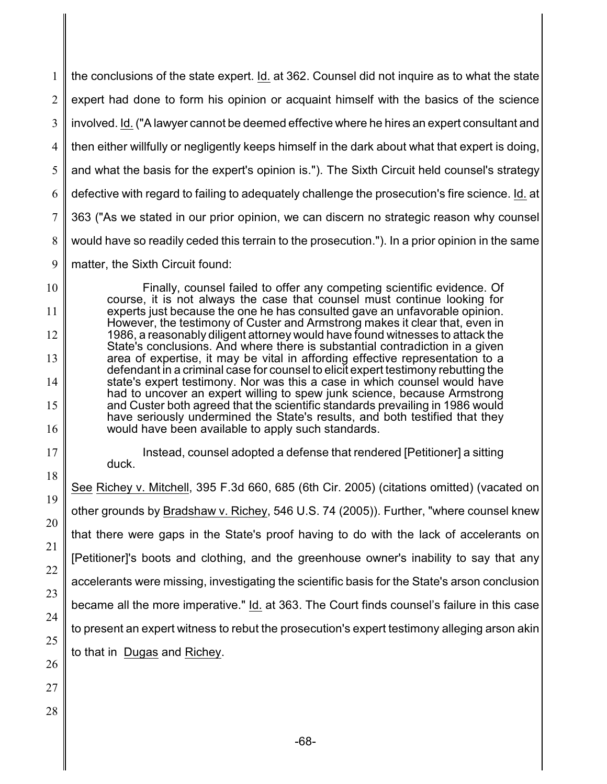1 2 3 4 5 6 7 8 9 the conclusions of the state expert. Id. at 362. Counsel did not inquire as to what the state expert had done to form his opinion or acquaint himself with the basics of the science involved. Id. ("A lawyer cannot be deemed effective where he hires an expert consultant and then either willfully or negligently keeps himself in the dark about what that expert is doing, and what the basis for the expert's opinion is."). The Sixth Circuit held counsel's strategy defective with regard to failing to adequately challenge the prosecution's fire science. Id. at 363 ("As we stated in our prior opinion, we can discern no strategic reason why counsel would have so readily ceded this terrain to the prosecution."). In a prior opinion in the same matter, the Sixth Circuit found:

10 11 12 13 14 15 16 Finally, counsel failed to offer any competing scientific evidence. Of course, it is not always the case that counsel must continue looking for experts just because the one he has consulted gave an unfavorable opinion. However, the testimony of Custer and Armstrong makes it clear that, even in 1986, a reasonably diligent attorney would have found witnesses to attack the State's conclusions. And where there is substantial contradiction in a given area of expertise, it may be vital in affording effective representation to a defendant in a criminal case for counsel to elicit expert testimony rebutting the state's expert testimony. Nor was this a case in which counsel would have had to uncover an expert willing to spew junk science, because Armstrong and Custer both agreed that the scientific standards prevailing in 1986 would have seriously undermined the State's results, and both testified that they would have been available to apply such standards.

17 18

21

23

Instead, counsel adopted a defense that rendered [Petitioner] a sitting duck.

19 20 22 24 25 26 See Richey v. Mitchell, 395 F.3d 660, 685 (6th Cir. 2005) (citations omitted) (vacated on other grounds by Bradshaw v. Richey, 546 U.S. 74 (2005)). Further, "where counsel knew that there were gaps in the State's proof having to do with the lack of accelerants on [Petitioner]'s boots and clothing, and the greenhouse owner's inability to say that any accelerants were missing, investigating the scientific basis for the State's arson conclusion became all the more imperative." Id. at 363. The Court finds counsel's failure in this case to present an expert witness to rebut the prosecution's expert testimony alleging arson akin to that in Dugas and Richey.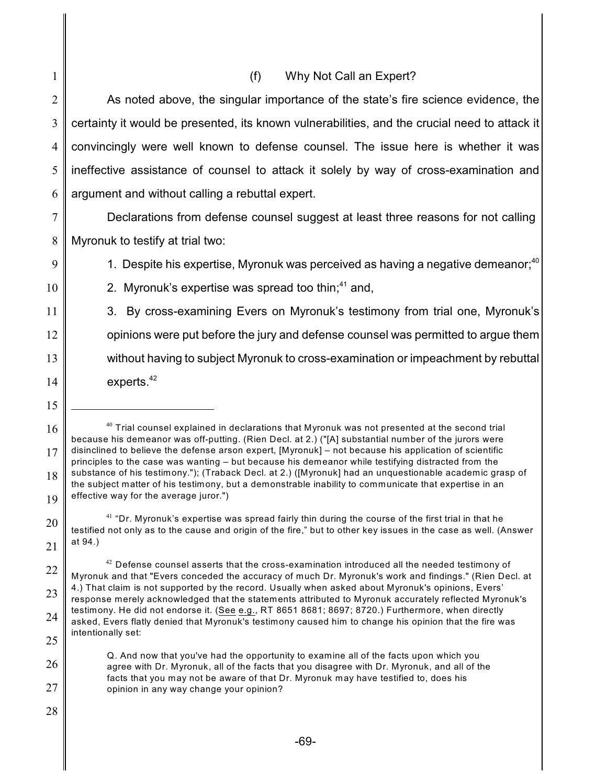|                | (f)<br>Why Not Call an Expert?                                                                                                                                                                          |
|----------------|---------------------------------------------------------------------------------------------------------------------------------------------------------------------------------------------------------|
| $\overline{2}$ | As noted above, the singular importance of the state's fire science evidence, the                                                                                                                       |
| 3              | certainty it would be presented, its known vulnerabilities, and the crucial need to attack it                                                                                                           |
| $\overline{4}$ | convincingly were well known to defense counsel. The issue here is whether it was                                                                                                                       |
| 5              | ineffective assistance of counsel to attack it solely by way of cross-examination and                                                                                                                   |
| 6              | argument and without calling a rebuttal expert.                                                                                                                                                         |
| 7              | Declarations from defense counsel suggest at least three reasons for not calling                                                                                                                        |
| 8              | Myronuk to testify at trial two:                                                                                                                                                                        |
| 9              | 1. Despite his expertise, Myronuk was perceived as having a negative demeanor; <sup>40</sup>                                                                                                            |
| 10             | 2. Myronuk's expertise was spread too thin; <sup>41</sup> and,                                                                                                                                          |
| 11             | 3. By cross-examining Evers on Myronuk's testimony from trial one, Myronuk's                                                                                                                            |
| 12             | opinions were put before the jury and defense counsel was permitted to argue them                                                                                                                       |
| 13             | without having to subject Myronuk to cross-examination or impeachment by rebuttal                                                                                                                       |
| 14             | experts. $42$                                                                                                                                                                                           |
| 15             |                                                                                                                                                                                                         |
| 16             | $40$ Trial counsel explained in declarations that Myronuk was not presented at the second trial<br>because his demeanor was off-putting. (Rien Decl. at 2.) ("[A] substantial number of the jurors were |
| 17             | disinclined to believe the defense arson expert, [Myronuk] - not because his application of scientific                                                                                                  |

<sup>18</sup> 19 principles to the case was wanting – but because his demeanor while testifying distracted from the substance of his testimony."); (Traback Decl. at 2.) ([Myronuk] had an unquestionable academic grasp of the subject matter of his testimony, but a demonstrable inability to communicate that expertise in an effective way for the average juror.")

28

20

 $^{41}$  "Dr. Myronuk's expertise was spread fairly thin during the course of the first trial in that he testified not only as to the cause and origin of the fire," but to other key issues in the case as well. (Answer at 94.)

<sup>22</sup> 23 24 25  $^\mathrm{42}$  Defense counsel asserts that the cross-examination introduced all the needed testimony of Myronuk and that "Evers conceded the accuracy of much Dr. Myronuk's work and findings." (Rien Decl. at 4.) That claim is not supported by the record. Usually when asked about Myronuk's opinions, Evers' response merely acknowledged that the statements attributed to Myronuk accurately reflected Myronuk's testimony. He did not endorse it. (See e.g., RT 8651 8681; 8697; 8720.) Furthermore, when directly asked, Evers flatly denied that Myronuk's testimony caused him to change his opinion that the fire was intentionally set:

<sup>26</sup> 27 Q. And now that you've had the opportunity to examine all of the facts upon which you agree with Dr. Myronuk, all of the facts that you disagree with Dr. Myronuk, and all of the facts that you may not be aware of that Dr. Myronuk may have testified to, does his opinion in any way change your opinion?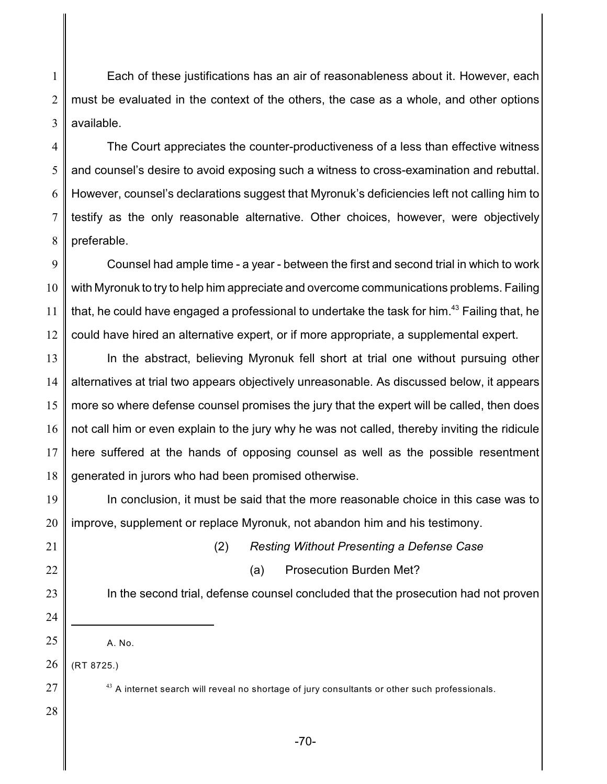1 2 3 Each of these justifications has an air of reasonableness about it. However, each must be evaluated in the context of the others, the case as a whole, and other options available.

4 5 6 7 8 The Court appreciates the counter-productiveness of a less than effective witness and counsel's desire to avoid exposing such a witness to cross-examination and rebuttal. However, counsel's declarations suggest that Myronuk's deficiencies left not calling him to testify as the only reasonable alternative. Other choices, however, were objectively preferable.

9 10 11 12 Counsel had ample time - a year - between the first and second trial in which to work with Myronuk to try to help him appreciate and overcome communications problems. Failing that, he could have engaged a professional to undertake the task for him.<sup>43</sup> Failing that, he could have hired an alternative expert, or if more appropriate, a supplemental expert.

13 14 15 16 17 18 In the abstract, believing Myronuk fell short at trial one without pursuing other alternatives at trial two appears objectively unreasonable. As discussed below, it appears more so where defense counsel promises the jury that the expert will be called, then does not call him or even explain to the jury why he was not called, thereby inviting the ridicule here suffered at the hands of opposing counsel as well as the possible resentment generated in jurors who had been promised otherwise.

19 20 In conclusion, it must be said that the more reasonable choice in this case was to improve, supplement or replace Myronuk, not abandon him and his testimony.

21

- 22
- 23

24

25

- (2) *Resting Without Presenting a Defense Case* (a) Prosecution Burden Met?
- In the second trial, defense counsel concluded that the prosecution had not proven
- A. No.

26 (RT 8725.)

 $^\mathrm{43}$  A internet search will reveal no shortage of jury consultants or other such professionals.

28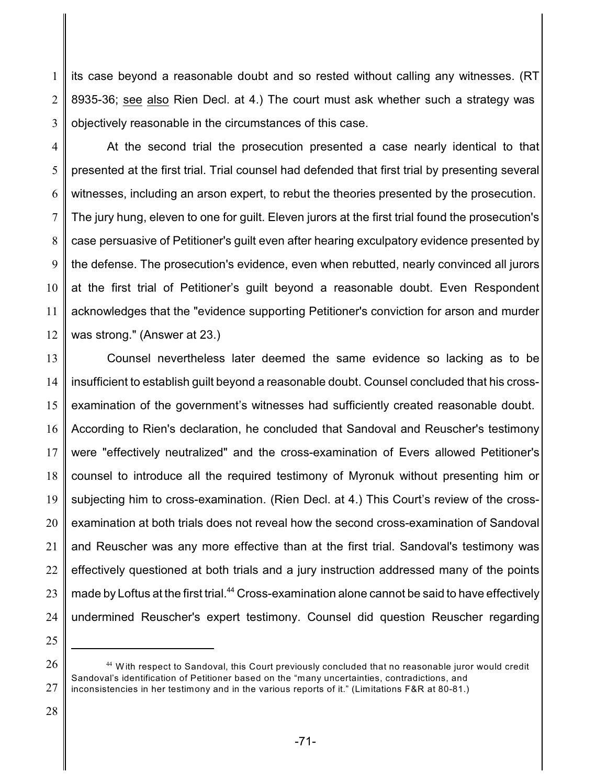1 2 3 its case beyond a reasonable doubt and so rested without calling any witnesses. (RT 8935-36; see also Rien Decl. at 4.) The court must ask whether such a strategy was objectively reasonable in the circumstances of this case.

4 5 6 7 8 9 10 11 12 At the second trial the prosecution presented a case nearly identical to that presented at the first trial. Trial counsel had defended that first trial by presenting several witnesses, including an arson expert, to rebut the theories presented by the prosecution. The jury hung, eleven to one for guilt. Eleven jurors at the first trial found the prosecution's case persuasive of Petitioner's guilt even after hearing exculpatory evidence presented by the defense. The prosecution's evidence, even when rebutted, nearly convinced all jurors at the first trial of Petitioner's guilt beyond a reasonable doubt. Even Respondent acknowledges that the "evidence supporting Petitioner's conviction for arson and murder was strong." (Answer at 23.)

13 14 15 16 17 18 19 20 21 22 23 24 Counsel nevertheless later deemed the same evidence so lacking as to be insufficient to establish guilt beyond a reasonable doubt. Counsel concluded that his crossexamination of the government's witnesses had sufficiently created reasonable doubt. According to Rien's declaration, he concluded that Sandoval and Reuscher's testimony were "effectively neutralized" and the cross-examination of Evers allowed Petitioner's counsel to introduce all the required testimony of Myronuk without presenting him or subjecting him to cross-examination. (Rien Decl. at 4.) This Court's review of the crossexamination at both trials does not reveal how the second cross-examination of Sandoval and Reuscher was any more effective than at the first trial. Sandoval's testimony was effectively questioned at both trials and a jury instruction addressed many of the points made by Loftus at the first trial. $44$  Cross-examination alone cannot be said to have effectively undermined Reuscher's expert testimony. Counsel did question Reuscher regarding

28

<sup>26</sup> 27  $^{44}$  With respect to Sandoval, this Court previously concluded that no reasonable juror would credit Sandoval's identification of Petitioner based on the "many uncertainties, contradictions, and inconsistencies in her testimony and in the various reports of it." (Limitations F&R at 80-81.)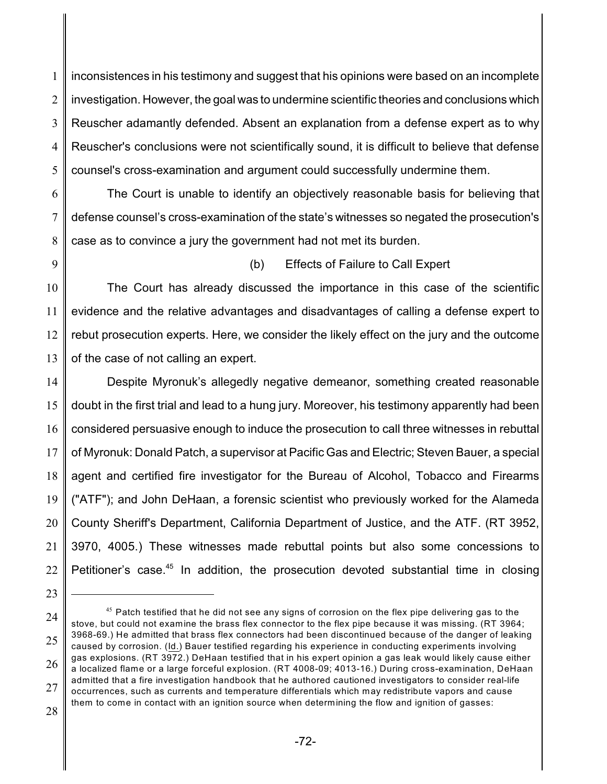1 2 3 4 5 inconsistences in his testimony and suggest that his opinions were based on an incomplete investigation. However, the goal was to undermine scientific theories and conclusions which Reuscher adamantly defended. Absent an explanation from a defense expert as to why Reuscher's conclusions were not scientifically sound, it is difficult to believe that defense counsel's cross-examination and argument could successfully undermine them.

6 7 8 The Court is unable to identify an objectively reasonable basis for believing that defense counsel's cross-examination of the state's witnesses so negated the prosecution's case as to convince a jury the government had not met its burden.

9

### (b) Effects of Failure to Call Expert

10 11 12 13 The Court has already discussed the importance in this case of the scientific evidence and the relative advantages and disadvantages of calling a defense expert to rebut prosecution experts. Here, we consider the likely effect on the jury and the outcome of the case of not calling an expert.

14 15 16 17 18 19 20 21 22 Despite Myronuk's allegedly negative demeanor, something created reasonable doubt in the first trial and lead to a hung jury. Moreover, his testimony apparently had been considered persuasive enough to induce the prosecution to call three witnesses in rebuttal of Myronuk: Donald Patch, a supervisor at Pacific Gas and Electric; Steven Bauer, a special agent and certified fire investigator for the Bureau of Alcohol, Tobacco and Firearms ("ATF"); and John DeHaan, a forensic scientist who previously worked for the Alameda County Sheriff's Department, California Department of Justice, and the ATF. (RT 3952, 3970, 4005.) These witnesses made rebuttal points but also some concessions to Petitioner's case.<sup>45</sup> In addition, the prosecution devoted substantial time in closing

<sup>23</sup>

<sup>24</sup> 25 26 27  $^{45}$  Patch testified that he did not see any signs of corrosion on the flex pipe delivering gas to the stove, but could not examine the brass flex connector to the flex pipe because it was missing. (RT 3964; 3968-69.) He admitted that brass flex connectors had been discontinued because of the danger of leaking caused by corrosion. (Id.) Bauer testified regarding his experience in conducting experiments involving gas explosions. (RT 3972.) DeHaan testified that in his expert opinion a gas leak would likely cause either a localized flame or a large forceful explosion. (RT 4008-09; 4013-16.) During cross-examination, DeHaan admitted that a fire investigation handbook that he authored cautioned investigators to consider real-life occurrences, such as currents and temperature differentials which may redistribute vapors and cause them to come in contact with an ignition source when determining the flow and ignition of gasses: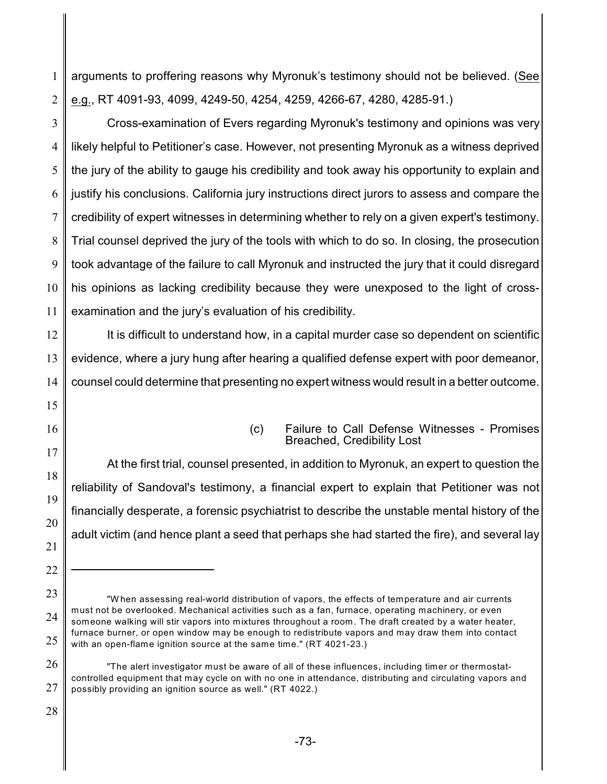1 2 arguments to proffering reasons why Myronuk's testimony should not be believed. (See e.g., RT 4091-93, 4099, 4249-50, 4254, 4259, 4266-67, 4280, 4285-91.)

3 4 5 6 7 8 9 10 11 Cross-examination of Evers regarding Myronuk's testimony and opinions was very likely helpful to Petitioner's case. However, not presenting Myronuk as a witness deprived the jury of the ability to gauge his credibility and took away his opportunity to explain and justify his conclusions. California jury instructions direct jurors to assess and compare the credibility of expert witnesses in determining whether to rely on a given expert's testimony. Trial counsel deprived the jury of the tools with which to do so. In closing, the prosecution took advantage of the failure to call Myronuk and instructed the jury that it could disregard his opinions as lacking credibility because they were unexposed to the light of crossexamination and the jury's evaluation of his credibility.

12 13 14 It is difficult to understand how, in a capital murder case so dependent on scientific evidence, where a jury hung after hearing a qualified defense expert with poor demeanor, counsel could determine that presenting no expert witness would result in a better outcome.

16 17

18

19

20

21

22

15

(c) Failure to Call Defense Witnesses - Promises Breached, Credibility Lost

At the first trial, counsel presented, in addition to Myronuk, an expert to question the reliability of Sandoval's testimony, a financial expert to explain that Petitioner was not financially desperate, a forensic psychiatrist to describe the unstable mental history of the adult victim (and hence plant a seed that perhaps she had started the fire), and several lay

<sup>23</sup> 24 25 "W hen assessing real-world distribution of vapors, the effects of temperature and air currents must not be overlooked. Mechanical activities such as a fan, furnace, operating machinery, or even someone walking will stir vapors into mixtures throughout a room. The draft created by a water heater, furnace burner, or open window may be enough to redistribute vapors and may draw them into contact with an open-flame ignition source at the same time." (RT 4021-23.)

<sup>26</sup> 27 "The alert investigator must be aware of all of these influences, including timer or thermostatcontrolled equipment that may cycle on with no one in attendance, distributing and circulating vapors and possibly providing an ignition source as well." (RT 4022.)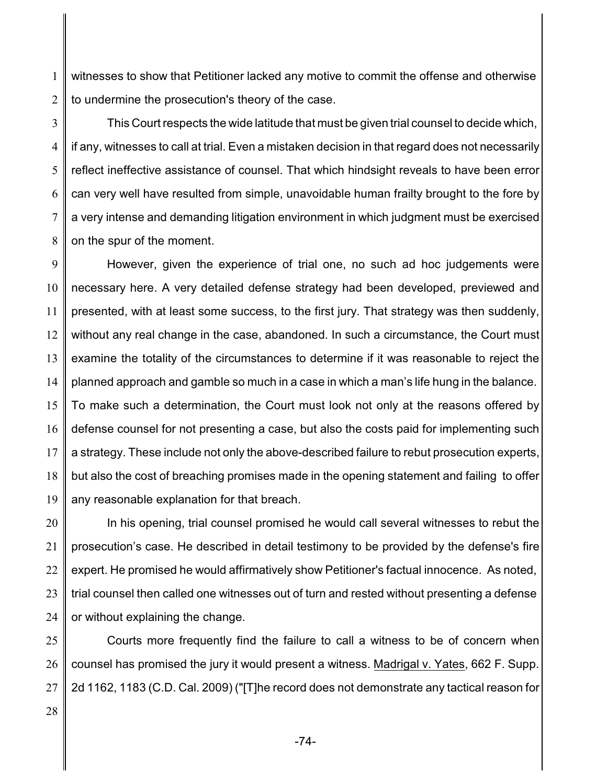1 2 witnesses to show that Petitioner lacked any motive to commit the offense and otherwise to undermine the prosecution's theory of the case.

3 4 5 6 7 8 This Court respects the wide latitude that must be given trial counsel to decide which, if any, witnesses to call at trial. Even a mistaken decision in that regard does not necessarily reflect ineffective assistance of counsel. That which hindsight reveals to have been error can very well have resulted from simple, unavoidable human frailty brought to the fore by a very intense and demanding litigation environment in which judgment must be exercised on the spur of the moment.

9 10 11 12 13 14 15 16 17 18 19 However, given the experience of trial one, no such ad hoc judgements were necessary here. A very detailed defense strategy had been developed, previewed and presented, with at least some success, to the first jury. That strategy was then suddenly, without any real change in the case, abandoned. In such a circumstance, the Court must examine the totality of the circumstances to determine if it was reasonable to reject the planned approach and gamble so much in a case in which a man's life hung in the balance. To make such a determination, the Court must look not only at the reasons offered by defense counsel for not presenting a case, but also the costs paid for implementing such a strategy. These include not only the above-described failure to rebut prosecution experts, but also the cost of breaching promises made in the opening statement and failing to offer any reasonable explanation for that breach.

20 21 22 23 24 In his opening, trial counsel promised he would call several witnesses to rebut the prosecution's case. He described in detail testimony to be provided by the defense's fire expert. He promised he would affirmatively show Petitioner's factual innocence. As noted, trial counsel then called one witnesses out of turn and rested without presenting a defense or without explaining the change.

25 26 27 Courts more frequently find the failure to call a witness to be of concern when counsel has promised the jury it would present a witness. Madrigal v. Yates, 662 F. Supp. 2d 1162, 1183 (C.D. Cal. 2009) ("[T]he record does not demonstrate any tactical reason for

28

-74-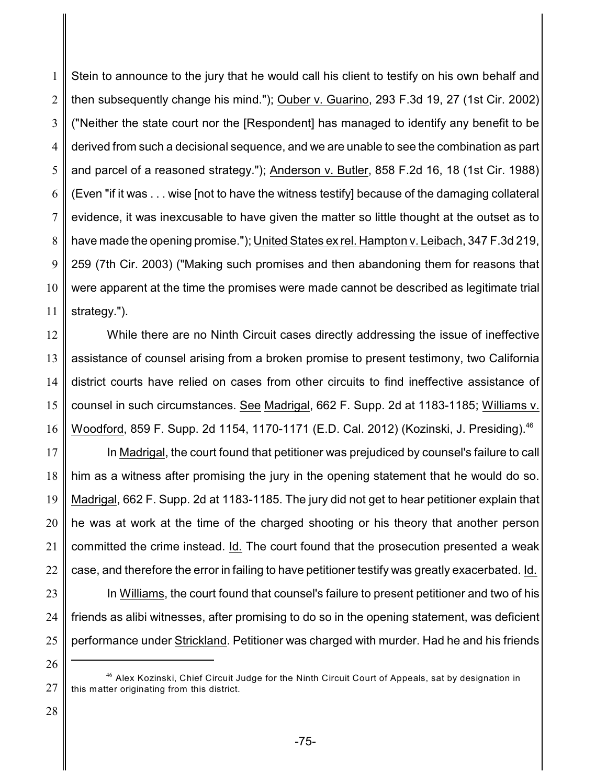1 2 3 4 5 6 7 8 9 10 11 Stein to announce to the jury that he would call his client to testify on his own behalf and then subsequently change his mind."); Ouber v. Guarino, 293 F.3d 19, 27 (1st Cir. 2002) ("Neither the state court nor the [Respondent] has managed to identify any benefit to be derived from such a decisional sequence, and we are unable to see the combination as part and parcel of a reasoned strategy."); Anderson v. Butler, 858 F.2d 16, 18 (1st Cir. 1988) (Even "if it was . . . wise [not to have the witness testify] because of the damaging collateral evidence, it was inexcusable to have given the matter so little thought at the outset as to have made the opening promise."); United States ex rel. Hampton v. Leibach, 347 F.3d 219, 259 (7th Cir. 2003) ("Making such promises and then abandoning them for reasons that were apparent at the time the promises were made cannot be described as legitimate trial strategy.").

12 13 14 15 16 While there are no Ninth Circuit cases directly addressing the issue of ineffective assistance of counsel arising from a broken promise to present testimony, two California district courts have relied on cases from other circuits to find ineffective assistance of counsel in such circumstances. See Madrigal, 662 F. Supp. 2d at 1183-1185; Williams v. Woodford, 859 F. Supp. 2d 1154, 1170-1171 (E.D. Cal. 2012) (Kozinski, J. Presiding).<sup>46</sup>

17 18 19 20 21 22 23 In Madrigal, the court found that petitioner was prejudiced by counsel's failure to call him as a witness after promising the jury in the opening statement that he would do so. Madrigal, 662 F. Supp. 2d at 1183-1185. The jury did not get to hear petitioner explain that he was at work at the time of the charged shooting or his theory that another person committed the crime instead. Id. The court found that the prosecution presented a weak case, and therefore the error in failing to have petitioner testify was greatly exacerbated. Id. In Williams, the court found that counsel's failure to present petitioner and two of his

24 25 friends as alibi witnesses, after promising to do so in the opening statement, was deficient performance under Strickland. Petitioner was charged with murder. Had he and his friends

26

28

 $\rm ^{46}$  Alex Kozinski, Chief Circuit Judge for the Ninth Circuit Court of Appeals, sat by designation in this matter originating from this district.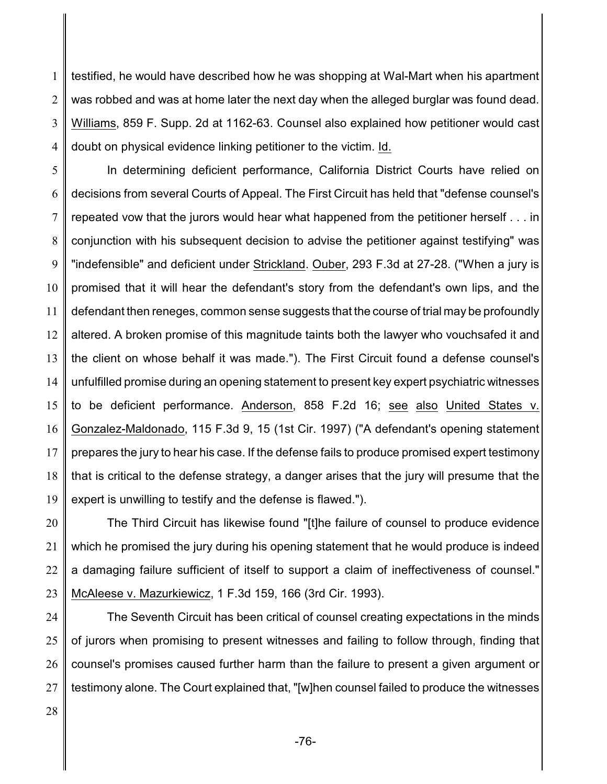1 2 3 4 testified, he would have described how he was shopping at Wal-Mart when his apartment was robbed and was at home later the next day when the alleged burglar was found dead. Williams, 859 F. Supp. 2d at 1162-63. Counsel also explained how petitioner would cast doubt on physical evidence linking petitioner to the victim. Id.

5 6 7 8 9 10 11 12 13 14 15 16 17 18 19 In determining deficient performance, California District Courts have relied on decisions from several Courts of Appeal. The First Circuit has held that "defense counsel's repeated vow that the jurors would hear what happened from the petitioner herself . . . in conjunction with his subsequent decision to advise the petitioner against testifying" was "indefensible" and deficient under Strickland. Ouber, 293 F.3d at 27-28. ("When a jury is promised that it will hear the defendant's story from the defendant's own lips, and the defendant then reneges, common sense suggests that the course of trial may be profoundly altered. A broken promise of this magnitude taints both the lawyer who vouchsafed it and the client on whose behalf it was made."). The First Circuit found a defense counsel's unfulfilled promise during an opening statement to present key expert psychiatric witnesses to be deficient performance. Anderson, 858 F.2d 16; see also United States v. Gonzalez-Maldonado, 115 F.3d 9, 15 (1st Cir. 1997) ("A defendant's opening statement prepares the jury to hear his case. If the defense fails to produce promised expert testimony that is critical to the defense strategy, a danger arises that the jury will presume that the expert is unwilling to testify and the defense is flawed.").

20 21 22 23 The Third Circuit has likewise found "[t]he failure of counsel to produce evidence which he promised the jury during his opening statement that he would produce is indeed a damaging failure sufficient of itself to support a claim of ineffectiveness of counsel." McAleese v. Mazurkiewicz, 1 F.3d 159, 166 (3rd Cir. 1993).

24 25 26 27 The Seventh Circuit has been critical of counsel creating expectations in the minds of jurors when promising to present witnesses and failing to follow through, finding that counsel's promises caused further harm than the failure to present a given argument or testimony alone. The Court explained that, "[w]hen counsel failed to produce the witnesses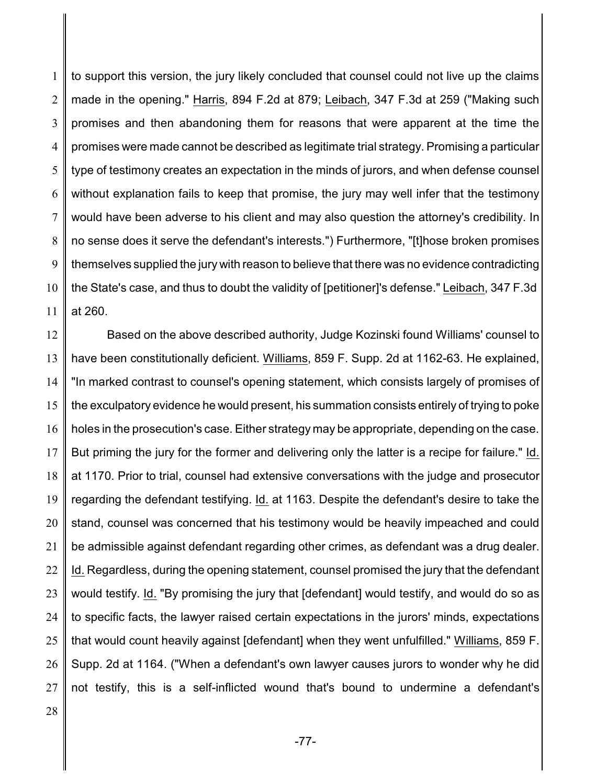1 2 3 4 5 6 7 8 9 10 11 to support this version, the jury likely concluded that counsel could not live up the claims made in the opening." Harris, 894 F.2d at 879; Leibach, 347 F.3d at 259 ("Making such promises and then abandoning them for reasons that were apparent at the time the promises were made cannot be described as legitimate trial strategy. Promising a particular type of testimony creates an expectation in the minds of jurors, and when defense counsel without explanation fails to keep that promise, the jury may well infer that the testimony would have been adverse to his client and may also question the attorney's credibility. In no sense does it serve the defendant's interests.") Furthermore, "[t]hose broken promises themselves supplied the jury with reason to believe that there was no evidence contradicting the State's case, and thus to doubt the validity of [petitioner]'s defense." Leibach, 347 F.3d at 260.

12 13 14 15 16 17 18 19 20 21 22 23 24 25 26 27 Based on the above described authority, Judge Kozinski found Williams' counsel to have been constitutionally deficient. Williams, 859 F. Supp. 2d at 1162-63. He explained, "In marked contrast to counsel's opening statement, which consists largely of promises of the exculpatory evidence he would present, his summation consists entirely of trying to poke holes in the prosecution's case. Either strategy may be appropriate, depending on the case. But priming the jury for the former and delivering only the latter is a recipe for failure." Id. at 1170. Prior to trial, counsel had extensive conversations with the judge and prosecutor regarding the defendant testifying. Id. at 1163. Despite the defendant's desire to take the stand, counsel was concerned that his testimony would be heavily impeached and could be admissible against defendant regarding other crimes, as defendant was a drug dealer. Id. Regardless, during the opening statement, counsel promised the jury that the defendant would testify. Id. "By promising the jury that [defendant] would testify, and would do so as to specific facts, the lawyer raised certain expectations in the jurors' minds, expectations that would count heavily against [defendant] when they went unfulfilled." Williams, 859 F. Supp. 2d at 1164. ("When a defendant's own lawyer causes jurors to wonder why he did not testify, this is a self-inflicted wound that's bound to undermine a defendant's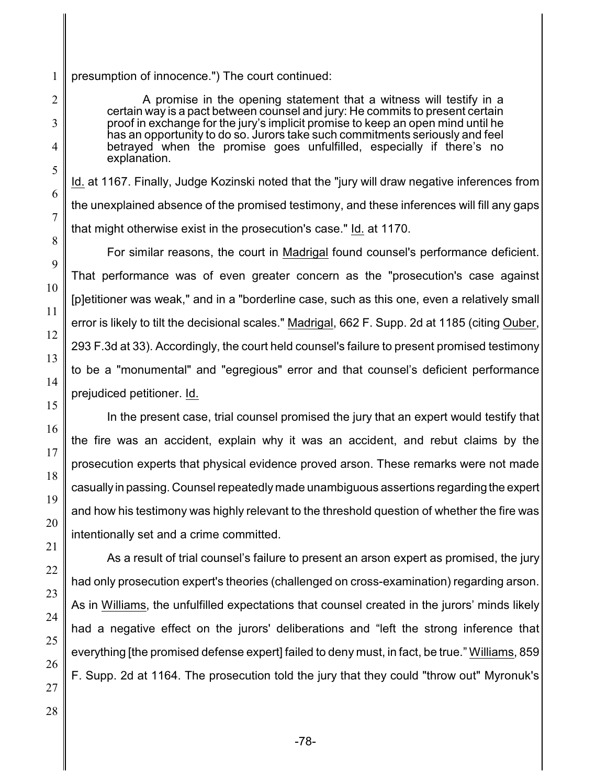#### presumption of innocence.") The court continued:

A promise in the opening statement that a witness will testify in a certain way is a pact between counsel and jury: He commits to present certain proof in exchange for the jury's implicit promise to keep an open mind until he has an opportunity to do so. Jurors take such commitments seriously and feel betrayed when the promise goes unfulfilled, especially if there's no explanation.

Id. at 1167. Finally, Judge Kozinski noted that the "jury will draw negative inferences from the unexplained absence of the promised testimony, and these inferences will fill any gaps that might otherwise exist in the prosecution's case." Id. at 1170.

For similar reasons, the court in Madrigal found counsel's performance deficient. That performance was of even greater concern as the "prosecution's case against [p]etitioner was weak," and in a "borderline case, such as this one, even a relatively small error is likely to tilt the decisional scales." Madrigal, 662 F. Supp. 2d at 1185 (citing Ouber, 293 F.3d at 33). Accordingly, the court held counsel's failure to present promised testimony to be a "monumental" and "egregious" error and that counsel's deficient performance prejudiced petitioner. Id.

In the present case, trial counsel promised the jury that an expert would testify that the fire was an accident, explain why it was an accident, and rebut claims by the prosecution experts that physical evidence proved arson. These remarks were not made casually in passing. Counsel repeatedly made unambiguous assertions regardingthe expert and how his testimony was highly relevant to the threshold question of whether the fire was intentionally set and a crime committed.

As a result of trial counsel's failure to present an arson expert as promised, the jury had only prosecution expert's theories (challenged on cross-examination) regarding arson. As in Williams, the unfulfilled expectations that counsel created in the jurors' minds likely had a negative effect on the jurors' deliberations and "left the strong inference that everything [the promised defense expert] failed to deny must, in fact, be true." Williams, 859 F. Supp. 2d at 1164. The prosecution told the jury that they could "throw out" Myronuk's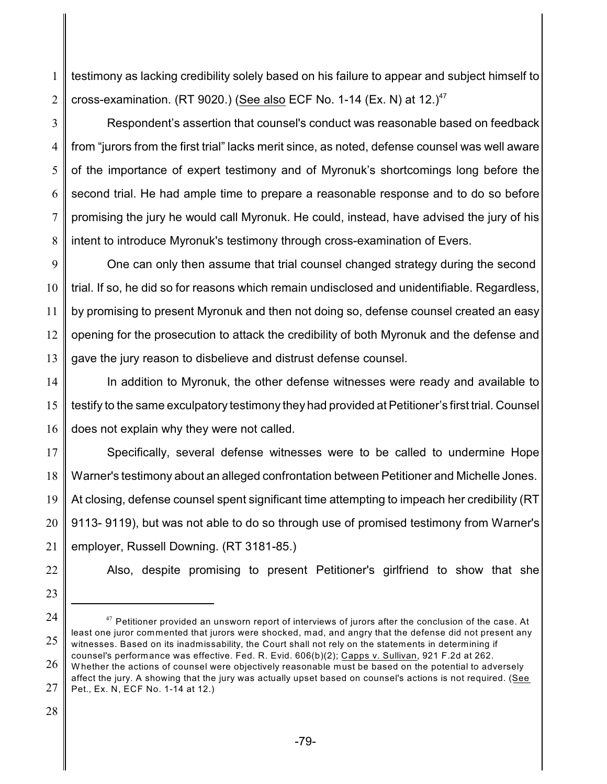1 2 testimony as lacking credibility solely based on his failure to appear and subject himself to cross-examination. (RT 9020.) (See also ECF No. 1-14 (Ex. N) at  $12.14$ <sup>7</sup>

3 4 5 6 7 8 Respondent's assertion that counsel's conduct was reasonable based on feedback from "jurors from the first trial" lacks merit since, as noted, defense counsel was well aware of the importance of expert testimony and of Myronuk's shortcomings long before the second trial. He had ample time to prepare a reasonable response and to do so before promising the jury he would call Myronuk. He could, instead, have advised the jury of his intent to introduce Myronuk's testimony through cross-examination of Evers.

9 10 11 12 13 One can only then assume that trial counsel changed strategy during the second trial. If so, he did so for reasons which remain undisclosed and unidentifiable. Regardless, by promising to present Myronuk and then not doing so, defense counsel created an easy opening for the prosecution to attack the credibility of both Myronuk and the defense and gave the jury reason to disbelieve and distrust defense counsel.

14 15 16 In addition to Myronuk, the other defense witnesses were ready and available to testify to the same exculpatory testimony they had provided at Petitioner's first trial. Counsel does not explain why they were not called.

17 18 19 20 21 Specifically, several defense witnesses were to be called to undermine Hope Warner's testimony about an alleged confrontation between Petitioner and Michelle Jones. At closing, defense counsel spent significant time attempting to impeach her credibility (RT 9113- 9119), but was not able to do so through use of promised testimony from Warner's employer, Russell Downing. (RT 3181-85.)

- 22
- 23

Also, despite promising to present Petitioner's girlfriend to show that she

24

<sup>25</sup>  $^\mathrm{47}$  Petitioner provided an unsworn report of interviews of jurors after the conclusion of the case. At least one juror commented that jurors were shocked, mad, and angry that the defense did not present any witnesses. Based on its inadmissability, the Court shall not rely on the statements in determining if counsel's performance was effective. Fed. R. Evid. 606(b)(2); Capps v. Sullivan, 921 F.2d at 262.

<sup>26</sup> 27 W hether the actions of counsel were objectively reasonable must be based on the potential to adversely affect the jury. A showing that the jury was actually upset based on counsel's actions is not required. (See Pet., Ex. N, ECF No. 1-14 at 12.)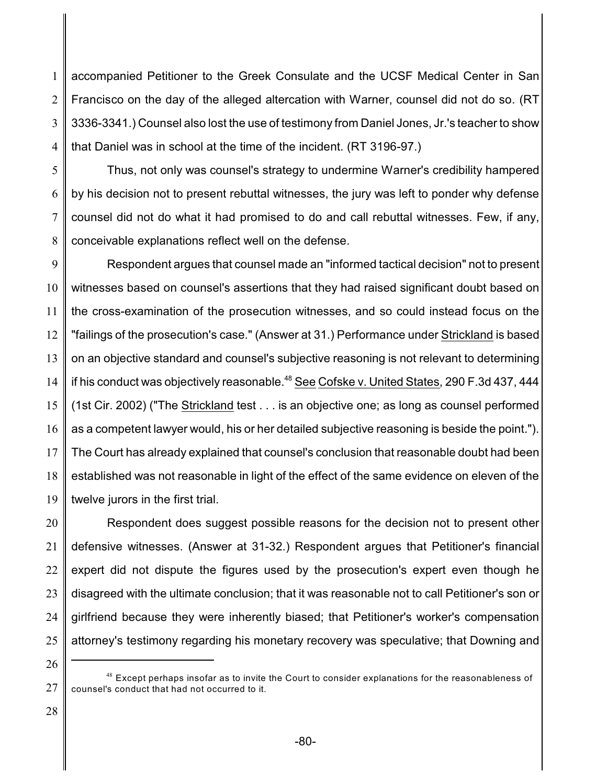1 2 3 4 accompanied Petitioner to the Greek Consulate and the UCSF Medical Center in San Francisco on the day of the alleged altercation with Warner, counsel did not do so. (RT 3336-3341.) Counsel also lost the use of testimony from Daniel Jones, Jr.'s teacher to show that Daniel was in school at the time of the incident. (RT 3196-97.)

5 6

7

8

Thus, not only was counsel's strategy to undermine Warner's credibility hampered by his decision not to present rebuttal witnesses, the jury was left to ponder why defense counsel did not do what it had promised to do and call rebuttal witnesses. Few, if any, conceivable explanations reflect well on the defense.

9 10 11 12 13 14 15 16 17 18 19 Respondent argues that counsel made an "informed tactical decision" not to present witnesses based on counsel's assertions that they had raised significant doubt based on the cross-examination of the prosecution witnesses, and so could instead focus on the "failings of the prosecution's case." (Answer at 31.) Performance under Strickland is based on an objective standard and counsel's subjective reasoning is not relevant to determining if his conduct was objectively reasonable. $48$  See Cofske v. United States, 290 F.3d 437, 444 (1st Cir. 2002) ("The Strickland test . . . is an objective one; as long as counsel performed as a competent lawyer would, his or her detailed subjective reasoning is beside the point."). The Court has already explained that counsel's conclusion that reasonable doubt had been established was not reasonable in light of the effect of the same evidence on eleven of the twelve jurors in the first trial.

20 21 22 23 24 25 Respondent does suggest possible reasons for the decision not to present other defensive witnesses. (Answer at 31-32.) Respondent argues that Petitioner's financial expert did not dispute the figures used by the prosecution's expert even though he disagreed with the ultimate conclusion; that it was reasonable not to call Petitioner's son or girlfriend because they were inherently biased; that Petitioner's worker's compensation attorney's testimony regarding his monetary recovery was speculative; that Downing and

26

<sup>27</sup>  $^{48}$  Except perhaps insofar as to invite the Court to consider explanations for the reasonableness of counsel's conduct that had not occurred to it.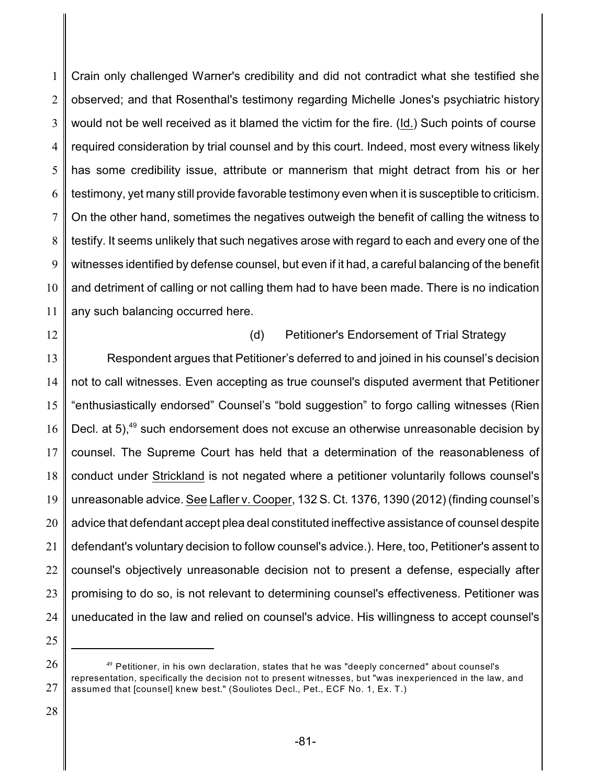1 2 3 4 5 6 7 8 9 10 11 Crain only challenged Warner's credibility and did not contradict what she testified she observed; and that Rosenthal's testimony regarding Michelle Jones's psychiatric history would not be well received as it blamed the victim for the fire. (Id.) Such points of course required consideration by trial counsel and by this court. Indeed, most every witness likely has some credibility issue, attribute or mannerism that might detract from his or her testimony, yet many still provide favorable testimony even when it is susceptible to criticism. On the other hand, sometimes the negatives outweigh the benefit of calling the witness to testify. It seems unlikely that such negatives arose with regard to each and every one of the witnesses identified by defense counsel, but even if it had, a careful balancing of the benefit and detriment of calling or not calling them had to have been made. There is no indication any such balancing occurred here.

12

(d) Petitioner's Endorsement of Trial Strategy

13 14 15 16 17 18 19 20 21 22 23 24 Respondent argues that Petitioner's deferred to and joined in his counsel's decision not to call witnesses. Even accepting as true counsel's disputed averment that Petitioner "enthusiastically endorsed" Counsel's "bold suggestion" to forgo calling witnesses (Rien Decl. at  $5$ <sup>49</sup> such endorsement does not excuse an otherwise unreasonable decision by counsel. The Supreme Court has held that a determination of the reasonableness of conduct under Strickland is not negated where a petitioner voluntarily follows counsel's unreasonable advice. See Lafler v. Cooper, 132 S. Ct. 1376, 1390 (2012) (finding counsel's advice that defendant accept plea deal constituted ineffective assistance of counsel despite defendant's voluntary decision to follow counsel's advice.). Here, too, Petitioner's assent to counsel's objectively unreasonable decision not to present a defense, especially after promising to do so, is not relevant to determining counsel's effectiveness. Petitioner was uneducated in the law and relied on counsel's advice. His willingness to accept counsel's

25

<sup>26</sup> 27  $^\mathrm{49}$  Petitioner, in his own declaration, states that he was "deeply concerned" about counsel's representation, specifically the decision not to present witnesses, but "was inexperienced in the law, and assumed that [counsel] knew best." (Souliotes Decl., Pet., ECF No. 1, Ex. T.)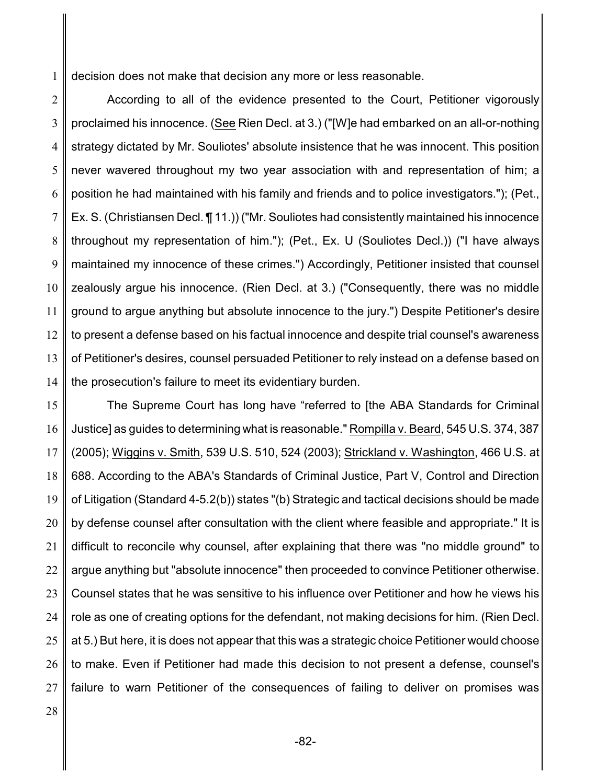1 decision does not make that decision any more or less reasonable.

2 3 4 5 6 7 8 9 10 11 12 13 14 According to all of the evidence presented to the Court, Petitioner vigorously proclaimed his innocence. (See Rien Decl. at 3.) ("[W]e had embarked on an all-or-nothing strategy dictated by Mr. Souliotes' absolute insistence that he was innocent. This position never wavered throughout my two year association with and representation of him; a position he had maintained with his family and friends and to police investigators."); (Pet., Ex. S. (Christiansen Decl. ¶ 11.)) ("Mr. Souliotes had consistently maintained his innocence throughout my representation of him."); (Pet., Ex. U (Souliotes Decl.)) ("I have always maintained my innocence of these crimes.") Accordingly, Petitioner insisted that counsel zealously argue his innocence. (Rien Decl. at 3.) ("Consequently, there was no middle ground to argue anything but absolute innocence to the jury.") Despite Petitioner's desire to present a defense based on his factual innocence and despite trial counsel's awareness of Petitioner's desires, counsel persuaded Petitioner to rely instead on a defense based on the prosecution's failure to meet its evidentiary burden.

15 16 17 18 19 20 21 22 23 24 25 26 27 The Supreme Court has long have "referred to [the ABA Standards for Criminal Justice] as guides to determining what is reasonable." Rompilla v. Beard, 545 U.S. 374, 387 (2005); Wiggins v. Smith, 539 U.S. 510, 524 (2003); Strickland v. Washington, 466 U.S. at 688. According to the ABA's Standards of Criminal Justice, Part V, Control and Direction of Litigation (Standard 4-5.2(b)) states "(b) Strategic and tactical decisions should be made by defense counsel after consultation with the client where feasible and appropriate." It is difficult to reconcile why counsel, after explaining that there was "no middle ground" to argue anything but "absolute innocence" then proceeded to convince Petitioner otherwise. Counsel states that he was sensitive to his influence over Petitioner and how he views his role as one of creating options for the defendant, not making decisions for him. (Rien Decl. at 5.) But here, it is does not appear that this was a strategic choice Petitioner would choose to make. Even if Petitioner had made this decision to not present a defense, counsel's failure to warn Petitioner of the consequences of failing to deliver on promises was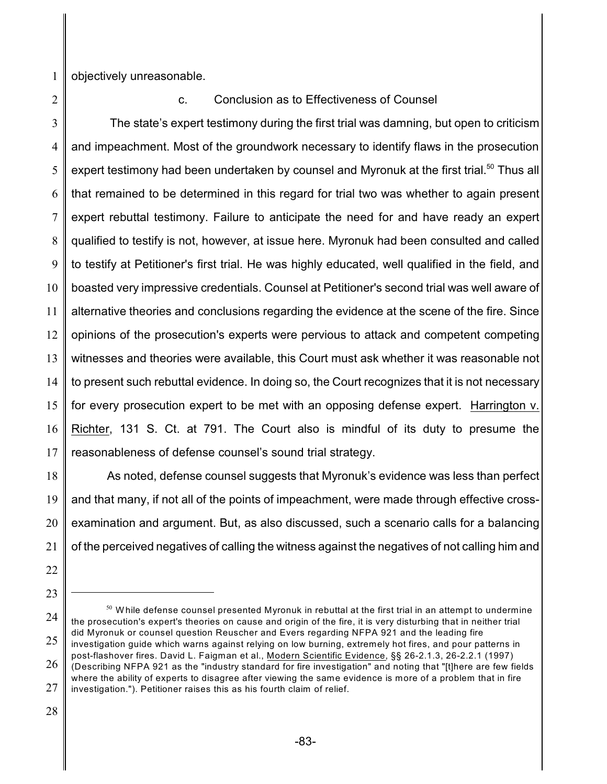1 objectively unreasonable.

2

#### c. Conclusion as to Effectiveness of Counsel

3 4 5 6 7 8 9 10 11 12 13 14 15 16 17 The state's expert testimony during the first trial was damning, but open to criticism and impeachment. Most of the groundwork necessary to identify flaws in the prosecution expert testimony had been undertaken by counsel and Myronuk at the first trial.<sup>50</sup> Thus all that remained to be determined in this regard for trial two was whether to again present expert rebuttal testimony. Failure to anticipate the need for and have ready an expert qualified to testify is not, however, at issue here. Myronuk had been consulted and called to testify at Petitioner's first trial. He was highly educated, well qualified in the field, and boasted very impressive credentials. Counsel at Petitioner's second trial was well aware of alternative theories and conclusions regarding the evidence at the scene of the fire. Since opinions of the prosecution's experts were pervious to attack and competent competing witnesses and theories were available, this Court must ask whether it was reasonable not to present such rebuttal evidence. In doing so, the Court recognizes that it is not necessary for every prosecution expert to be met with an opposing defense expert. Harrington v. Richter, 131 S. Ct. at 791. The Court also is mindful of its duty to presume the reasonableness of defense counsel's sound trial strategy.

18 19 20 21 As noted, defense counsel suggests that Myronuk's evidence was less than perfect and that many, if not all of the points of impeachment, were made through effective crossexamination and argument. But, as also discussed, such a scenario calls for a balancing of the perceived negatives of calling the witness against the negatives of not calling him and

- 22
- 23

<sup>24</sup> 25  $^{\mathfrak{so}}$  While defense counsel presented Myronuk in rebuttal at the first trial in an attempt to undermine the prosecution's expert's theories on cause and origin of the fire, it is very disturbing that in neither trial did Myronuk or counsel question Reuscher and Evers regarding NFPA 921 and the leading fire investigation guide which warns against relying on low burning, extremely hot fires, and pour patterns in post-flashover fires. David L. Faigman et al., Modern Scientific Evidence, §§ 26-2.1.3, 26-2.2.1 (1997)

<sup>26</sup> 27 (Describing NFPA 921 as the "industry standard for fire investigation" and noting that "[t]here are few fields where the ability of experts to disagree after viewing the same evidence is more of a problem that in fire investigation."). Petitioner raises this as his fourth claim of relief.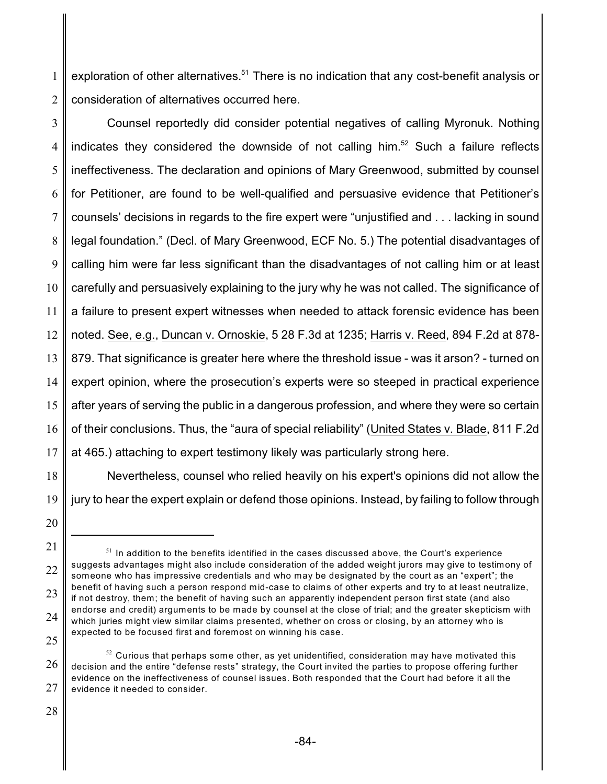1 2 exploration of other alternatives. $51$  There is no indication that any cost-benefit analysis or consideration of alternatives occurred here.

3 4 5 6 7 8 9 10 11 12 13 14 15 16 17 Counsel reportedly did consider potential negatives of calling Myronuk. Nothing indicates they considered the downside of not calling him.<sup>52</sup> Such a failure reflects ineffectiveness. The declaration and opinions of Mary Greenwood, submitted by counsel for Petitioner, are found to be well-qualified and persuasive evidence that Petitioner's counsels' decisions in regards to the fire expert were "unjustified and . . . lacking in sound legal foundation." (Decl. of Mary Greenwood, ECF No. 5.) The potential disadvantages of calling him were far less significant than the disadvantages of not calling him or at least carefully and persuasively explaining to the jury why he was not called. The significance of a failure to present expert witnesses when needed to attack forensic evidence has been noted. See, e.g., Duncan v. Ornoskie, 5 28 F.3d at 1235; Harris v. Reed, 894 F.2d at 878- 879. That significance is greater here where the threshold issue - was it arson? - turned on expert opinion, where the prosecution's experts were so steeped in practical experience after years of serving the public in a dangerous profession, and where they were so certain of their conclusions. Thus, the "aura of special reliability" (United States v. Blade, 811 F.2d at 465.) attaching to expert testimony likely was particularly strong here.

18 19 Nevertheless, counsel who relied heavily on his expert's opinions did not allow the jury to hear the expert explain or defend those opinions. Instead, by failing to follow through

<sup>20</sup>

<sup>21</sup> 22 23 24 25  $51$  In addition to the benefits identified in the cases discussed above, the Court's experience suggests advantages might also include consideration of the added weight jurors may give to testimony of someone who has impressive credentials and who may be designated by the court as an "expert"; the benefit of having such a person respond mid-case to claims of other experts and try to at least neutralize, if not destroy, them; the benefit of having such an apparently independent person first state (and also endorse and credit) arguments to be made by counsel at the close of trial; and the greater skepticism with which juries might view similar claims presented, whether on cross or closing, by an attorney who is expected to be focused first and foremost on winning his case.

<sup>26</sup> 27  $^{52}$  Curious that perhaps some other, as yet unidentified, consideration may have motivated this decision and the entire "defense rests" strategy, the Court invited the parties to propose offering further evidence on the ineffectiveness of counsel issues. Both responded that the Court had before it all the evidence it needed to consider.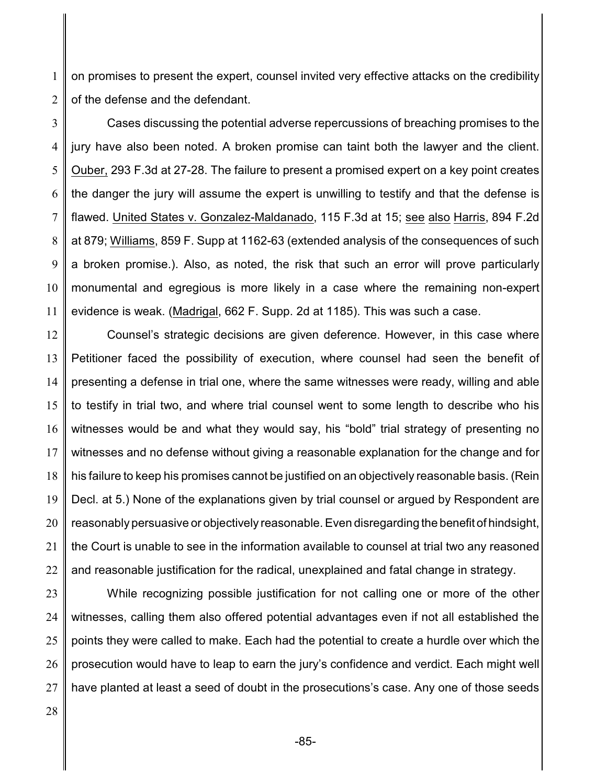1 2 on promises to present the expert, counsel invited very effective attacks on the credibility of the defense and the defendant.

3 4 5 6 7 8 9 10 11 Cases discussing the potential adverse repercussions of breaching promises to the jury have also been noted. A broken promise can taint both the lawyer and the client. Ouber, 293 F.3d at 27-28. The failure to present a promised expert on a key point creates the danger the jury will assume the expert is unwilling to testify and that the defense is flawed. United States v. Gonzalez-Maldanado, 115 F.3d at 15; see also Harris, 894 F.2d at 879; Williams, 859 F. Supp at 1162-63 (extended analysis of the consequences of such a broken promise.). Also, as noted, the risk that such an error will prove particularly monumental and egregious is more likely in a case where the remaining non-expert evidence is weak. (Madrigal, 662 F. Supp. 2d at 1185). This was such a case.

12 13 14 15 16 17 18 19 20 21 22 Counsel's strategic decisions are given deference. However, in this case where Petitioner faced the possibility of execution, where counsel had seen the benefit of presenting a defense in trial one, where the same witnesses were ready, willing and able to testify in trial two, and where trial counsel went to some length to describe who his witnesses would be and what they would say, his "bold" trial strategy of presenting no witnesses and no defense without giving a reasonable explanation for the change and for his failure to keep his promises cannot be justified on an objectively reasonable basis. (Rein Decl. at 5.) None of the explanations given by trial counsel or argued by Respondent are reasonably persuasive or objectively reasonable. Even disregarding the benefit of hindsight, the Court is unable to see in the information available to counsel at trial two any reasoned and reasonable justification for the radical, unexplained and fatal change in strategy.

23 24 25 26 27 While recognizing possible justification for not calling one or more of the other witnesses, calling them also offered potential advantages even if not all established the points they were called to make. Each had the potential to create a hurdle over which the prosecution would have to leap to earn the jury's confidence and verdict. Each might well have planted at least a seed of doubt in the prosecutions's case. Any one of those seeds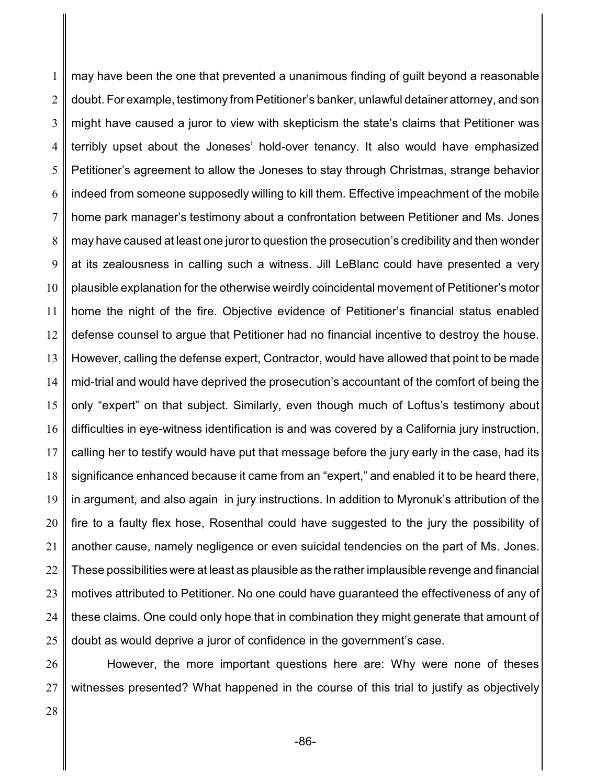1 2 3 4 5 6 7 8 9 10 11 12 13 14 15 16 17 18 19 20 21 22 23 24 25 may have been the one that prevented a unanimous finding of guilt beyond a reasonable doubt. For example, testimony from Petitioner's banker, unlawful detainer attorney, and son might have caused a juror to view with skepticism the state's claims that Petitioner was terribly upset about the Joneses' hold-over tenancy. It also would have emphasized Petitioner's agreement to allow the Joneses to stay through Christmas, strange behavior indeed from someone supposedly willing to kill them. Effective impeachment of the mobile home park manager's testimony about a confrontation between Petitioner and Ms. Jones may have caused at least one juror to question the prosecution's credibility and then wonder at its zealousness in calling such a witness. Jill LeBlanc could have presented a very plausible explanation for the otherwise weirdly coincidental movement of Petitioner's motor home the night of the fire. Objective evidence of Petitioner's financial status enabled defense counsel to argue that Petitioner had no financial incentive to destroy the house. However, calling the defense expert, Contractor, would have allowed that point to be made mid-trial and would have deprived the prosecution's accountant of the comfort of being the only "expert" on that subject. Similarly, even though much of Loftus's testimony about difficulties in eye-witness identification is and was covered by a California jury instruction, calling her to testify would have put that message before the jury early in the case, had its significance enhanced because it came from an "expert," and enabled it to be heard there, in argument, and also again in jury instructions. In addition to Myronuk's attribution of the fire to a faulty flex hose, Rosenthal could have suggested to the jury the possibility of another cause, namely negligence or even suicidal tendencies on the part of Ms. Jones. These possibilities were at least as plausible as the rather implausible revenge and financial motives attributed to Petitioner. No one could have guaranteed the effectiveness of any of these claims. One could only hope that in combination they might generate that amount of doubt as would deprive a juror of confidence in the government's case.

26 27 However, the more important questions here are: Why were none of theses witnesses presented? What happened in the course of this trial to justify as objectively

28

-86-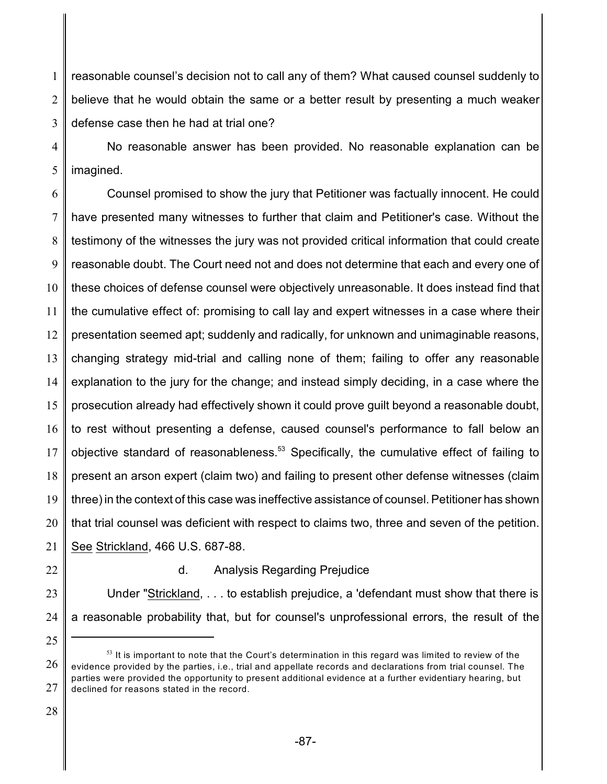1 2 3 reasonable counsel's decision not to call any of them? What caused counsel suddenly to believe that he would obtain the same or a better result by presenting a much weaker defense case then he had at trial one?

4 5 No reasonable answer has been provided. No reasonable explanation can be imagined.

6 7 8 9 10 11 12 13 14 15 16 17 18 19 20 21 Counsel promised to show the jury that Petitioner was factually innocent. He could have presented many witnesses to further that claim and Petitioner's case. Without the testimony of the witnesses the jury was not provided critical information that could create reasonable doubt. The Court need not and does not determine that each and every one of these choices of defense counsel were objectively unreasonable. It does instead find that the cumulative effect of: promising to call lay and expert witnesses in a case where their presentation seemed apt; suddenly and radically, for unknown and unimaginable reasons, changing strategy mid-trial and calling none of them; failing to offer any reasonable explanation to the jury for the change; and instead simply deciding, in a case where the prosecution already had effectively shown it could prove guilt beyond a reasonable doubt, to rest without presenting a defense, caused counsel's performance to fall below an objective standard of reasonableness.<sup>53</sup> Specifically, the cumulative effect of failing to present an arson expert (claim two) and failing to present other defense witnesses (claim three) in the context of this case was ineffective assistance of counsel. Petitioner has shown that trial counsel was deficient with respect to claims two, three and seven of the petition. See Strickland, 466 U.S. 687-88.

- 22
- 

25

d. Analysis Regarding Prejudice

23 24 Under "Strickland, . . . to establish prejudice, a 'defendant must show that there is a reasonable probability that, but for counsel's unprofessional errors, the result of the

<sup>26</sup> 27  $^{\text{53}}$  It is important to note that the Court's determination in this regard was limited to review of the evidence provided by the parties, i.e., trial and appellate records and declarations from trial counsel. The parties were provided the opportunity to present additional evidence at a further evidentiary hearing, but declined for reasons stated in the record.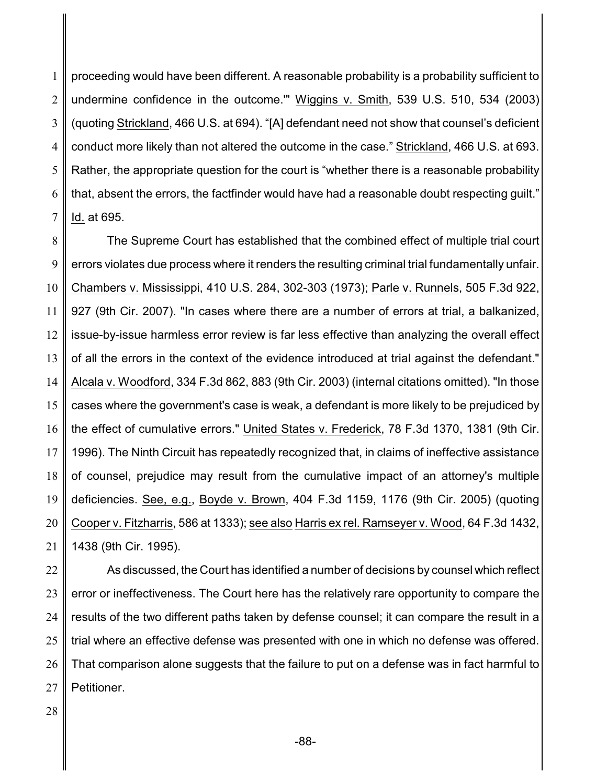1 2 3 4 5 6 7 proceeding would have been different. A reasonable probability is a probability sufficient to undermine confidence in the outcome.'" Wiggins v. Smith, 539 U.S. 510, 534 (2003) (quoting Strickland, 466 U.S. at 694). "[A] defendant need not show that counsel's deficient conduct more likely than not altered the outcome in the case." Strickland, 466 U.S. at 693. Rather, the appropriate question for the court is "whether there is a reasonable probability that, absent the errors, the factfinder would have had a reasonable doubt respecting guilt." Id. at 695.

8 9 10 11 12 13 14 15 16 17 18 19 20 21 The Supreme Court has established that the combined effect of multiple trial court errors violates due process where it renders the resulting criminal trial fundamentally unfair. Chambers v. Mississippi, 410 U.S. 284, 302-303 (1973); Parle v. Runnels, 505 F.3d 922, 927 (9th Cir. 2007). "In cases where there are a number of errors at trial, a balkanized, issue-by-issue harmless error review is far less effective than analyzing the overall effect of all the errors in the context of the evidence introduced at trial against the defendant." Alcala v. Woodford, 334 F.3d 862, 883 (9th Cir. 2003) (internal citations omitted). "In those cases where the government's case is weak, a defendant is more likely to be prejudiced by the effect of cumulative errors." United States v. Frederick, 78 F.3d 1370, 1381 (9th Cir. 1996). The Ninth Circuit has repeatedly recognized that, in claims of ineffective assistance of counsel, prejudice may result from the cumulative impact of an attorney's multiple deficiencies. See, e.g., Boyde v. Brown, 404 F.3d 1159, 1176 (9th Cir. 2005) (quoting Cooper v. Fitzharris, 586 at 1333); see also Harris ex rel. Ramseyer v. Wood, 64 F.3d 1432, 1438 (9th Cir. 1995).

22 23 24 25 26 27 As discussed, the Court has identified a number of decisions by counsel which reflect error or ineffectiveness. The Court here has the relatively rare opportunity to compare the results of the two different paths taken by defense counsel; it can compare the result in a trial where an effective defense was presented with one in which no defense was offered. That comparison alone suggests that the failure to put on a defense was in fact harmful to Petitioner.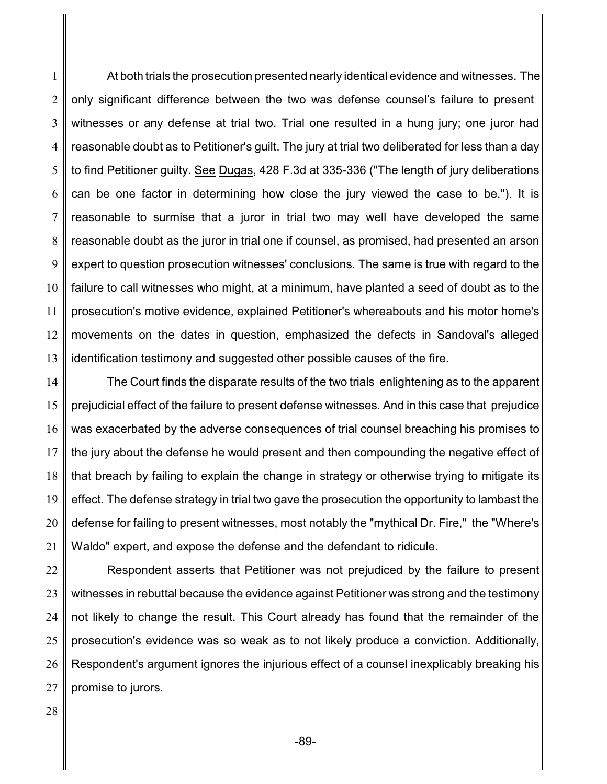1 2 3 4 5 6 7 8 9 10 11 12 13 At both trials the prosecution presented nearly identical evidence and witnesses. The only significant difference between the two was defense counsel's failure to present witnesses or any defense at trial two. Trial one resulted in a hung jury; one juror had reasonable doubt as to Petitioner's guilt. The jury at trial two deliberated for less than a day to find Petitioner guilty. See Dugas, 428 F.3d at 335-336 ("The length of jury deliberations can be one factor in determining how close the jury viewed the case to be."). It is reasonable to surmise that a juror in trial two may well have developed the same reasonable doubt as the juror in trial one if counsel, as promised, had presented an arson expert to question prosecution witnesses' conclusions. The same is true with regard to the failure to call witnesses who might, at a minimum, have planted a seed of doubt as to the prosecution's motive evidence, explained Petitioner's whereabouts and his motor home's movements on the dates in question, emphasized the defects in Sandoval's alleged identification testimony and suggested other possible causes of the fire.

14 15 16 17 18 19 20 21 The Court finds the disparate results of the two trials enlightening as to the apparent prejudicial effect of the failure to present defense witnesses. And in this case that prejudice was exacerbated by the adverse consequences of trial counsel breaching his promises to the jury about the defense he would present and then compounding the negative effect of that breach by failing to explain the change in strategy or otherwise trying to mitigate its effect. The defense strategy in trial two gave the prosecution the opportunity to lambast the defense for failing to present witnesses, most notably the "mythical Dr. Fire," the "Where's Waldo" expert, and expose the defense and the defendant to ridicule.

22 23 24 25 26 27 Respondent asserts that Petitioner was not prejudiced by the failure to present witnesses in rebuttal because the evidence against Petitioner was strong and the testimony not likely to change the result. This Court already has found that the remainder of the prosecution's evidence was so weak as to not likely produce a conviction. Additionally, Respondent's argument ignores the injurious effect of a counsel inexplicably breaking his promise to jurors.

28

-89-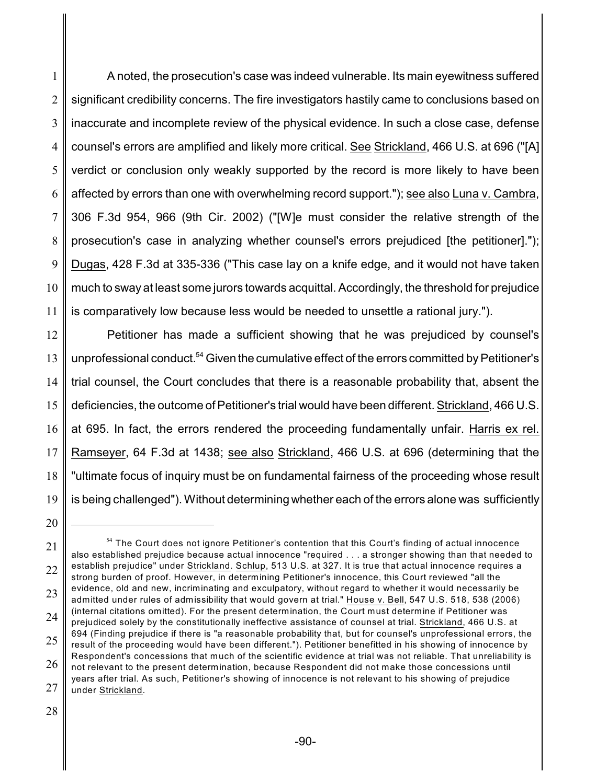1 2 3 4 5 6 7 8 9 10 11 A noted, the prosecution's case was indeed vulnerable. Its main eyewitness suffered significant credibility concerns. The fire investigators hastily came to conclusions based on inaccurate and incomplete review of the physical evidence. In such a close case, defense counsel's errors are amplified and likely more critical. See Strickland, 466 U.S. at 696 ("[A] verdict or conclusion only weakly supported by the record is more likely to have been affected by errors than one with overwhelming record support."); see also Luna v. Cambra, 306 F.3d 954, 966 (9th Cir. 2002) ("[W]e must consider the relative strength of the prosecution's case in analyzing whether counsel's errors prejudiced [the petitioner]."); Dugas, 428 F.3d at 335-336 ("This case lay on a knife edge, and it would not have taken much to sway at least some jurors towards acquittal. Accordingly, the threshold for prejudice is comparatively low because less would be needed to unsettle a rational jury.").

12 13 14 15 16 17 18 19 Petitioner has made a sufficient showing that he was prejudiced by counsel's unprofessional conduct.<sup>54</sup> Given the cumulative effect of the errors committed by Petitioner's trial counsel, the Court concludes that there is a reasonable probability that, absent the deficiencies, the outcome of Petitioner's trial would have been different. Strickland, 466 U.S. at 695. In fact, the errors rendered the proceeding fundamentally unfair. Harris ex rel. Ramseyer, 64 F.3d at 1438; see also Strickland, 466 U.S. at 696 (determining that the "ultimate focus of inquiry must be on fundamental fairness of the proceeding whose result is being challenged"). Without determining whether each of the errors alone was sufficiently

<sup>20</sup>

<sup>21</sup> 22 23 24 25 26 27  $^{\mathsf{54}}$  The Court does not ignore Petitioner's contention that this Court's finding of actual innocence also established prejudice because actual innocence "required . . . a stronger showing than that needed to establish prejudice" under Strickland. Schlup, 513 U.S. at 327. It is true that actual innocence requires a strong burden of proof. However, in determining Petitioner's innocence, this Court reviewed "all the evidence, old and new, incriminating and exculpatory, without regard to whether it would necessarily be admitted under rules of admissibility that would govern at trial." House v. Bell, 547 U.S. 518, 538 (2006) (internal citations omitted). For the present determination, the Court must determine if Petitioner was prejudiced solely by the constitutionally ineffective assistance of counsel at trial. Strickland, 466 U.S. at 694 (Finding prejudice if there is "a reasonable probability that, but for counsel's unprofessional errors, the result of the proceeding would have been different."). Petitioner benefitted in his showing of innocence by Respondent's concessions that much of the scientific evidence at trial was not reliable. That unreliability is not relevant to the present determination, because Respondent did not make those concessions until years after trial. As such, Petitioner's showing of innocence is not relevant to his showing of prejudice under Strickland.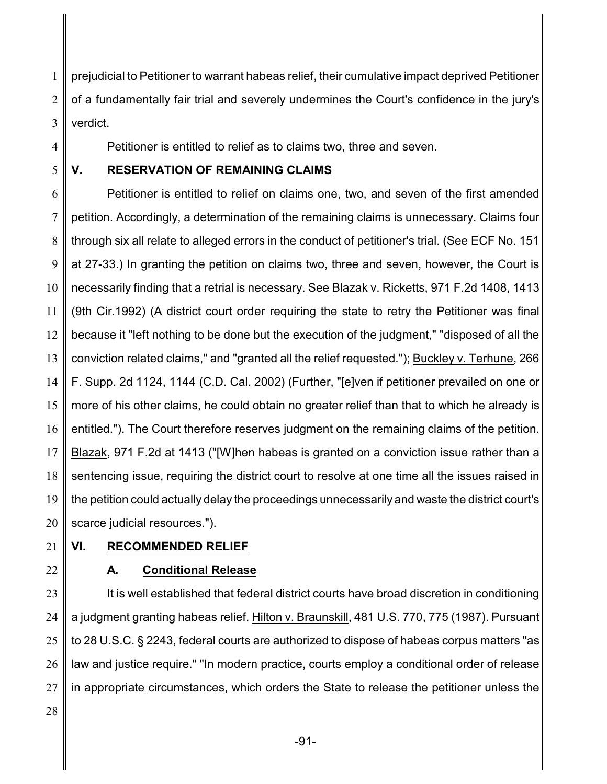1 2 3 prejudicial to Petitioner to warrant habeas relief, their cumulative impact deprived Petitioner of a fundamentally fair trial and severely undermines the Court's confidence in the jury's verdict.

4

Petitioner is entitled to relief as to claims two, three and seven.

5

## **V. RESERVATION OF REMAINING CLAIMS**

6 7 8 9 10 11 12 13 14 15 16 17 18 19 20 Petitioner is entitled to relief on claims one, two, and seven of the first amended petition. Accordingly, a determination of the remaining claims is unnecessary. Claims four through six all relate to alleged errors in the conduct of petitioner's trial. (See ECF No. 151 at 27-33.) In granting the petition on claims two, three and seven, however, the Court is necessarily finding that a retrial is necessary. See Blazak v. Ricketts, 971 F.2d 1408, 1413 (9th Cir.1992) (A district court order requiring the state to retry the Petitioner was final because it "left nothing to be done but the execution of the judgment," "disposed of all the conviction related claims," and "granted all the relief requested."); Buckley v. Terhune, 266 F. Supp. 2d 1124, 1144 (C.D. Cal. 2002) (Further, "[e]ven if petitioner prevailed on one or more of his other claims, he could obtain no greater relief than that to which he already is entitled."). The Court therefore reserves judgment on the remaining claims of the petition. Blazak, 971 F.2d at 1413 ("[W]hen habeas is granted on a conviction issue rather than a sentencing issue, requiring the district court to resolve at one time all the issues raised in the petition could actually delay the proceedings unnecessarily and waste the district court's scarce judicial resources.").

21

### **VI. RECOMMENDED RELIEF**

22

# **A. Conditional Release**

23 24 25 26 27 It is well established that federal district courts have broad discretion in conditioning a judgment granting habeas relief. Hilton v. Braunskill, 481 U.S. 770, 775 (1987). Pursuant to 28 U.S.C. § 2243, federal courts are authorized to dispose of habeas corpus matters "as law and justice require." "In modern practice, courts employ a conditional order of release in appropriate circumstances, which orders the State to release the petitioner unless the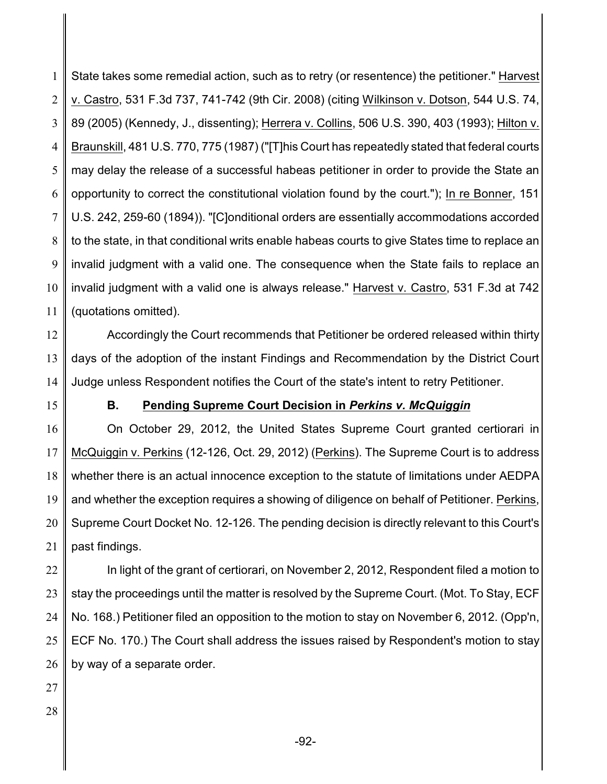1 2 3 4 5 6 7 8 9 10 11 State takes some remedial action, such as to retry (or resentence) the petitioner." Harvest v. Castro, 531 F.3d 737, 741-742 (9th Cir. 2008) (citing Wilkinson v. Dotson, 544 U.S. 74, 89 (2005) (Kennedy, J., dissenting); Herrera v. Collins, 506 U.S. 390, 403 (1993); Hilton v. Braunskill, 481 U.S. 770, 775 (1987) ("[T]his Court has repeatedly stated that federal courts may delay the release of a successful habeas petitioner in order to provide the State an opportunity to correct the constitutional violation found by the court."); In re Bonner, 151 U.S. 242, 259-60 (1894)). "[C]onditional orders are essentially accommodations accorded to the state, in that conditional writs enable habeas courts to give States time to replace an invalid judgment with a valid one. The consequence when the State fails to replace an invalid judgment with a valid one is always release." Harvest v. Castro, 531 F.3d at 742 (quotations omitted).

12 13 14 Accordingly the Court recommends that Petitioner be ordered released within thirty days of the adoption of the instant Findings and Recommendation by the District Court Judge unless Respondent notifies the Court of the state's intent to retry Petitioner.

15

### **B. Pending Supreme Court Decision in** *Perkins v. McQuiggin*

16 17 18 19 20 21 On October 29, 2012, the United States Supreme Court granted certiorari in McQuiggin v. Perkins (12-126, Oct. 29, 2012) (Perkins). The Supreme Court is to address whether there is an actual innocence exception to the statute of limitations under AEDPA and whether the exception requires a showing of diligence on behalf of Petitioner. Perkins, Supreme Court Docket No. 12-126. The pending decision is directly relevant to this Court's past findings.

22 23 24 25 26 In light of the grant of certiorari, on November 2, 2012, Respondent filed a motion to stay the proceedings until the matter is resolved by the Supreme Court. (Mot. To Stay, ECF No. 168.) Petitioner filed an opposition to the motion to stay on November 6, 2012. (Opp'n, ECF No. 170.) The Court shall address the issues raised by Respondent's motion to stay by way of a separate order.

- 27
- 28